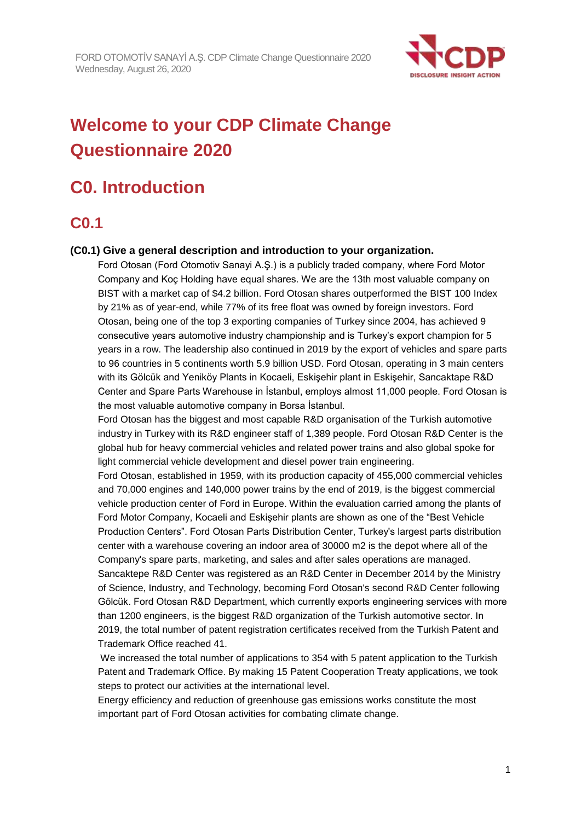

# **Welcome to your CDP Climate Change Questionnaire 2020**

# **C0. Introduction**

# **C0.1**

### **(C0.1) Give a general description and introduction to your organization.**

Ford Otosan (Ford Otomotiv Sanayi A.Ş.) is a publicly traded company, where Ford Motor Company and Koç Holding have equal shares. We are the 13th most valuable company on BIST with a market cap of \$4.2 billion. Ford Otosan shares outperformed the BIST 100 Index by 21% as of year-end, while 77% of its free float was owned by foreign investors. Ford Otosan, being one of the top 3 exporting companies of Turkey since 2004, has achieved 9 consecutive years automotive industry championship and is Turkey's export champion for 5 years in a row. The leadership also continued in 2019 by the export of vehicles and spare parts to 96 countries in 5 continents worth 5.9 billion USD. Ford Otosan, operating in 3 main centers with its Gölcük and Yeniköy Plants in Kocaeli, Eskişehir plant in Eskişehir, Sancaktape R&D Center and Spare Parts Warehouse in İstanbul, employs almost 11,000 people. Ford Otosan is the most valuable automotive company in Borsa İstanbul.

Ford Otosan has the biggest and most capable R&D organisation of the Turkish automotive industry in Turkey with its R&D engineer staff of 1,389 people. Ford Otosan R&D Center is the global hub for heavy commercial vehicles and related power trains and also global spoke for light commercial vehicle development and diesel power train engineering.

Ford Otosan, established in 1959, with its production capacity of 455,000 commercial vehicles and 70,000 engines and 140,000 power trains by the end of 2019, is the biggest commercial vehicle production center of Ford in Europe. Within the evaluation carried among the plants of Ford Motor Company, Kocaeli and Eskişehir plants are shown as one of the "Best Vehicle Production Centers". Ford Otosan Parts Distribution Center, Turkey's largest parts distribution center with a warehouse covering an indoor area of 30000 m2 is the depot where all of the Company's spare parts, marketing, and sales and after sales operations are managed. Sancaktepe R&D Center was registered as an R&D Center in December 2014 by the Ministry of Science, Industry, and Technology, becoming Ford Otosan's second R&D Center following Gölcük. Ford Otosan R&D Department, which currently exports engineering services with more than 1200 engineers, is the biggest R&D organization of the Turkish automotive sector. In 2019, the total number of patent registration certificates received from the Turkish Patent and Trademark Office reached 41.

We increased the total number of applications to 354 with 5 patent application to the Turkish Patent and Trademark Office. By making 15 Patent Cooperation Treaty applications, we took steps to protect our activities at the international level.

Energy efficiency and reduction of greenhouse gas emissions works constitute the most important part of Ford Otosan activities for combating climate change.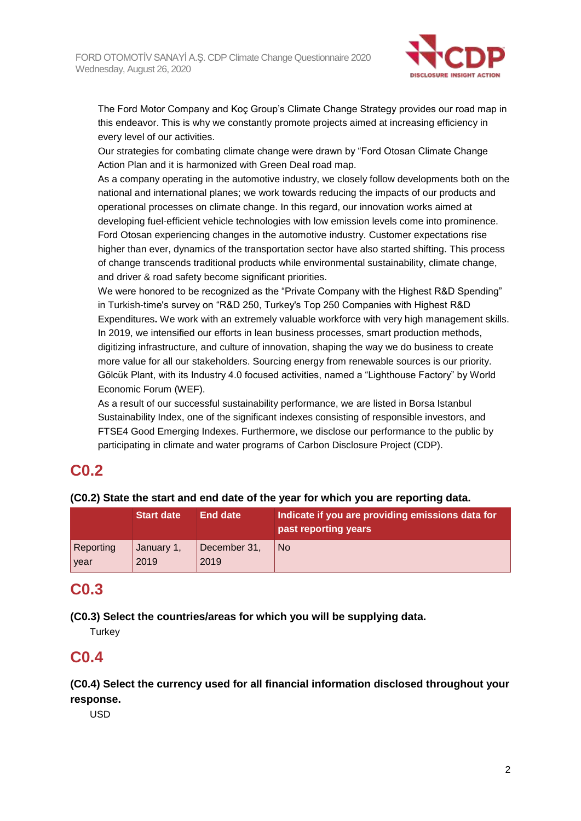

The Ford Motor Company and Koç Group's Climate Change Strategy provides our road map in this endeavor. This is why we constantly promote projects aimed at increasing efficiency in every level of our activities.

Our strategies for combating climate change were drawn by "Ford Otosan Climate Change Action Plan and it is harmonized with Green Deal road map.

As a company operating in the automotive industry, we closely follow developments both on the national and international planes; we work towards reducing the impacts of our products and operational processes on climate change. In this regard, our innovation works aimed at developing fuel-efficient vehicle technologies with low emission levels come into prominence. Ford Otosan experiencing changes in the automotive industry. Customer expectations rise higher than ever, dynamics of the transportation sector have also started shifting. This process of change transcends traditional products while environmental sustainability, climate change, and driver & road safety become significant priorities.

We were honored to be recognized as the "Private Company with the Highest R&D Spending" in Turkish-time's survey on "R&D 250, Turkey's Top 250 Companies with Highest R&D Expenditures**.** We work with an extremely valuable workforce with very high management skills. In 2019, we intensified our efforts in lean business processes, smart production methods, digitizing infrastructure, and culture of innovation, shaping the way we do business to create more value for all our stakeholders. Sourcing energy from renewable sources is our priority. Gölcük Plant, with its Industry 4.0 focused activities, named a "Lighthouse Factory" by World Economic Forum (WEF).

As a result of our successful sustainability performance, we are listed in Borsa Istanbul Sustainability Index, one of the significant indexes consisting of responsible investors, and FTSE4 Good Emerging Indexes. Furthermore, we disclose our performance to the public by participating in climate and water programs of Carbon Disclosure Project (CDP).

# **C0.2**

**(C0.2) State the start and end date of the year for which you are reporting data.**

|           | <b>Start date</b> | End date     | Indicate if you are providing emissions data for<br>past reporting years |
|-----------|-------------------|--------------|--------------------------------------------------------------------------|
| Reporting | January 1,        | December 31, | <b>No</b>                                                                |
| year      | 2019              | 2019         |                                                                          |

# **C0.3**

**(C0.3) Select the countries/areas for which you will be supplying data.**

**Turkey** 

# **C0.4**

**(C0.4) Select the currency used for all financial information disclosed throughout your response.**

USD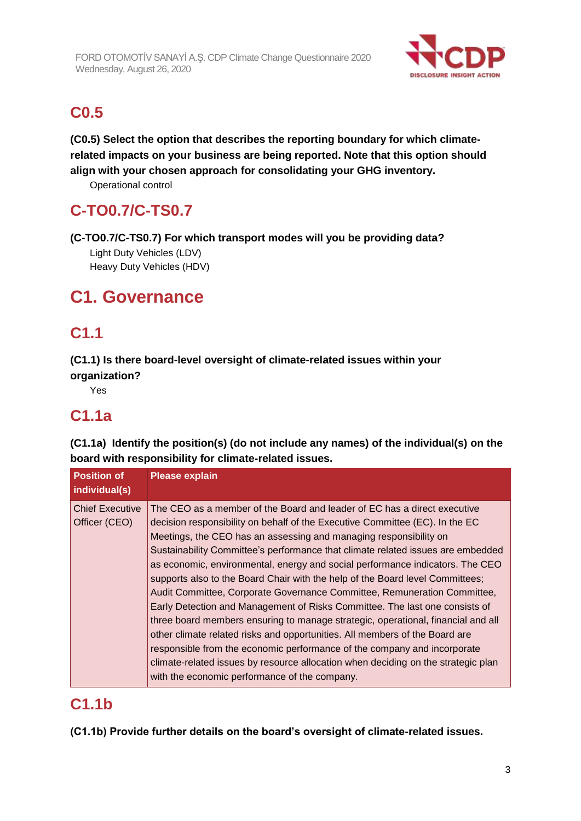

# **C0.5**

**(C0.5) Select the option that describes the reporting boundary for which climaterelated impacts on your business are being reported. Note that this option should align with your chosen approach for consolidating your GHG inventory.**

Operational control

# **C-TO0.7/C-TS0.7**

**(C-TO0.7/C-TS0.7) For which transport modes will you be providing data?**

Light Duty Vehicles (LDV) Heavy Duty Vehicles (HDV)

# **C1. Governance**

# **C1.1**

**(C1.1) Is there board-level oversight of climate-related issues within your organization?**

Yes

# **C1.1a**

**(C1.1a) Identify the position(s) (do not include any names) of the individual(s) on the board with responsibility for climate-related issues.**

| <b>Position of</b><br>individual(s)     | <b>Please explain</b>                                                                                                                                                                                                                                                                                                                                                                                                                                                                                                                                                                                                                                                                                                                                                                                                                                                                                                                                                                                                              |
|-----------------------------------------|------------------------------------------------------------------------------------------------------------------------------------------------------------------------------------------------------------------------------------------------------------------------------------------------------------------------------------------------------------------------------------------------------------------------------------------------------------------------------------------------------------------------------------------------------------------------------------------------------------------------------------------------------------------------------------------------------------------------------------------------------------------------------------------------------------------------------------------------------------------------------------------------------------------------------------------------------------------------------------------------------------------------------------|
| <b>Chief Executive</b><br>Officer (CEO) | The CEO as a member of the Board and leader of EC has a direct executive<br>decision responsibility on behalf of the Executive Committee (EC). In the EC<br>Meetings, the CEO has an assessing and managing responsibility on<br>Sustainability Committee's performance that climate related issues are embedded<br>as economic, environmental, energy and social performance indicators. The CEO<br>supports also to the Board Chair with the help of the Board level Committees;<br>Audit Committee, Corporate Governance Committee, Remuneration Committee,<br>Early Detection and Management of Risks Committee. The last one consists of<br>three board members ensuring to manage strategic, operational, financial and all<br>other climate related risks and opportunities. All members of the Board are<br>responsible from the economic performance of the company and incorporate<br>climate-related issues by resource allocation when deciding on the strategic plan<br>with the economic performance of the company. |

# **C1.1b**

**(C1.1b) Provide further details on the board's oversight of climate-related issues.**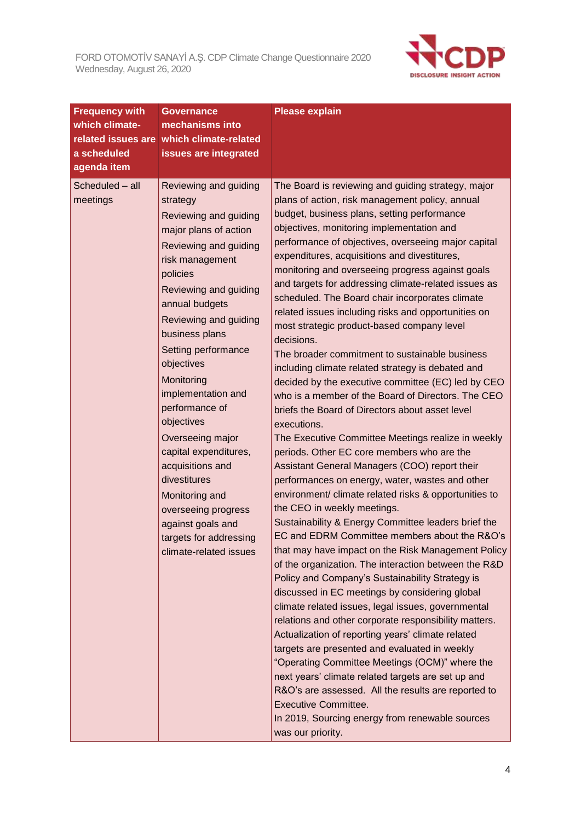

| <b>Frequency with</b>       | <b>Governance</b>                                                                                                                                                                                                                                                                                                                                                                                                                                                                                                                             | <b>Please explain</b>                                                                                                                                                                                                                                                                                                                                                                                                                                                                                                                                                                                                                                                                                                                                                                                                                                                                                                                                                                                                                                                                                                                                                                                                                                                                                                                                                                                                                                                                                                                                                                                                                                                                                                                                                                                                                                                                                                                                                            |
|-----------------------------|-----------------------------------------------------------------------------------------------------------------------------------------------------------------------------------------------------------------------------------------------------------------------------------------------------------------------------------------------------------------------------------------------------------------------------------------------------------------------------------------------------------------------------------------------|----------------------------------------------------------------------------------------------------------------------------------------------------------------------------------------------------------------------------------------------------------------------------------------------------------------------------------------------------------------------------------------------------------------------------------------------------------------------------------------------------------------------------------------------------------------------------------------------------------------------------------------------------------------------------------------------------------------------------------------------------------------------------------------------------------------------------------------------------------------------------------------------------------------------------------------------------------------------------------------------------------------------------------------------------------------------------------------------------------------------------------------------------------------------------------------------------------------------------------------------------------------------------------------------------------------------------------------------------------------------------------------------------------------------------------------------------------------------------------------------------------------------------------------------------------------------------------------------------------------------------------------------------------------------------------------------------------------------------------------------------------------------------------------------------------------------------------------------------------------------------------------------------------------------------------------------------------------------------------|
| which climate-              | mechanisms into                                                                                                                                                                                                                                                                                                                                                                                                                                                                                                                               |                                                                                                                                                                                                                                                                                                                                                                                                                                                                                                                                                                                                                                                                                                                                                                                                                                                                                                                                                                                                                                                                                                                                                                                                                                                                                                                                                                                                                                                                                                                                                                                                                                                                                                                                                                                                                                                                                                                                                                                  |
| related issues are          | which climate-related                                                                                                                                                                                                                                                                                                                                                                                                                                                                                                                         |                                                                                                                                                                                                                                                                                                                                                                                                                                                                                                                                                                                                                                                                                                                                                                                                                                                                                                                                                                                                                                                                                                                                                                                                                                                                                                                                                                                                                                                                                                                                                                                                                                                                                                                                                                                                                                                                                                                                                                                  |
| a scheduled                 | issues are integrated                                                                                                                                                                                                                                                                                                                                                                                                                                                                                                                         |                                                                                                                                                                                                                                                                                                                                                                                                                                                                                                                                                                                                                                                                                                                                                                                                                                                                                                                                                                                                                                                                                                                                                                                                                                                                                                                                                                                                                                                                                                                                                                                                                                                                                                                                                                                                                                                                                                                                                                                  |
| agenda item                 |                                                                                                                                                                                                                                                                                                                                                                                                                                                                                                                                               |                                                                                                                                                                                                                                                                                                                                                                                                                                                                                                                                                                                                                                                                                                                                                                                                                                                                                                                                                                                                                                                                                                                                                                                                                                                                                                                                                                                                                                                                                                                                                                                                                                                                                                                                                                                                                                                                                                                                                                                  |
| Scheduled - all<br>meetings | Reviewing and guiding<br>strategy<br>Reviewing and guiding<br>major plans of action<br>Reviewing and guiding<br>risk management<br>policies<br>Reviewing and guiding<br>annual budgets<br>Reviewing and guiding<br>business plans<br>Setting performance<br>objectives<br>Monitoring<br>implementation and<br>performance of<br>objectives<br>Overseeing major<br>capital expenditures,<br>acquisitions and<br>divestitures<br>Monitoring and<br>overseeing progress<br>against goals and<br>targets for addressing<br>climate-related issues | The Board is reviewing and guiding strategy, major<br>plans of action, risk management policy, annual<br>budget, business plans, setting performance<br>objectives, monitoring implementation and<br>performance of objectives, overseeing major capital<br>expenditures, acquisitions and divestitures,<br>monitoring and overseeing progress against goals<br>and targets for addressing climate-related issues as<br>scheduled. The Board chair incorporates climate<br>related issues including risks and opportunities on<br>most strategic product-based company level<br>decisions.<br>The broader commitment to sustainable business<br>including climate related strategy is debated and<br>decided by the executive committee (EC) led by CEO<br>who is a member of the Board of Directors. The CEO<br>briefs the Board of Directors about asset level<br>executions.<br>The Executive Committee Meetings realize in weekly<br>periods. Other EC core members who are the<br>Assistant General Managers (COO) report their<br>performances on energy, water, wastes and other<br>environment/ climate related risks & opportunities to<br>the CEO in weekly meetings.<br>Sustainability & Energy Committee leaders brief the<br>EC and EDRM Committee members about the R&O's<br>that may have impact on the Risk Management Policy<br>of the organization. The interaction between the R&D<br>Policy and Company's Sustainability Strategy is<br>discussed in EC meetings by considering global<br>climate related issues, legal issues, governmental<br>relations and other corporate responsibility matters.<br>Actualization of reporting years' climate related<br>targets are presented and evaluated in weekly<br>"Operating Committee Meetings (OCM)" where the<br>next years' climate related targets are set up and<br>R&O's are assessed. All the results are reported to<br><b>Executive Committee.</b><br>In 2019, Sourcing energy from renewable sources |
|                             |                                                                                                                                                                                                                                                                                                                                                                                                                                                                                                                                               | was our priority.                                                                                                                                                                                                                                                                                                                                                                                                                                                                                                                                                                                                                                                                                                                                                                                                                                                                                                                                                                                                                                                                                                                                                                                                                                                                                                                                                                                                                                                                                                                                                                                                                                                                                                                                                                                                                                                                                                                                                                |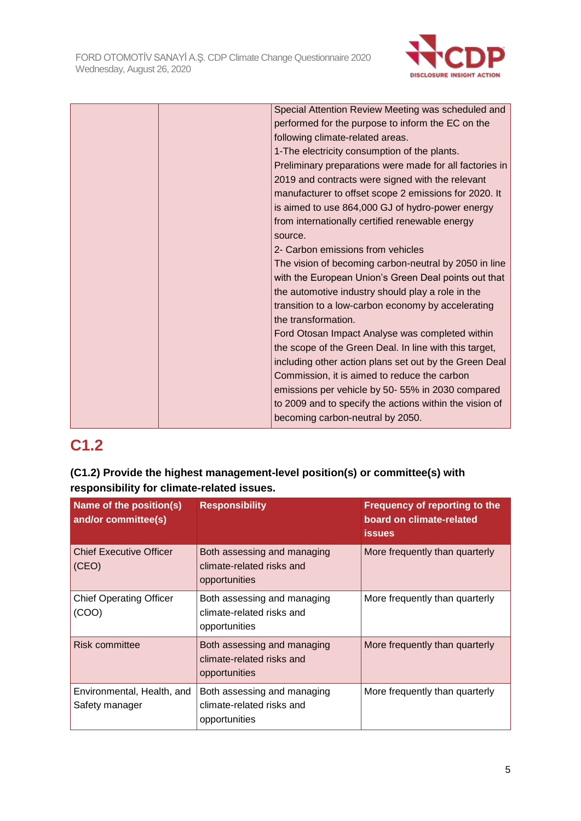

| Special Attention Review Meeting was scheduled and      |
|---------------------------------------------------------|
| performed for the purpose to inform the EC on the       |
| following climate-related areas.                        |
| 1-The electricity consumption of the plants.            |
| Preliminary preparations were made for all factories in |
| 2019 and contracts were signed with the relevant        |
| manufacturer to offset scope 2 emissions for 2020. It   |
| is aimed to use 864,000 GJ of hydro-power energy        |
| from internationally certified renewable energy         |
| source.                                                 |
| 2- Carbon emissions from vehicles                       |
| The vision of becoming carbon-neutral by 2050 in line   |
| with the European Union's Green Deal points out that    |
| the automotive industry should play a role in the       |
| transition to a low-carbon economy by accelerating      |
| the transformation.                                     |
| Ford Otosan Impact Analyse was completed within         |
| the scope of the Green Deal. In line with this target,  |
| including other action plans set out by the Green Deal  |
| Commission, it is aimed to reduce the carbon            |
| emissions per vehicle by 50-55% in 2030 compared        |
| to 2009 and to specify the actions within the vision of |
| becoming carbon-neutral by 2050.                        |
|                                                         |

# **C1.2**

# **(C1.2) Provide the highest management-level position(s) or committee(s) with responsibility for climate-related issues.**

| Name of the position(s)<br>and/or committee(s) | <b>Responsibility</b>                                                     | Frequency of reporting to the<br>board on climate-related<br><b>issues</b> |
|------------------------------------------------|---------------------------------------------------------------------------|----------------------------------------------------------------------------|
| <b>Chief Executive Officer</b><br>(CEO)        | Both assessing and managing<br>climate-related risks and<br>opportunities | More frequently than quarterly                                             |
| <b>Chief Operating Officer</b><br>(COO)        | Both assessing and managing<br>climate-related risks and<br>opportunities | More frequently than quarterly                                             |
| <b>Risk committee</b>                          | Both assessing and managing<br>climate-related risks and<br>opportunities | More frequently than quarterly                                             |
| Environmental, Health, and<br>Safety manager   | Both assessing and managing<br>climate-related risks and<br>opportunities | More frequently than quarterly                                             |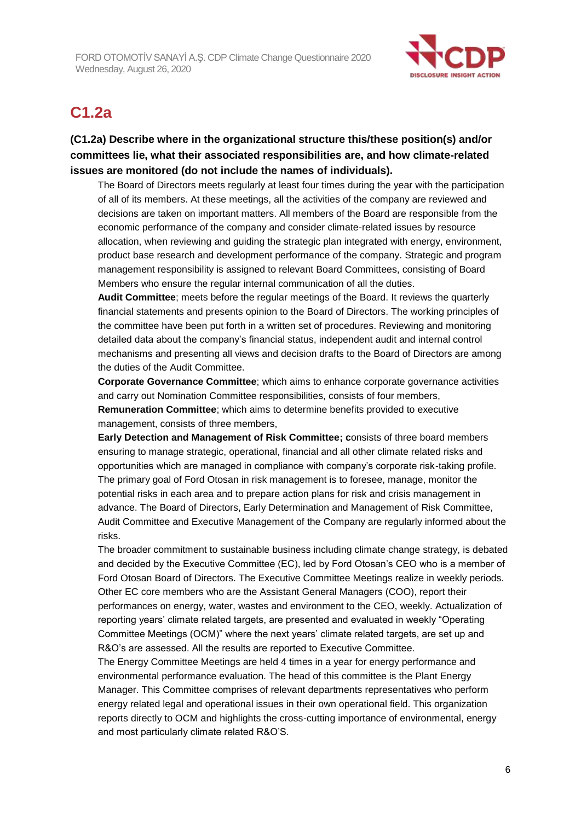

# **C1.2a**

**(C1.2a) Describe where in the organizational structure this/these position(s) and/or committees lie, what their associated responsibilities are, and how climate-related issues are monitored (do not include the names of individuals).**

The Board of Directors meets regularly at least four times during the year with the participation of all of its members. At these meetings, all the activities of the company are reviewed and decisions are taken on important matters. All members of the Board are responsible from the economic performance of the company and consider climate-related issues by resource allocation, when reviewing and guiding the strategic plan integrated with energy, environment, product base research and development performance of the company. Strategic and program management responsibility is assigned to relevant Board Committees, consisting of Board Members who ensure the regular internal communication of all the duties.

**Audit Committee**; meets before the regular meetings of the Board. It reviews the quarterly financial statements and presents opinion to the Board of Directors. The working principles of the committee have been put forth in a written set of procedures. Reviewing and monitoring detailed data about the company's financial status, independent audit and internal control mechanisms and presenting all views and decision drafts to the Board of Directors are among the duties of the Audit Committee.

**Corporate Governance Committee**; which aims to enhance corporate governance activities and carry out Nomination Committee responsibilities, consists of four members, **Remuneration Committee**; which aims to determine benefits provided to executive management, consists of three members,

**Early Detection and Management of Risk Committee; c**onsists of three board members ensuring to manage strategic, operational, financial and all other climate related risks and opportunities which are managed in compliance with company's corporate risk-taking profile. The primary goal of Ford Otosan in risk management is to foresee, manage, monitor the potential risks in each area and to prepare action plans for risk and crisis management in advance. The Board of Directors, Early Determination and Management of Risk Committee, Audit Committee and Executive Management of the Company are regularly informed about the risks.

The broader commitment to sustainable business including climate change strategy, is debated and decided by the Executive Committee (EC), led by Ford Otosan's CEO who is a member of Ford Otosan Board of Directors. The Executive Committee Meetings realize in weekly periods. Other EC core members who are the Assistant General Managers (COO), report their performances on energy, water, wastes and environment to the CEO, weekly. Actualization of reporting years' climate related targets, are presented and evaluated in weekly "Operating Committee Meetings (OCM)" where the next years' climate related targets, are set up and R&O's are assessed. All the results are reported to Executive Committee.

The Energy Committee Meetings are held 4 times in a year for energy performance and environmental performance evaluation. The head of this committee is the Plant Energy Manager. This Committee comprises of relevant departments representatives who perform energy related legal and operational issues in their own operational field. This organization reports directly to OCM and highlights the cross-cutting importance of environmental, energy and most particularly climate related R&O'S.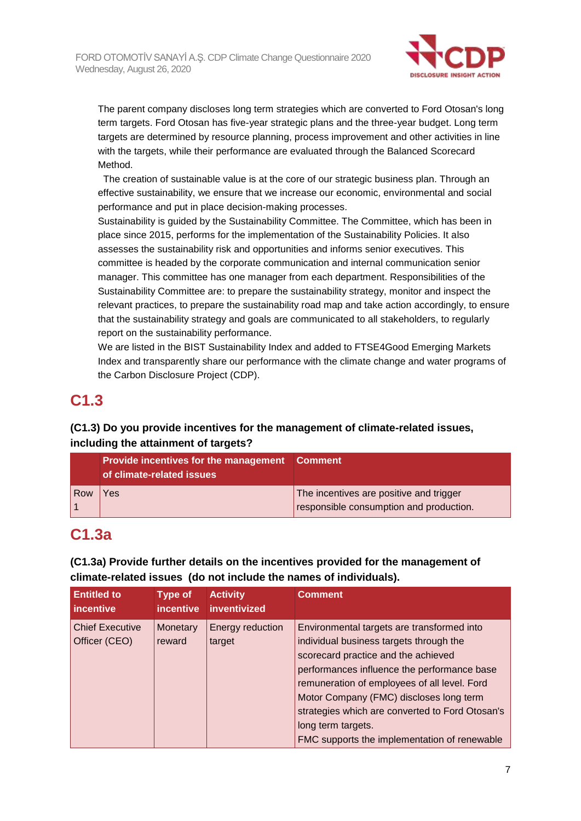

The parent company discloses long term strategies which are converted to Ford Otosan's long term targets. Ford Otosan has five-year strategic plans and the three-year budget. Long term targets are determined by resource planning, process improvement and other activities in line with the targets, while their performance are evaluated through the Balanced Scorecard Method.

 The creation of sustainable value is at the core of our strategic business plan. Through an effective sustainability, we ensure that we increase our economic, environmental and social performance and put in place decision-making processes.

Sustainability is guided by the Sustainability Committee. The Committee, which has been in place since 2015, performs for the implementation of the Sustainability Policies. It also assesses the sustainability risk and opportunities and informs senior executives. This committee is headed by the corporate communication and internal communication senior manager. This committee has one manager from each department. Responsibilities of the Sustainability Committee are: to prepare the sustainability strategy, monitor and inspect the relevant practices, to prepare the sustainability road map and take action accordingly, to ensure that the sustainability strategy and goals are communicated to all stakeholders, to regularly report on the sustainability performance.

We are listed in the BIST Sustainability Index and added to FTSE4Good Emerging Markets Index and transparently share our performance with the climate change and water programs of the Carbon Disclosure Project (CDP).

# **C1.3**

# **(C1.3) Do you provide incentives for the management of climate-related issues, including the attainment of targets?**

|     | <b>Provide incentives for the management Comment</b><br>of climate-related issues |                                                                                    |
|-----|-----------------------------------------------------------------------------------|------------------------------------------------------------------------------------|
| Row | Yes                                                                               | The incentives are positive and trigger<br>responsible consumption and production. |

# **C1.3a**

# **(C1.3a) Provide further details on the incentives provided for the management of climate-related issues (do not include the names of individuals).**

| <b>Entitled to</b><br>incentive | <b>Type of</b><br><i>incentive</i> | <b>Activity</b><br>inventivized | <b>Comment</b>                                  |
|---------------------------------|------------------------------------|---------------------------------|-------------------------------------------------|
| <b>Chief Executive</b>          | Monetary                           | Energy reduction                | Environmental targets are transformed into      |
| Officer (CEO)                   | reward                             | target                          | individual business targets through the         |
|                                 |                                    |                                 | scorecard practice and the achieved             |
|                                 |                                    |                                 | performances influence the performance base     |
|                                 |                                    |                                 | remuneration of employees of all level. Ford    |
|                                 |                                    |                                 | Motor Company (FMC) discloses long term         |
|                                 |                                    |                                 | strategies which are converted to Ford Otosan's |
|                                 |                                    |                                 | long term targets.                              |
|                                 |                                    |                                 | FMC supports the implementation of renewable    |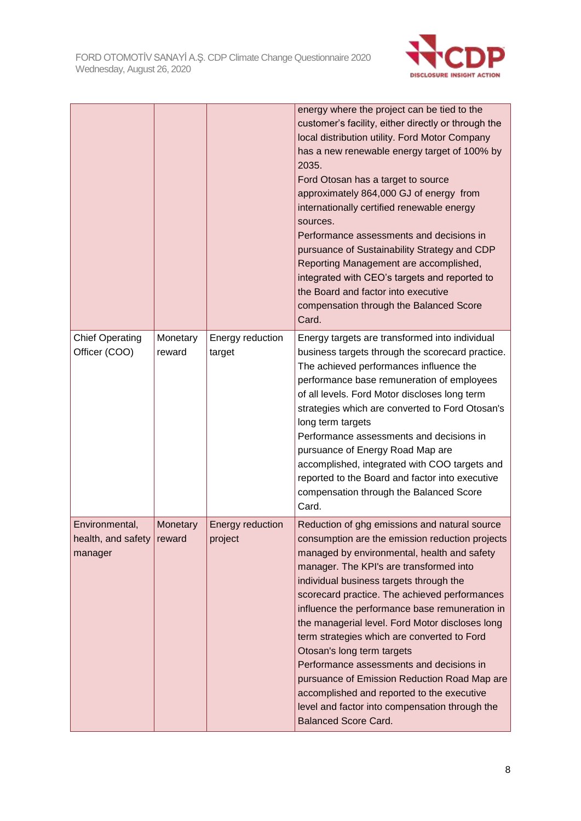

|                                                 |                    |                             | energy where the project can be tied to the<br>customer's facility, either directly or through the<br>local distribution utility. Ford Motor Company<br>has a new renewable energy target of 100% by<br>2035.<br>Ford Otosan has a target to source<br>approximately 864,000 GJ of energy from<br>internationally certified renewable energy<br>sources.<br>Performance assessments and decisions in<br>pursuance of Sustainability Strategy and CDP<br>Reporting Management are accomplished,<br>integrated with CEO's targets and reported to<br>the Board and factor into executive<br>compensation through the Balanced Score<br>Card.                                                          |
|-------------------------------------------------|--------------------|-----------------------------|-----------------------------------------------------------------------------------------------------------------------------------------------------------------------------------------------------------------------------------------------------------------------------------------------------------------------------------------------------------------------------------------------------------------------------------------------------------------------------------------------------------------------------------------------------------------------------------------------------------------------------------------------------------------------------------------------------|
| <b>Chief Operating</b><br>Officer (COO)         | Monetary<br>reward | Energy reduction<br>target  | Energy targets are transformed into individual<br>business targets through the scorecard practice.<br>The achieved performances influence the<br>performance base remuneration of employees<br>of all levels. Ford Motor discloses long term<br>strategies which are converted to Ford Otosan's<br>long term targets<br>Performance assessments and decisions in<br>pursuance of Energy Road Map are<br>accomplished, integrated with COO targets and<br>reported to the Board and factor into executive<br>compensation through the Balanced Score<br>Card.                                                                                                                                        |
| Environmental,<br>health, and safety<br>manager | Monetary<br>reward | Energy reduction<br>project | Reduction of ghg emissions and natural source<br>consumption are the emission reduction projects<br>managed by environmental, health and safety<br>manager. The KPI's are transformed into<br>individual business targets through the<br>scorecard practice. The achieved performances<br>influence the performance base remuneration in<br>the managerial level. Ford Motor discloses long<br>term strategies which are converted to Ford<br>Otosan's long term targets<br>Performance assessments and decisions in<br>pursuance of Emission Reduction Road Map are<br>accomplished and reported to the executive<br>level and factor into compensation through the<br><b>Balanced Score Card.</b> |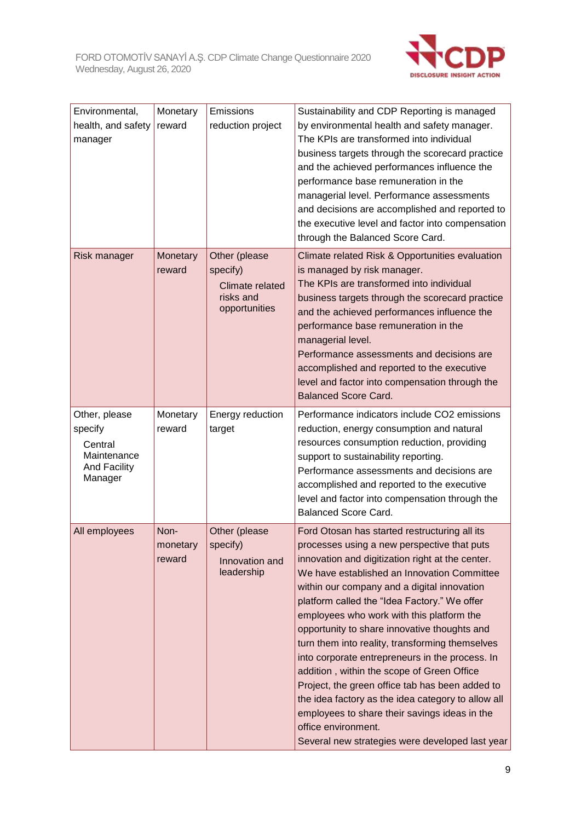

| Environmental,<br>health, and safety<br>manager                                      | Monetary<br>reward         | Emissions<br>reduction project                                             | Sustainability and CDP Reporting is managed<br>by environmental health and safety manager.<br>The KPIs are transformed into individual<br>business targets through the scorecard practice<br>and the achieved performances influence the<br>performance base remuneration in the<br>managerial level. Performance assessments<br>and decisions are accomplished and reported to<br>the executive level and factor into compensation<br>through the Balanced Score Card.                                                                                                                                                                                                                                                                                                             |
|--------------------------------------------------------------------------------------|----------------------------|----------------------------------------------------------------------------|-------------------------------------------------------------------------------------------------------------------------------------------------------------------------------------------------------------------------------------------------------------------------------------------------------------------------------------------------------------------------------------------------------------------------------------------------------------------------------------------------------------------------------------------------------------------------------------------------------------------------------------------------------------------------------------------------------------------------------------------------------------------------------------|
| Risk manager                                                                         | Monetary<br>reward         | Other (please<br>specify)<br>Climate related<br>risks and<br>opportunities | Climate related Risk & Opportunities evaluation<br>is managed by risk manager.<br>The KPIs are transformed into individual<br>business targets through the scorecard practice<br>and the achieved performances influence the<br>performance base remuneration in the<br>managerial level.<br>Performance assessments and decisions are<br>accomplished and reported to the executive<br>level and factor into compensation through the<br><b>Balanced Score Card.</b>                                                                                                                                                                                                                                                                                                               |
| Other, please<br>specify<br>Central<br>Maintenance<br><b>And Facility</b><br>Manager | Monetary<br>reward         | Energy reduction<br>target                                                 | Performance indicators include CO2 emissions<br>reduction, energy consumption and natural<br>resources consumption reduction, providing<br>support to sustainability reporting.<br>Performance assessments and decisions are<br>accomplished and reported to the executive<br>level and factor into compensation through the<br><b>Balanced Score Card.</b>                                                                                                                                                                                                                                                                                                                                                                                                                         |
| All employees                                                                        | Non-<br>monetary<br>reward | Other (please<br>specify)<br>Innovation and<br>leadership                  | Ford Otosan has started restructuring all its<br>processes using a new perspective that puts<br>innovation and digitization right at the center.<br>We have established an Innovation Committee<br>within our company and a digital innovation<br>platform called the "Idea Factory." We offer<br>employees who work with this platform the<br>opportunity to share innovative thoughts and<br>turn them into reality, transforming themselves<br>into corporate entrepreneurs in the process. In<br>addition, within the scope of Green Office<br>Project, the green office tab has been added to<br>the idea factory as the idea category to allow all<br>employees to share their savings ideas in the<br>office environment.<br>Several new strategies were developed last year |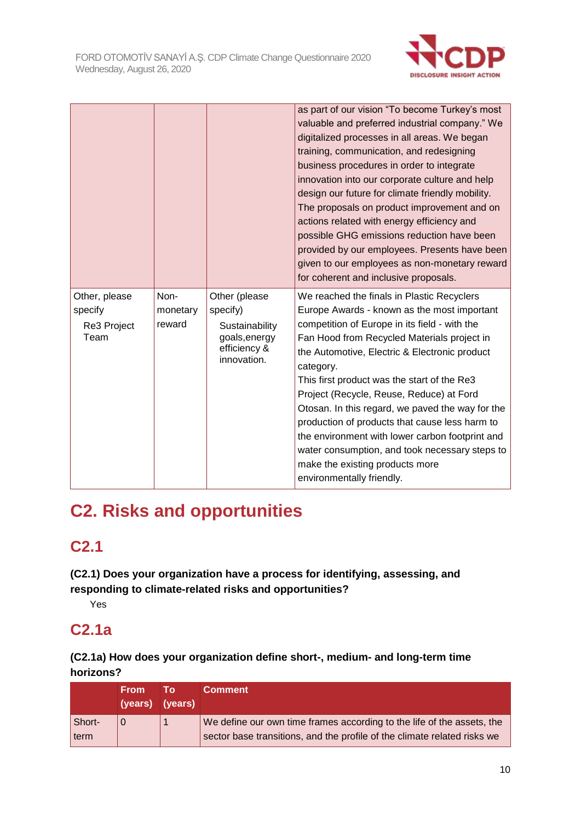

|                                                 |                            |                                                                                             | as part of our vision "To become Turkey's most<br>valuable and preferred industrial company." We<br>digitalized processes in all areas. We began<br>training, communication, and redesigning<br>business procedures in order to integrate<br>innovation into our corporate culture and help<br>design our future for climate friendly mobility.<br>The proposals on product improvement and on<br>actions related with energy efficiency and<br>possible GHG emissions reduction have been<br>provided by our employees. Presents have been<br>given to our employees as non-monetary reward<br>for coherent and inclusive proposals. |
|-------------------------------------------------|----------------------------|---------------------------------------------------------------------------------------------|---------------------------------------------------------------------------------------------------------------------------------------------------------------------------------------------------------------------------------------------------------------------------------------------------------------------------------------------------------------------------------------------------------------------------------------------------------------------------------------------------------------------------------------------------------------------------------------------------------------------------------------|
| Other, please<br>specify<br>Re3 Project<br>Team | Non-<br>monetary<br>reward | Other (please<br>specify)<br>Sustainability<br>goals, energy<br>efficiency &<br>innovation. | We reached the finals in Plastic Recyclers<br>Europe Awards - known as the most important<br>competition of Europe in its field - with the<br>Fan Hood from Recycled Materials project in<br>the Automotive, Electric & Electronic product<br>category.<br>This first product was the start of the Re3<br>Project (Recycle, Reuse, Reduce) at Ford<br>Otosan. In this regard, we paved the way for the<br>production of products that cause less harm to<br>the environment with lower carbon footprint and<br>water consumption, and took necessary steps to<br>make the existing products more<br>environmentally friendly.         |

# **C2. Risks and opportunities**

# **C2.1**

**(C2.1) Does your organization have a process for identifying, assessing, and responding to climate-related risks and opportunities?**

Yes

# **C2.1a**

# **(C2.1a) How does your organization define short-, medium- and long-term time horizons?**

|                | <b>From</b><br>(years) (years) | Tο | <b>Comment</b>                                                                                                                                     |
|----------------|--------------------------------|----|----------------------------------------------------------------------------------------------------------------------------------------------------|
| Short-<br>term |                                |    | We define our own time frames according to the life of the assets, the<br>sector base transitions, and the profile of the climate related risks we |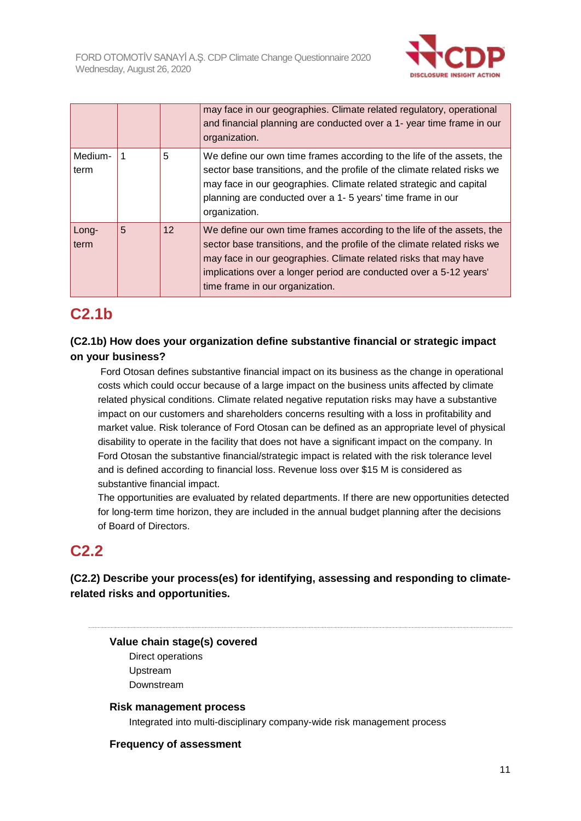

|                 |   |    | may face in our geographies. Climate related regulatory, operational<br>and financial planning are conducted over a 1- year time frame in our<br>organization.                                                                                                                                                                  |
|-----------------|---|----|---------------------------------------------------------------------------------------------------------------------------------------------------------------------------------------------------------------------------------------------------------------------------------------------------------------------------------|
| Medium-<br>term |   | 5  | We define our own time frames according to the life of the assets, the<br>sector base transitions, and the profile of the climate related risks we<br>may face in our geographies. Climate related strategic and capital<br>planning are conducted over a 1-5 years' time frame in our<br>organization.                         |
| Long-<br>term   | 5 | 12 | We define our own time frames according to the life of the assets, the<br>sector base transitions, and the profile of the climate related risks we<br>may face in our geographies. Climate related risks that may have<br>implications over a longer period are conducted over a 5-12 years'<br>time frame in our organization. |

# **C2.1b**

## **(C2.1b) How does your organization define substantive financial or strategic impact on your business?**

Ford Otosan defines substantive financial impact on its business as the change in operational costs which could occur because of a large impact on the business units affected by climate related physical conditions. Climate related negative reputation risks may have a substantive impact on our customers and shareholders concerns resulting with a loss in profitability and market value. Risk tolerance of Ford Otosan can be defined as an appropriate level of physical disability to operate in the facility that does not have a significant impact on the company. In Ford Otosan the substantive financial/strategic impact is related with the risk tolerance level and is defined according to financial loss. Revenue loss over \$15 M is considered as substantive financial impact.

The opportunities are evaluated by related departments. If there are new opportunities detected for long-term time horizon, they are included in the annual budget planning after the decisions of Board of Directors.

# **C2.2**

**(C2.2) Describe your process(es) for identifying, assessing and responding to climaterelated risks and opportunities.**

## **Value chain stage(s) covered**

Direct operations Upstream Downstream

#### **Risk management process**

Integrated into multi-disciplinary company-wide risk management process

#### **Frequency of assessment**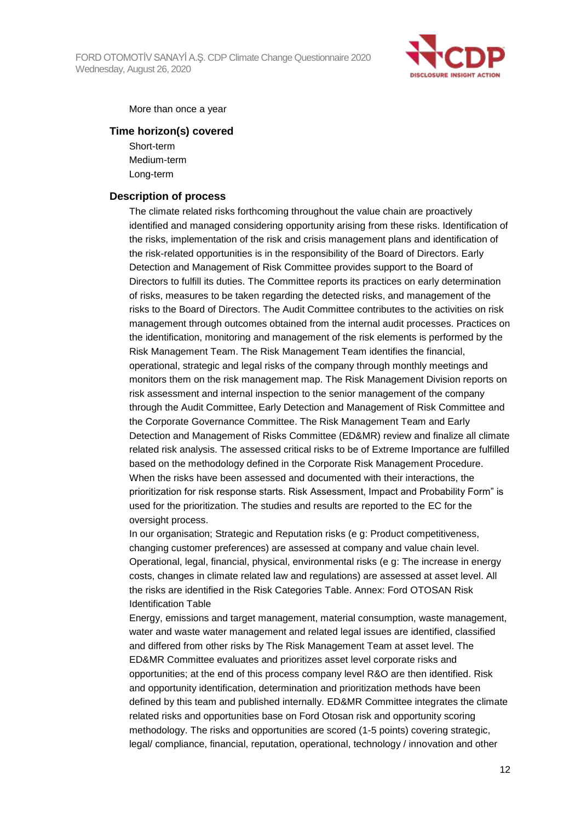

More than once a year

#### **Time horizon(s) covered**

Short-term Medium-term Long-term

#### **Description of process**

The climate related risks forthcoming throughout the value chain are proactively identified and managed considering opportunity arising from these risks. Identification of the risks, implementation of the risk and crisis management plans and identification of the risk-related opportunities is in the responsibility of the Board of Directors. Early Detection and Management of Risk Committee provides support to the Board of Directors to fulfill its duties. The Committee reports its practices on early determination of risks, measures to be taken regarding the detected risks, and management of the risks to the Board of Directors. The Audit Committee contributes to the activities on risk management through outcomes obtained from the internal audit processes. Practices on the identification, monitoring and management of the risk elements is performed by the Risk Management Team. The Risk Management Team identifies the financial, operational, strategic and legal risks of the company through monthly meetings and monitors them on the risk management map. The Risk Management Division reports on risk assessment and internal inspection to the senior management of the company through the Audit Committee, Early Detection and Management of Risk Committee and the Corporate Governance Committee. The Risk Management Team and Early Detection and Management of Risks Committee (ED&MR) review and finalize all climate related risk analysis. The assessed critical risks to be of Extreme Importance are fulfilled based on the methodology defined in the Corporate Risk Management Procedure. When the risks have been assessed and documented with their interactions, the prioritization for risk response starts. Risk Assessment, Impact and Probability Form" is used for the prioritization. The studies and results are reported to the EC for the oversight process.

In our organisation; Strategic and Reputation risks (e g: Product competitiveness, changing customer preferences) are assessed at company and value chain level. Operational, legal, financial, physical, environmental risks (e g: The increase in energy costs, changes in climate related law and regulations) are assessed at asset level. All the risks are identified in the Risk Categories Table. Annex: Ford OTOSAN Risk Identification Table

Energy, emissions and target management, material consumption, waste management, water and waste water management and related legal issues are identified, classified and differed from other risks by The Risk Management Team at asset level. The ED&MR Committee evaluates and prioritizes asset level corporate risks and opportunities; at the end of this process company level R&O are then identified. Risk and opportunity identification, determination and prioritization methods have been defined by this team and published internally. ED&MR Committee integrates the climate related risks and opportunities base on Ford Otosan risk and opportunity scoring methodology. The risks and opportunities are scored (1-5 points) covering strategic, legal/ compliance, financial, reputation, operational, technology / innovation and other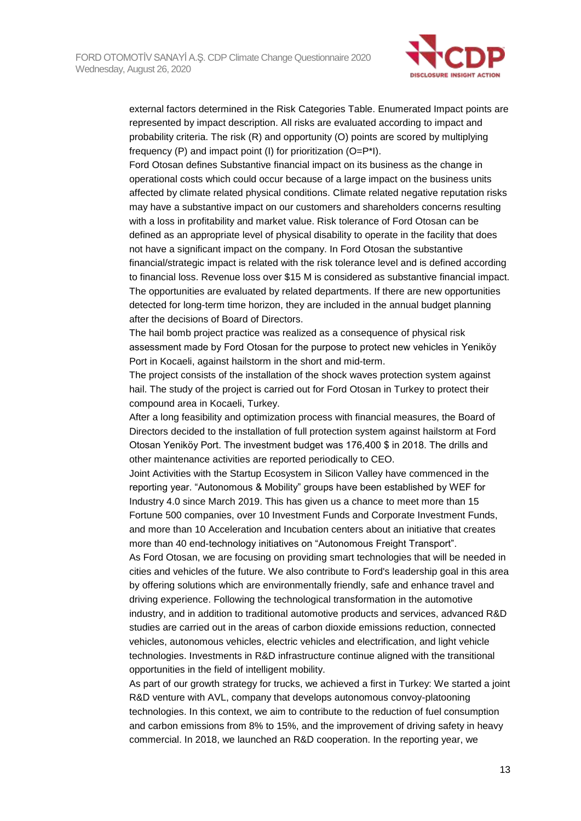

external factors determined in the Risk Categories Table. Enumerated Impact points are represented by impact description. All risks are evaluated according to impact and probability criteria. The risk (R) and opportunity (O) points are scored by multiplying frequency (P) and impact point (I) for prioritization (O=P\*I).

Ford Otosan defines Substantive financial impact on its business as the change in operational costs which could occur because of a large impact on the business units affected by climate related physical conditions. Climate related negative reputation risks may have a substantive impact on our customers and shareholders concerns resulting with a loss in profitability and market value. Risk tolerance of Ford Otosan can be defined as an appropriate level of physical disability to operate in the facility that does not have a significant impact on the company. In Ford Otosan the substantive financial/strategic impact is related with the risk tolerance level and is defined according to financial loss. Revenue loss over \$15 M is considered as substantive financial impact. The opportunities are evaluated by related departments. If there are new opportunities detected for long-term time horizon, they are included in the annual budget planning after the decisions of Board of Directors.

The hail bomb project practice was realized as a consequence of physical risk assessment made by Ford Otosan for the purpose to protect new vehicles in Yeniköy Port in Kocaeli, against hailstorm in the short and mid-term.

The project consists of the installation of the shock waves protection system against hail. The study of the project is carried out for Ford Otosan in Turkey to protect their compound area in Kocaeli, Turkey.

After a long feasibility and optimization process with financial measures, the Board of Directors decided to the installation of full protection system against hailstorm at Ford Otosan Yeniköy Port. The investment budget was 176,400 \$ in 2018. The drills and other maintenance activities are reported periodically to CEO.

Joint Activities with the Startup Ecosystem in Silicon Valley have commenced in the reporting year. "Autonomous & Mobility" groups have been established by WEF for Industry 4.0 since March 2019. This has given us a chance to meet more than 15 Fortune 500 companies, over 10 Investment Funds and Corporate Investment Funds, and more than 10 Acceleration and Incubation centers about an initiative that creates more than 40 end-technology initiatives on "Autonomous Freight Transport".

As Ford Otosan, we are focusing on providing smart technologies that will be needed in cities and vehicles of the future. We also contribute to Ford's leadership goal in this area by offering solutions which are environmentally friendly, safe and enhance travel and driving experience. Following the technological transformation in the automotive industry, and in addition to traditional automotive products and services, advanced R&D studies are carried out in the areas of carbon dioxide emissions reduction, connected vehicles, autonomous vehicles, electric vehicles and electrification, and light vehicle technologies. Investments in R&D infrastructure continue aligned with the transitional opportunities in the field of intelligent mobility.

As part of our growth strategy for trucks, we achieved a first in Turkey: We started a joint R&D venture with AVL, company that develops autonomous convoy-platooning technologies. In this context, we aim to contribute to the reduction of fuel consumption and carbon emissions from 8% to 15%, and the improvement of driving safety in heavy commercial. In 2018, we launched an R&D cooperation. In the reporting year, we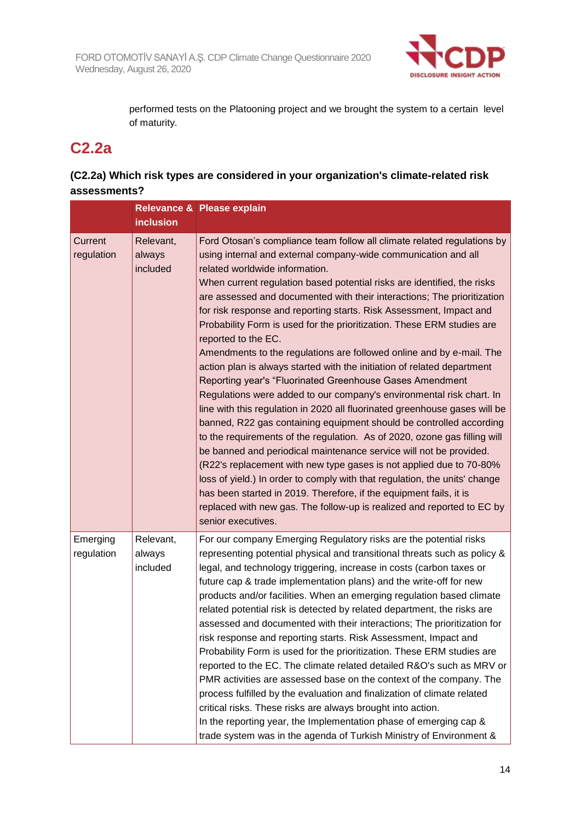

performed tests on the Platooning project and we brought the system to a certain level of maturity.

# **C2.2a**

# **(C2.2a) Which risk types are considered in your organization's climate-related risk assessments?**

|                        |                                 | Relevance & Please explain                                                                                                                                                                                                                                                                                                                                                                                                                                                                                                                                                                                                                                                                                                                                                                                                                                                                                                                                                                                                                                                                                                                                                                                                                                                                                                                                                                                                          |
|------------------------|---------------------------------|-------------------------------------------------------------------------------------------------------------------------------------------------------------------------------------------------------------------------------------------------------------------------------------------------------------------------------------------------------------------------------------------------------------------------------------------------------------------------------------------------------------------------------------------------------------------------------------------------------------------------------------------------------------------------------------------------------------------------------------------------------------------------------------------------------------------------------------------------------------------------------------------------------------------------------------------------------------------------------------------------------------------------------------------------------------------------------------------------------------------------------------------------------------------------------------------------------------------------------------------------------------------------------------------------------------------------------------------------------------------------------------------------------------------------------------|
|                        | <b>inclusion</b>                |                                                                                                                                                                                                                                                                                                                                                                                                                                                                                                                                                                                                                                                                                                                                                                                                                                                                                                                                                                                                                                                                                                                                                                                                                                                                                                                                                                                                                                     |
| Current<br>regulation  | Relevant,<br>always<br>included | Ford Otosan's compliance team follow all climate related regulations by<br>using internal and external company-wide communication and all<br>related worldwide information.<br>When current regulation based potential risks are identified, the risks<br>are assessed and documented with their interactions; The prioritization<br>for risk response and reporting starts. Risk Assessment, Impact and<br>Probability Form is used for the prioritization. These ERM studies are<br>reported to the EC.<br>Amendments to the regulations are followed online and by e-mail. The<br>action plan is always started with the initiation of related department<br>Reporting year's "Fluorinated Greenhouse Gases Amendment<br>Regulations were added to our company's environmental risk chart. In<br>line with this regulation in 2020 all fluorinated greenhouse gases will be<br>banned, R22 gas containing equipment should be controlled according<br>to the requirements of the regulation. As of 2020, ozone gas filling will<br>be banned and periodical maintenance service will not be provided.<br>(R22's replacement with new type gases is not applied due to 70-80%<br>loss of yield.) In order to comply with that regulation, the units' change<br>has been started in 2019. Therefore, if the equipment fails, it is<br>replaced with new gas. The follow-up is realized and reported to EC by<br>senior executives. |
| Emerging<br>regulation | Relevant,<br>always<br>included | For our company Emerging Regulatory risks are the potential risks<br>representing potential physical and transitional threats such as policy &<br>legal, and technology triggering, increase in costs (carbon taxes or<br>future cap & trade implementation plans) and the write-off for new<br>products and/or facilities. When an emerging regulation based climate<br>related potential risk is detected by related department, the risks are<br>assessed and documented with their interactions; The prioritization for<br>risk response and reporting starts. Risk Assessment, Impact and<br>Probability Form is used for the prioritization. These ERM studies are<br>reported to the EC. The climate related detailed R&O's such as MRV or<br>PMR activities are assessed base on the context of the company. The<br>process fulfilled by the evaluation and finalization of climate related<br>critical risks. These risks are always brought into action.<br>In the reporting year, the Implementation phase of emerging cap &<br>trade system was in the agenda of Turkish Ministry of Environment &                                                                                                                                                                                                                                                                                                                      |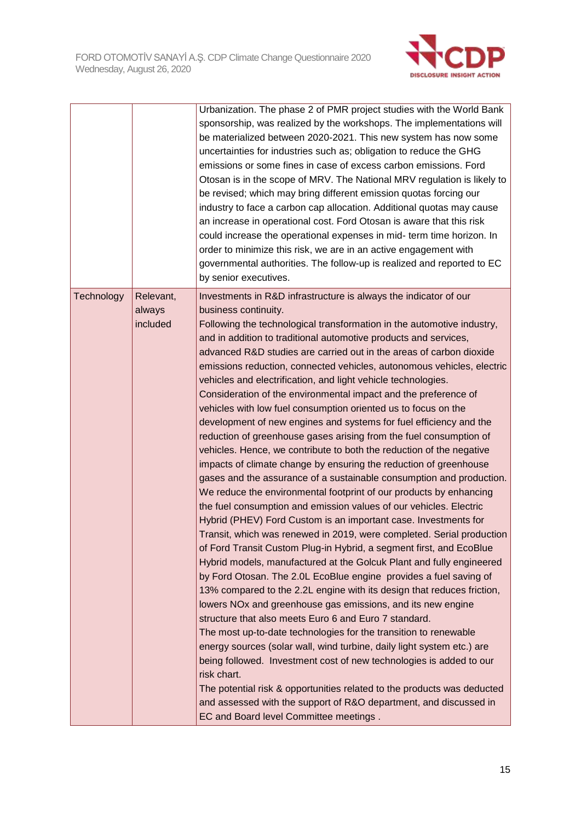

|            |                                 | Urbanization. The phase 2 of PMR project studies with the World Bank<br>sponsorship, was realized by the workshops. The implementations will<br>be materialized between 2020-2021. This new system has now some<br>uncertainties for industries such as; obligation to reduce the GHG<br>emissions or some fines in case of excess carbon emissions. Ford<br>Otosan is in the scope of MRV. The National MRV regulation is likely to<br>be revised; which may bring different emission quotas forcing our<br>industry to face a carbon cap allocation. Additional quotas may cause<br>an increase in operational cost. Ford Otosan is aware that this risk<br>could increase the operational expenses in mid- term time horizon. In<br>order to minimize this risk, we are in an active engagement with<br>governmental authorities. The follow-up is realized and reported to EC<br>by senior executives.                                                                                                                                                                                                                                                                                                                                                                                                                                                                                                                                                                                                                                                                                                                                                                                                                                                                                                                                                                                                                                                                                                                                                                                                 |
|------------|---------------------------------|------------------------------------------------------------------------------------------------------------------------------------------------------------------------------------------------------------------------------------------------------------------------------------------------------------------------------------------------------------------------------------------------------------------------------------------------------------------------------------------------------------------------------------------------------------------------------------------------------------------------------------------------------------------------------------------------------------------------------------------------------------------------------------------------------------------------------------------------------------------------------------------------------------------------------------------------------------------------------------------------------------------------------------------------------------------------------------------------------------------------------------------------------------------------------------------------------------------------------------------------------------------------------------------------------------------------------------------------------------------------------------------------------------------------------------------------------------------------------------------------------------------------------------------------------------------------------------------------------------------------------------------------------------------------------------------------------------------------------------------------------------------------------------------------------------------------------------------------------------------------------------------------------------------------------------------------------------------------------------------------------------------------------------------------------------------------------------------------------------|
| Technology | Relevant,<br>always<br>included | Investments in R&D infrastructure is always the indicator of our<br>business continuity.<br>Following the technological transformation in the automotive industry,<br>and in addition to traditional automotive products and services,<br>advanced R&D studies are carried out in the areas of carbon dioxide<br>emissions reduction, connected vehicles, autonomous vehicles, electric<br>vehicles and electrification, and light vehicle technologies.<br>Consideration of the environmental impact and the preference of<br>vehicles with low fuel consumption oriented us to focus on the<br>development of new engines and systems for fuel efficiency and the<br>reduction of greenhouse gases arising from the fuel consumption of<br>vehicles. Hence, we contribute to both the reduction of the negative<br>impacts of climate change by ensuring the reduction of greenhouse<br>gases and the assurance of a sustainable consumption and production.<br>We reduce the environmental footprint of our products by enhancing<br>the fuel consumption and emission values of our vehicles. Electric<br>Hybrid (PHEV) Ford Custom is an important case. Investments for<br>Transit, which was renewed in 2019, were completed. Serial production<br>of Ford Transit Custom Plug-in Hybrid, a segment first, and EcoBlue<br>Hybrid models, manufactured at the Golcuk Plant and fully engineered<br>by Ford Otosan. The 2.0L EcoBlue engine provides a fuel saving of<br>13% compared to the 2.2L engine with its design that reduces friction,<br>lowers NOx and greenhouse gas emissions, and its new engine<br>structure that also meets Euro 6 and Euro 7 standard.<br>The most up-to-date technologies for the transition to renewable<br>energy sources (solar wall, wind turbine, daily light system etc.) are<br>being followed. Investment cost of new technologies is added to our<br>risk chart.<br>The potential risk & opportunities related to the products was deducted<br>and assessed with the support of R&O department, and discussed in<br>EC and Board level Committee meetings. |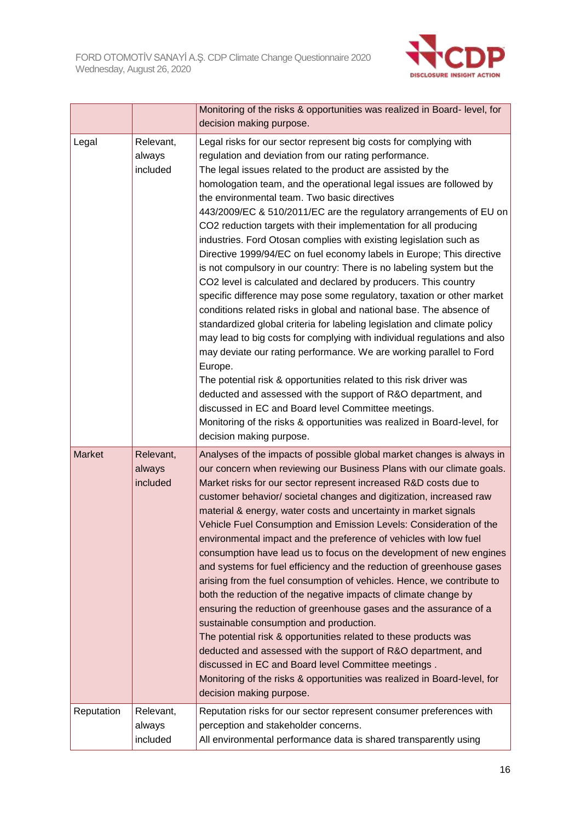

|               |                                 | Monitoring of the risks & opportunities was realized in Board- level, for<br>decision making purpose.                                                                                                                                                                                                                                                                                                                                                                                                                                                                                                                                                                                                                                                                                                                                                                                                                                                                                                                                                                                                                                                                                                                                                                                                                                                                                                                                                    |
|---------------|---------------------------------|----------------------------------------------------------------------------------------------------------------------------------------------------------------------------------------------------------------------------------------------------------------------------------------------------------------------------------------------------------------------------------------------------------------------------------------------------------------------------------------------------------------------------------------------------------------------------------------------------------------------------------------------------------------------------------------------------------------------------------------------------------------------------------------------------------------------------------------------------------------------------------------------------------------------------------------------------------------------------------------------------------------------------------------------------------------------------------------------------------------------------------------------------------------------------------------------------------------------------------------------------------------------------------------------------------------------------------------------------------------------------------------------------------------------------------------------------------|
| Legal         | Relevant,<br>always<br>included | Legal risks for our sector represent big costs for complying with<br>regulation and deviation from our rating performance.<br>The legal issues related to the product are assisted by the<br>homologation team, and the operational legal issues are followed by<br>the environmental team. Two basic directives<br>443/2009/EC & 510/2011/EC are the regulatory arrangements of EU on<br>CO2 reduction targets with their implementation for all producing<br>industries. Ford Otosan complies with existing legislation such as<br>Directive 1999/94/EC on fuel economy labels in Europe; This directive<br>is not compulsory in our country: There is no labeling system but the<br>CO2 level is calculated and declared by producers. This country<br>specific difference may pose some regulatory, taxation or other market<br>conditions related risks in global and national base. The absence of<br>standardized global criteria for labeling legislation and climate policy<br>may lead to big costs for complying with individual regulations and also<br>may deviate our rating performance. We are working parallel to Ford<br>Europe.<br>The potential risk & opportunities related to this risk driver was<br>deducted and assessed with the support of R&O department, and<br>discussed in EC and Board level Committee meetings.<br>Monitoring of the risks & opportunities was realized in Board-level, for<br>decision making purpose. |
| <b>Market</b> | Relevant,<br>always<br>included | Analyses of the impacts of possible global market changes is always in<br>our concern when reviewing our Business Plans with our climate goals.<br>Market risks for our sector represent increased R&D costs due to<br>customer behavior/ societal changes and digitization, increased raw<br>material & energy, water costs and uncertainty in market signals<br>Vehicle Fuel Consumption and Emission Levels: Consideration of the<br>environmental impact and the preference of vehicles with low fuel<br>consumption have lead us to focus on the development of new engines<br>and systems for fuel efficiency and the reduction of greenhouse gases<br>arising from the fuel consumption of vehicles. Hence, we contribute to<br>both the reduction of the negative impacts of climate change by<br>ensuring the reduction of greenhouse gases and the assurance of a<br>sustainable consumption and production.<br>The potential risk & opportunities related to these products was<br>deducted and assessed with the support of R&O department, and<br>discussed in EC and Board level Committee meetings.<br>Monitoring of the risks & opportunities was realized in Board-level, for<br>decision making purpose.                                                                                                                                                                                                                               |
| Reputation    | Relevant,<br>always<br>included | Reputation risks for our sector represent consumer preferences with<br>perception and stakeholder concerns.<br>All environmental performance data is shared transparently using                                                                                                                                                                                                                                                                                                                                                                                                                                                                                                                                                                                                                                                                                                                                                                                                                                                                                                                                                                                                                                                                                                                                                                                                                                                                          |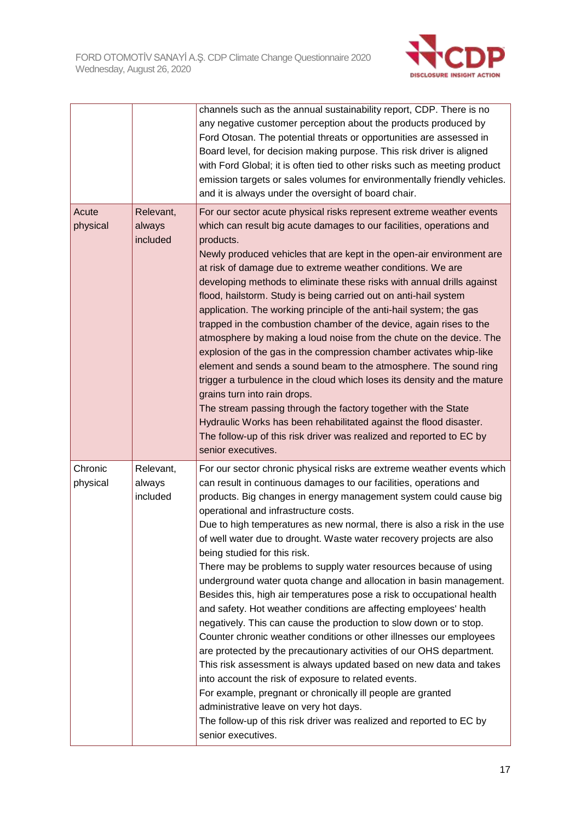

|                     |                                 | channels such as the annual sustainability report, CDP. There is no<br>any negative customer perception about the products produced by<br>Ford Otosan. The potential threats or opportunities are assessed in<br>Board level, for decision making purpose. This risk driver is aligned<br>with Ford Global; it is often tied to other risks such as meeting product<br>emission targets or sales volumes for environmentally friendly vehicles.<br>and it is always under the oversight of board chair.                                                                                                                                                                                                                                                                                                                                                                                                                                                                                                                                                                                                                                                                                                                                                                                           |
|---------------------|---------------------------------|---------------------------------------------------------------------------------------------------------------------------------------------------------------------------------------------------------------------------------------------------------------------------------------------------------------------------------------------------------------------------------------------------------------------------------------------------------------------------------------------------------------------------------------------------------------------------------------------------------------------------------------------------------------------------------------------------------------------------------------------------------------------------------------------------------------------------------------------------------------------------------------------------------------------------------------------------------------------------------------------------------------------------------------------------------------------------------------------------------------------------------------------------------------------------------------------------------------------------------------------------------------------------------------------------|
| Acute<br>physical   | Relevant,<br>always<br>included | For our sector acute physical risks represent extreme weather events<br>which can result big acute damages to our facilities, operations and<br>products.<br>Newly produced vehicles that are kept in the open-air environment are<br>at risk of damage due to extreme weather conditions. We are<br>developing methods to eliminate these risks with annual drills against<br>flood, hailstorm. Study is being carried out on anti-hail system<br>application. The working principle of the anti-hail system; the gas<br>trapped in the combustion chamber of the device, again rises to the<br>atmosphere by making a loud noise from the chute on the device. The<br>explosion of the gas in the compression chamber activates whip-like<br>element and sends a sound beam to the atmosphere. The sound ring<br>trigger a turbulence in the cloud which loses its density and the mature<br>grains turn into rain drops.<br>The stream passing through the factory together with the State<br>Hydraulic Works has been rehabilitated against the flood disaster.<br>The follow-up of this risk driver was realized and reported to EC by<br>senior executives.                                                                                                                                 |
| Chronic<br>physical | Relevant,<br>always<br>included | For our sector chronic physical risks are extreme weather events which<br>can result in continuous damages to our facilities, operations and<br>products. Big changes in energy management system could cause big<br>operational and infrastructure costs.<br>Due to high temperatures as new normal, there is also a risk in the use<br>of well water due to drought. Waste water recovery projects are also<br>being studied for this risk.<br>There may be problems to supply water resources because of using<br>underground water quota change and allocation in basin management.<br>Besides this, high air temperatures pose a risk to occupational health<br>and safety. Hot weather conditions are affecting employees' health<br>negatively. This can cause the production to slow down or to stop.<br>Counter chronic weather conditions or other illnesses our employees<br>are protected by the precautionary activities of our OHS department.<br>This risk assessment is always updated based on new data and takes<br>into account the risk of exposure to related events.<br>For example, pregnant or chronically ill people are granted<br>administrative leave on very hot days.<br>The follow-up of this risk driver was realized and reported to EC by<br>senior executives. |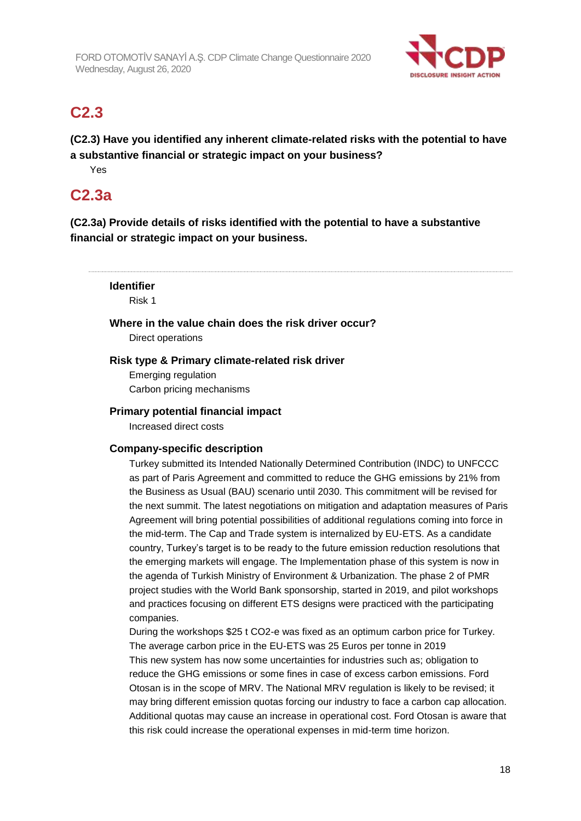

# **C2.3**

**(C2.3) Have you identified any inherent climate-related risks with the potential to have a substantive financial or strategic impact on your business?**

Yes

# **C2.3a**

**(C2.3a) Provide details of risks identified with the potential to have a substantive financial or strategic impact on your business.**

**Identifier** Risk 1 **Where in the value chain does the risk driver occur?** Direct operations **Risk type & Primary climate-related risk driver**

Emerging regulation Carbon pricing mechanisms

### **Primary potential financial impact**

Increased direct costs

#### **Company-specific description**

Turkey submitted its Intended Nationally Determined Contribution (INDC) to UNFCCC as part of Paris Agreement and committed to reduce the GHG emissions by 21% from the Business as Usual (BAU) scenario until 2030. This commitment will be revised for the next summit. The latest negotiations on mitigation and adaptation measures of Paris Agreement will bring potential possibilities of additional regulations coming into force in the mid-term. The Cap and Trade system is internalized by EU-ETS. As a candidate country, Turkey's target is to be ready to the future emission reduction resolutions that the emerging markets will engage. The Implementation phase of this system is now in the agenda of Turkish Ministry of Environment & Urbanization. The phase 2 of PMR project studies with the World Bank sponsorship, started in 2019, and pilot workshops and practices focusing on different ETS designs were practiced with the participating companies.

During the workshops \$25 t CO2-e was fixed as an optimum carbon price for Turkey. The average carbon price in the EU-ETS was 25 Euros per tonne in 2019 This new system has now some uncertainties for industries such as; obligation to reduce the GHG emissions or some fines in case of excess carbon emissions. Ford Otosan is in the scope of MRV. The National MRV regulation is likely to be revised; it may bring different emission quotas forcing our industry to face a carbon cap allocation. Additional quotas may cause an increase in operational cost. Ford Otosan is aware that this risk could increase the operational expenses in mid-term time horizon.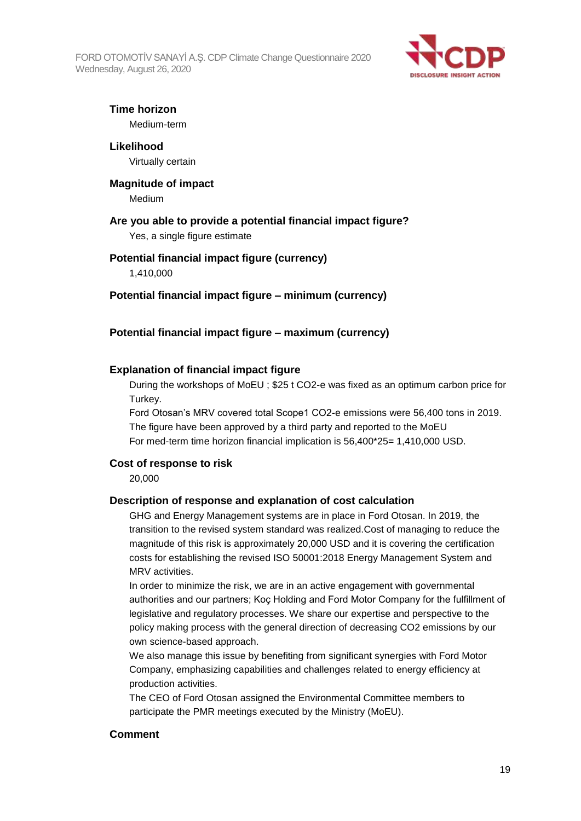FORD OTOMOTİV SANAYİ A.Ş. CDP Climate Change Questionnaire 2020 Wednesday, August 26, 2020



### **Time horizon**

Medium-term

# **Likelihood**

Virtually certain

# **Magnitude of impact**

Medium

### **Are you able to provide a potential financial impact figure?**

Yes, a single figure estimate

### **Potential financial impact figure (currency)**

1,410,000

#### **Potential financial impact figure – minimum (currency)**

### **Potential financial impact figure – maximum (currency)**

### **Explanation of financial impact figure**

During the workshops of MoEU ; \$25 t CO2-e was fixed as an optimum carbon price for Turkey.

Ford Otosan's MRV covered total Scope1 CO2-e emissions were 56,400 tons in 2019. The figure have been approved by a third party and reported to the MoEU For med-term time horizon financial implication is 56,400\*25= 1,410,000 USD.

#### **Cost of response to risk**

20,000

#### **Description of response and explanation of cost calculation**

GHG and Energy Management systems are in place in Ford Otosan. In 2019, the transition to the revised system standard was realized.Cost of managing to reduce the magnitude of this risk is approximately 20,000 USD and it is covering the certification costs for establishing the revised ISO 50001:2018 Energy Management System and MRV activities.

In order to minimize the risk, we are in an active engagement with governmental authorities and our partners; Koç Holding and Ford Motor Company for the fulfillment of legislative and regulatory processes. We share our expertise and perspective to the policy making process with the general direction of decreasing CO2 emissions by our own science-based approach.

We also manage this issue by benefiting from significant synergies with Ford Motor Company, emphasizing capabilities and challenges related to energy efficiency at production activities.

The CEO of Ford Otosan assigned the Environmental Committee members to participate the PMR meetings executed by the Ministry (MoEU).

#### **Comment**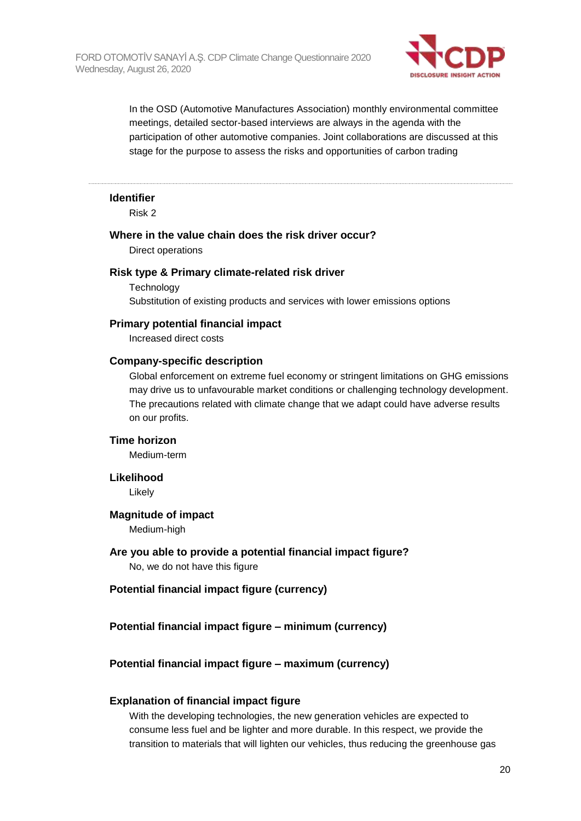

In the OSD (Automotive Manufactures Association) monthly environmental committee meetings, detailed sector-based interviews are always in the agenda with the participation of other automotive companies. Joint collaborations are discussed at this stage for the purpose to assess the risks and opportunities of carbon trading

#### **Identifier**

Risk 2

#### **Where in the value chain does the risk driver occur?**

Direct operations

#### **Risk type & Primary climate-related risk driver**

**Technology** Substitution of existing products and services with lower emissions options

#### **Primary potential financial impact**

Increased direct costs

#### **Company-specific description**

Global enforcement on extreme fuel economy or stringent limitations on GHG emissions may drive us to unfavourable market conditions or challenging technology development. The precautions related with climate change that we adapt could have adverse results on our profits.

#### **Time horizon**

Medium-term

#### **Likelihood**

Likely

#### **Magnitude of impact**

Medium-high

## **Are you able to provide a potential financial impact figure?**

No, we do not have this figure

#### **Potential financial impact figure (currency)**

#### **Potential financial impact figure – minimum (currency)**

#### **Potential financial impact figure – maximum (currency)**

#### **Explanation of financial impact figure**

With the developing technologies, the new generation vehicles are expected to consume less fuel and be lighter and more durable. In this respect, we provide the transition to materials that will lighten our vehicles, thus reducing the greenhouse gas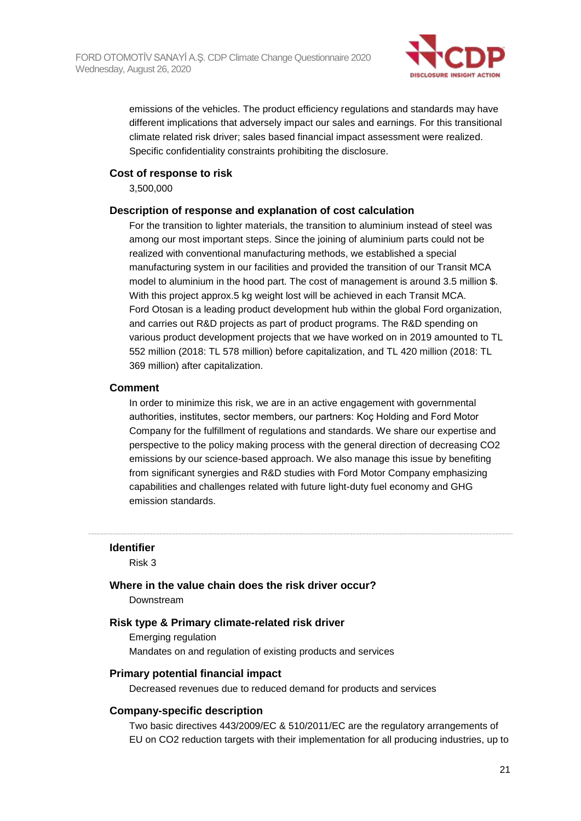

emissions of the vehicles. The product efficiency regulations and standards may have different implications that adversely impact our sales and earnings. For this transitional climate related risk driver; sales based financial impact assessment were realized. Specific confidentiality constraints prohibiting the disclosure.

#### **Cost of response to risk**

3,500,000

#### **Description of response and explanation of cost calculation**

For the transition to lighter materials, the transition to aluminium instead of steel was among our most important steps. Since the joining of aluminium parts could not be realized with conventional manufacturing methods, we established a special manufacturing system in our facilities and provided the transition of our Transit MCA model to aluminium in the hood part. The cost of management is around 3.5 million \$. With this project approx.5 kg weight lost will be achieved in each Transit MCA. Ford Otosan is a leading product development hub within the global Ford organization, and carries out R&D projects as part of product programs. The R&D spending on various product development projects that we have worked on in 2019 amounted to TL 552 million (2018: TL 578 million) before capitalization, and TL 420 million (2018: TL 369 million) after capitalization.

#### **Comment**

In order to minimize this risk, we are in an active engagement with governmental authorities, institutes, sector members, our partners: Koç Holding and Ford Motor Company for the fulfillment of regulations and standards. We share our expertise and perspective to the policy making process with the general direction of decreasing CO2 emissions by our science-based approach. We also manage this issue by benefiting from significant synergies and R&D studies with Ford Motor Company emphasizing capabilities and challenges related with future light-duty fuel economy and GHG emission standards.

#### **Identifier**

Risk 3

#### **Where in the value chain does the risk driver occur?**

Downstream

#### **Risk type & Primary climate-related risk driver**

Emerging regulation Mandates on and regulation of existing products and services

#### **Primary potential financial impact**

Decreased revenues due to reduced demand for products and services

#### **Company-specific description**

Two basic directives 443/2009/EC & 510/2011/EC are the regulatory arrangements of EU on CO2 reduction targets with their implementation for all producing industries, up to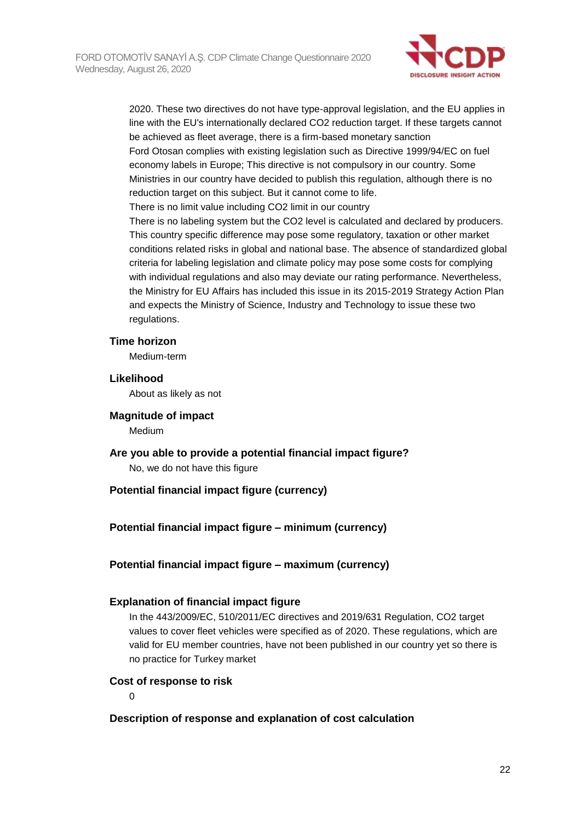

2020. These two directives do not have type-approval legislation, and the EU applies in line with the EU's internationally declared CO2 reduction target. If these targets cannot be achieved as fleet average, there is a firm-based monetary sanction Ford Otosan complies with existing legislation such as Directive 1999/94/EC on fuel economy labels in Europe; This directive is not compulsory in our country. Some Ministries in our country have decided to publish this regulation, although there is no reduction target on this subject. But it cannot come to life.

There is no limit value including CO2 limit in our country

There is no labeling system but the CO2 level is calculated and declared by producers. This country specific difference may pose some regulatory, taxation or other market conditions related risks in global and national base. The absence of standardized global criteria for labeling legislation and climate policy may pose some costs for complying with individual regulations and also may deviate our rating performance. Nevertheless, the Ministry for EU Affairs has included this issue in its 2015-2019 Strategy Action Plan and expects the Ministry of Science, Industry and Technology to issue these two regulations.

#### **Time horizon**

Medium-term

#### **Likelihood**

About as likely as not

#### **Magnitude of impact**

Medium

**Are you able to provide a potential financial impact figure?** No, we do not have this figure

#### **Potential financial impact figure (currency)**

#### **Potential financial impact figure – minimum (currency)**

#### **Potential financial impact figure – maximum (currency)**

#### **Explanation of financial impact figure**

In the 443/2009/EC, 510/2011/EC directives and 2019/631 Regulation, CO2 target values to cover fleet vehicles were specified as of 2020. These regulations, which are valid for EU member countries, have not been published in our country yet so there is no practice for Turkey market

#### **Cost of response to risk**

 $\Omega$ 

#### **Description of response and explanation of cost calculation**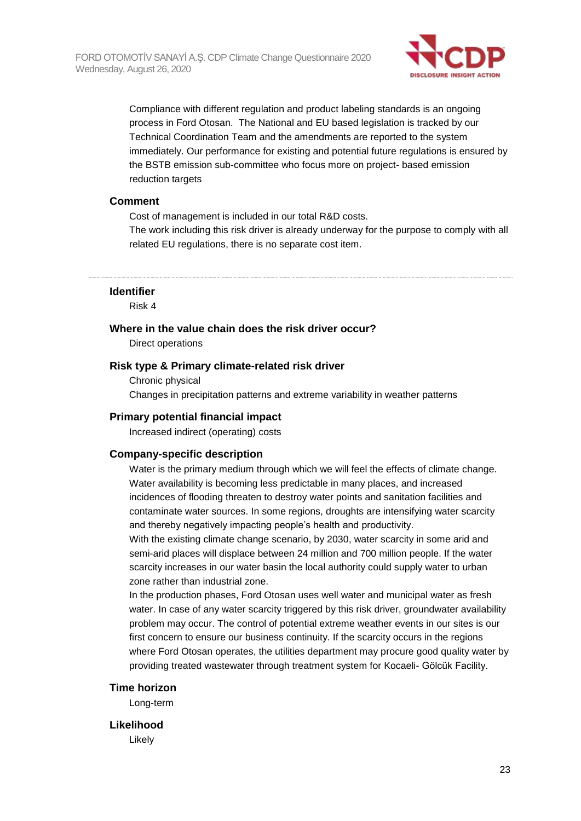

Compliance with different regulation and product labeling standards is an ongoing process in Ford Otosan. The National and EU based legislation is tracked by our Technical Coordination Team and the amendments are reported to the system immediately. Our performance for existing and potential future regulations is ensured by the BSTB emission sub-committee who focus more on project- based emission reduction targets

#### **Comment**

Cost of management is included in our total R&D costs.

The work including this risk driver is already underway for the purpose to comply with all related EU regulations, there is no separate cost item.

**Identifier**

Risk 4

#### **Where in the value chain does the risk driver occur?**

Direct operations

#### **Risk type & Primary climate-related risk driver**

Chronic physical Changes in precipitation patterns and extreme variability in weather patterns

#### **Primary potential financial impact**

Increased indirect (operating) costs

#### **Company-specific description**

Water is the primary medium through which we will feel the effects of climate change. Water availability is becoming less predictable in many places, and increased incidences of flooding threaten to destroy water points and sanitation facilities and contaminate water sources. In some regions, droughts are intensifying water scarcity and thereby negatively impacting people's health and productivity.

With the existing climate change scenario, by 2030, water scarcity in some arid and semi-arid places will displace between 24 million and 700 million people. If the water scarcity increases in our water basin the local authority could supply water to urban zone rather than industrial zone.

In the production phases, Ford Otosan uses well water and municipal water as fresh water. In case of any water scarcity triggered by this risk driver, groundwater availability problem may occur. The control of potential extreme weather events in our sites is our first concern to ensure our business continuity. If the scarcity occurs in the regions where Ford Otosan operates, the utilities department may procure good quality water by providing treated wastewater through treatment system for Kocaeli- Gölcük Facility.

#### **Time horizon**

Long-term

#### **Likelihood**

Likely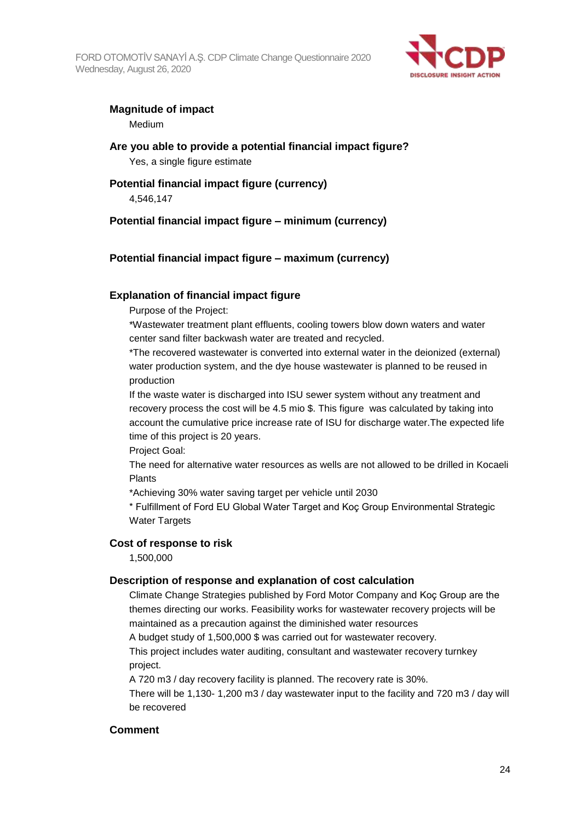FORD OTOMOTİV SANAYİ A.Ş. CDP Climate Change Questionnaire 2020 Wednesday, August 26, 2020



# **Magnitude of impact**

Medium

# **Are you able to provide a potential financial impact figure?**

Yes, a single figure estimate

# **Potential financial impact figure (currency)**

4,546,147

## **Potential financial impact figure – minimum (currency)**

## **Potential financial impact figure – maximum (currency)**

### **Explanation of financial impact figure**

Purpose of the Project:

\*Wastewater treatment plant effluents, cooling towers blow down waters and water center sand filter backwash water are treated and recycled.

\*The recovered wastewater is converted into external water in the deionized (external) water production system, and the dye house wastewater is planned to be reused in production

If the waste water is discharged into ISU sewer system without any treatment and recovery process the cost will be 4.5 mio \$. This figure was calculated by taking into account the cumulative price increase rate of ISU for discharge water.The expected life time of this project is 20 years.

Project Goal:

The need for alternative water resources as wells are not allowed to be drilled in Kocaeli Plants

\*Achieving 30% water saving target per vehicle until 2030

\* Fulfillment of Ford EU Global Water Target and Koç Group Environmental Strategic Water Targets

## **Cost of response to risk**

1,500,000

#### **Description of response and explanation of cost calculation**

Climate Change Strategies published by Ford Motor Company and Koç Group are the themes directing our works. Feasibility works for wastewater recovery projects will be maintained as a precaution against the diminished water resources

A budget study of 1,500,000 \$ was carried out for wastewater recovery.

This project includes water auditing, consultant and wastewater recovery turnkey project.

A 720 m3 / day recovery facility is planned. The recovery rate is 30%.

There will be 1,130- 1,200 m3 / day wastewater input to the facility and 720 m3 / day will be recovered

#### **Comment**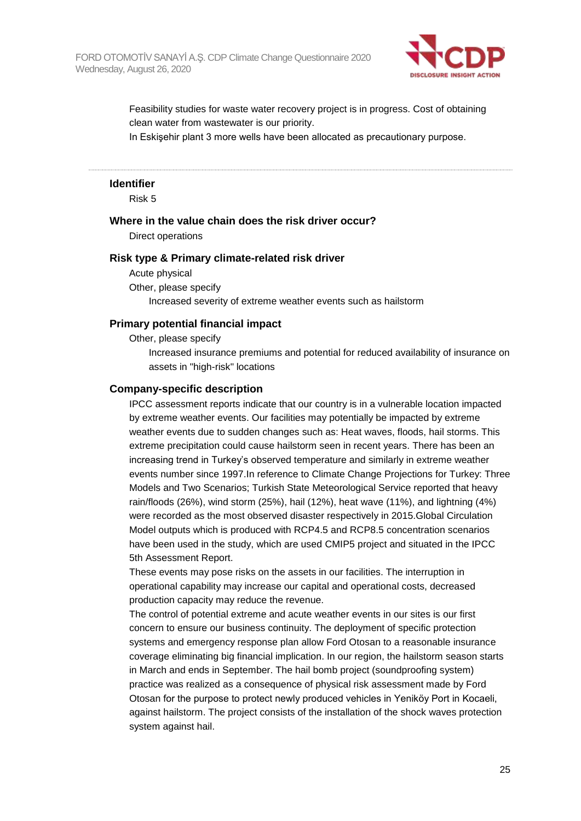

Feasibility studies for waste water recovery project is in progress. Cost of obtaining clean water from wastewater is our priority.

In Eskişehir plant 3 more wells have been allocated as precautionary purpose.

#### **Identifier**

Risk 5

#### **Where in the value chain does the risk driver occur?**

Direct operations

#### **Risk type & Primary climate-related risk driver**

Acute physical Other, please specify Increased severity of extreme weather events such as hailstorm

#### **Primary potential financial impact**

Other, please specify

Increased insurance premiums and potential for reduced availability of insurance on assets in "high-risk" locations

#### **Company-specific description**

IPCC assessment reports indicate that our country is in a vulnerable location impacted by extreme weather events. Our facilities may potentially be impacted by extreme weather events due to sudden changes such as: Heat waves, floods, hail storms. This extreme precipitation could cause hailstorm seen in recent years. There has been an increasing trend in Turkey's observed temperature and similarly in extreme weather events number since 1997.In reference to Climate Change Projections for Turkey: Three Models and Two Scenarios; Turkish State Meteorological Service reported that heavy rain/floods (26%), wind storm (25%), hail (12%), heat wave (11%), and lightning (4%) were recorded as the most observed disaster respectively in 2015.Global Circulation Model outputs which is produced with RCP4.5 and RCP8.5 concentration scenarios have been used in the study, which are used CMIP5 project and situated in the IPCC 5th Assessment Report.

These events may pose risks on the assets in our facilities. The interruption in operational capability may increase our capital and operational costs, decreased production capacity may reduce the revenue.

The control of potential extreme and acute weather events in our sites is our first concern to ensure our business continuity. The deployment of specific protection systems and emergency response plan allow Ford Otosan to a reasonable insurance coverage eliminating big financial implication. In our region, the hailstorm season starts in March and ends in September. The hail bomb project (soundproofing system) practice was realized as a consequence of physical risk assessment made by Ford Otosan for the purpose to protect newly produced vehicles in Yeniköy Port in Kocaeli, against hailstorm. The project consists of the installation of the shock waves protection system against hail.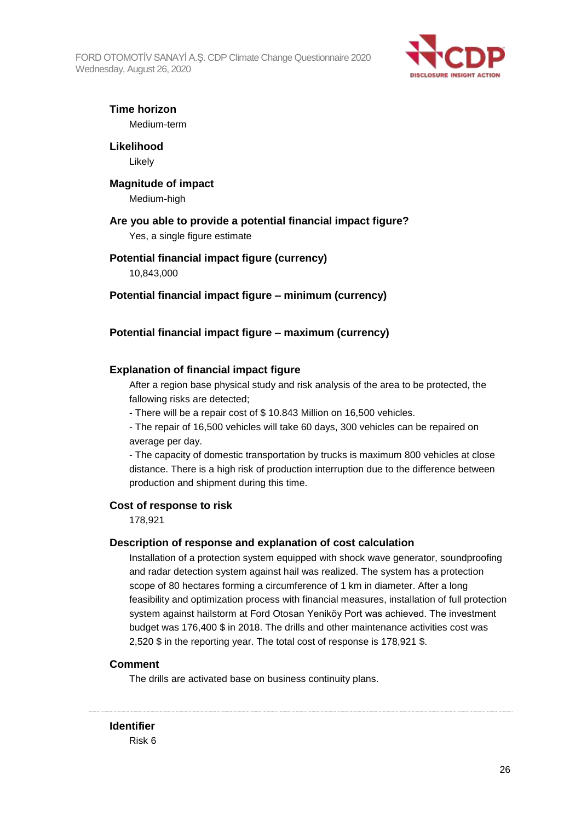FORD OTOMOTİV SANAYİ A.Ş. CDP Climate Change Questionnaire 2020 Wednesday, August 26, 2020



### **Time horizon**

Medium-term

# **Likelihood**

Likely

### **Magnitude of impact**

Medium-high

### **Are you able to provide a potential financial impact figure?**

Yes, a single figure estimate

### **Potential financial impact figure (currency)**

10,843,000

#### **Potential financial impact figure – minimum (currency)**

### **Potential financial impact figure – maximum (currency)**

### **Explanation of financial impact figure**

After a region base physical study and risk analysis of the area to be protected, the fallowing risks are detected;

- There will be a repair cost of \$ 10.843 Million on 16,500 vehicles.
- The repair of 16,500 vehicles will take 60 days, 300 vehicles can be repaired on average per day.

- The capacity of domestic transportation by trucks is maximum 800 vehicles at close distance. There is a high risk of production interruption due to the difference between production and shipment during this time.

#### **Cost of response to risk**

178,921

#### **Description of response and explanation of cost calculation**

Installation of a protection system equipped with shock wave generator, soundproofing and radar detection system against hail was realized. The system has a protection scope of 80 hectares forming a circumference of 1 km in diameter. After a long feasibility and optimization process with financial measures, installation of full protection system against hailstorm at Ford Otosan Yeniköy Port was achieved. The investment budget was 176,400 \$ in 2018. The drills and other maintenance activities cost was 2,520 \$ in the reporting year. The total cost of response is 178,921 \$.

#### **Comment**

The drills are activated base on business continuity plans.

**Identifier**

Risk 6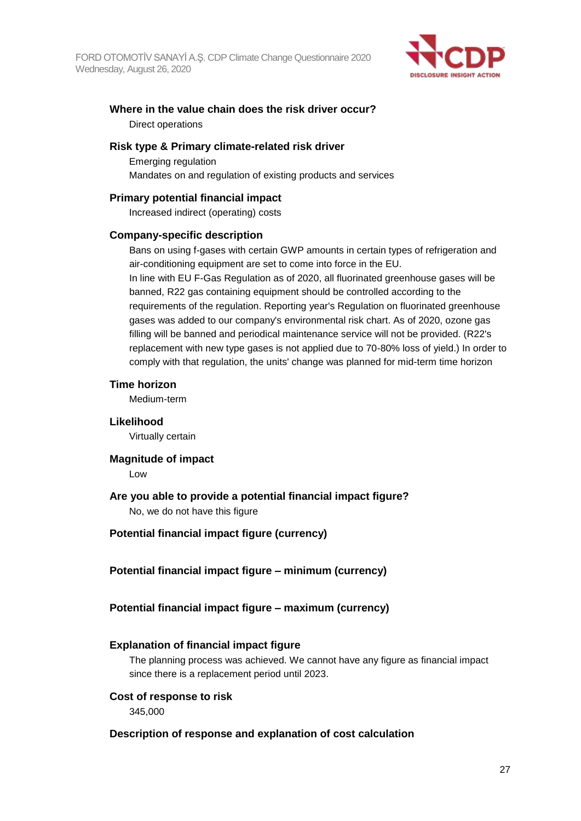

# **Where in the value chain does the risk driver occur?** Direct operations

#### **Risk type & Primary climate-related risk driver**

Emerging regulation Mandates on and regulation of existing products and services

### **Primary potential financial impact**

Increased indirect (operating) costs

#### **Company-specific description**

Bans on using f-gases with certain GWP amounts in certain types of refrigeration and air-conditioning equipment are set to come into force in the EU. In line with EU F-Gas Regulation as of 2020, all fluorinated greenhouse gases will be banned, R22 gas containing equipment should be controlled according to the requirements of the regulation. Reporting year's Regulation on fluorinated greenhouse

gases was added to our company's environmental risk chart. As of 2020, ozone gas filling will be banned and periodical maintenance service will not be provided. (R22's replacement with new type gases is not applied due to 70-80% loss of yield.) In order to comply with that regulation, the units' change was planned for mid-term time horizon

#### **Time horizon**

Medium-term

#### **Likelihood**

Virtually certain

#### **Magnitude of impact**

Low

## **Are you able to provide a potential financial impact figure?**

No, we do not have this figure

## **Potential financial impact figure (currency)**

## **Potential financial impact figure – minimum (currency)**

## **Potential financial impact figure – maximum (currency)**

## **Explanation of financial impact figure**

The planning process was achieved. We cannot have any figure as financial impact since there is a replacement period until 2023.

#### **Cost of response to risk**

345,000

#### **Description of response and explanation of cost calculation**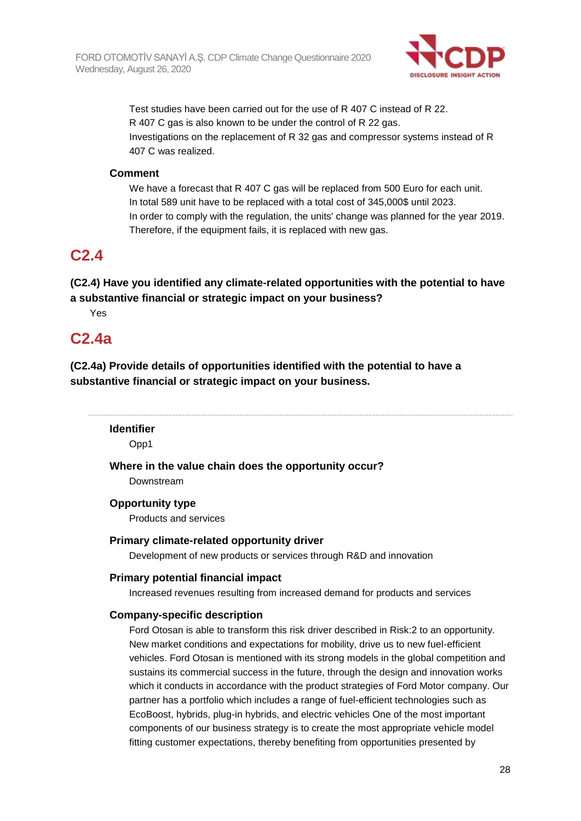

Test studies have been carried out for the use of R 407 C instead of R 22. R 407 C gas is also known to be under the control of R 22 gas. Investigations on the replacement of R 32 gas and compressor systems instead of R 407 C was realized.

### **Comment**

We have a forecast that R 407 C gas will be replaced from 500 Euro for each unit. In total 589 unit have to be replaced with a total cost of 345,000\$ until 2023. In order to comply with the regulation, the units' change was planned for the year 2019. Therefore, if the equipment fails, it is replaced with new gas.

# **C2.4**

**(C2.4) Have you identified any climate-related opportunities with the potential to have a substantive financial or strategic impact on your business?**

Yes

# **C2.4a**

**(C2.4a) Provide details of opportunities identified with the potential to have a substantive financial or strategic impact on your business.**

**Identifier**

Opp1

**Where in the value chain does the opportunity occur?** Downstream

### **Opportunity type**

Products and services

#### **Primary climate-related opportunity driver**

Development of new products or services through R&D and innovation

#### **Primary potential financial impact**

Increased revenues resulting from increased demand for products and services

#### **Company-specific description**

Ford Otosan is able to transform this risk driver described in Risk:2 to an opportunity. New market conditions and expectations for mobility, drive us to new fuel-efficient vehicles. Ford Otosan is mentioned with its strong models in the global competition and sustains its commercial success in the future, through the design and innovation works which it conducts in accordance with the product strategies of Ford Motor company. Our partner has a portfolio which includes a range of fuel-efficient technologies such as EcoBoost, hybrids, plug-in hybrids, and electric vehicles One of the most important components of our business strategy is to create the most appropriate vehicle model fitting customer expectations, thereby benefiting from opportunities presented by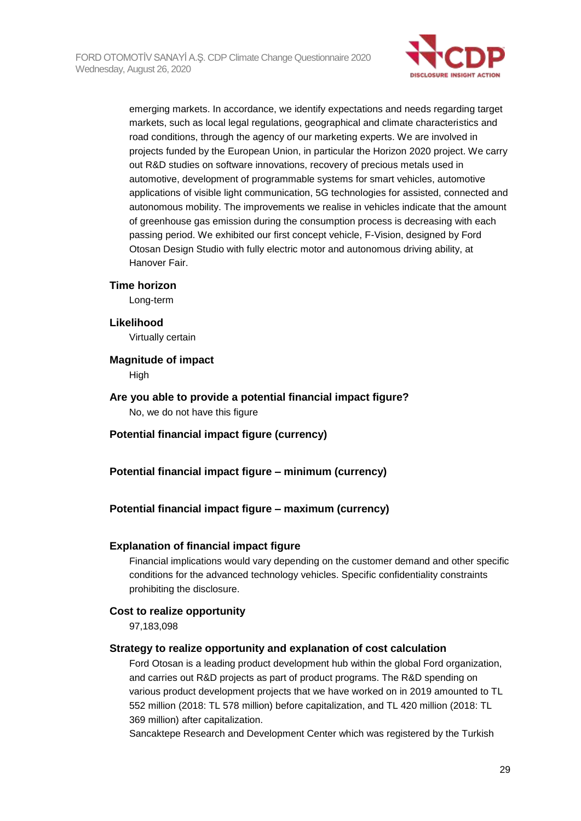

emerging markets. In accordance, we identify expectations and needs regarding target markets, such as local legal regulations, geographical and climate characteristics and road conditions, through the agency of our marketing experts. We are involved in projects funded by the European Union, in particular the Horizon 2020 project. We carry out R&D studies on software innovations, recovery of precious metals used in automotive, development of programmable systems for smart vehicles, automotive applications of visible light communication, 5G technologies for assisted, connected and autonomous mobility. The improvements we realise in vehicles indicate that the amount of greenhouse gas emission during the consumption process is decreasing with each passing period. We exhibited our first concept vehicle, F-Vision, designed by Ford Otosan Design Studio with fully electric motor and autonomous driving ability, at Hanover Fair.

#### **Time horizon**

Long-term

#### **Likelihood**

Virtually certain

#### **Magnitude of impact**

High

**Are you able to provide a potential financial impact figure?** No, we do not have this figure

#### **Potential financial impact figure (currency)**

#### **Potential financial impact figure – minimum (currency)**

#### **Potential financial impact figure – maximum (currency)**

#### **Explanation of financial impact figure**

Financial implications would vary depending on the customer demand and other specific conditions for the advanced technology vehicles. Specific confidentiality constraints prohibiting the disclosure.

#### **Cost to realize opportunity**

97,183,098

#### **Strategy to realize opportunity and explanation of cost calculation**

Ford Otosan is a leading product development hub within the global Ford organization, and carries out R&D projects as part of product programs. The R&D spending on various product development projects that we have worked on in 2019 amounted to TL 552 million (2018: TL 578 million) before capitalization, and TL 420 million (2018: TL 369 million) after capitalization.

Sancaktepe Research and Development Center which was registered by the Turkish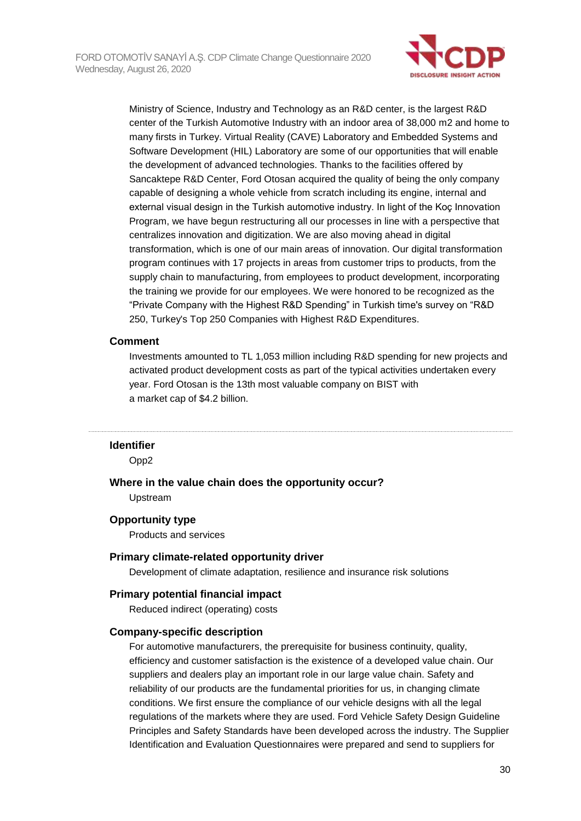

Ministry of Science, Industry and Technology as an R&D center, is the largest R&D center of the Turkish Automotive Industry with an indoor area of 38,000 m2 and home to many firsts in Turkey. Virtual Reality (CAVE) Laboratory and Embedded Systems and Software Development (HIL) Laboratory are some of our opportunities that will enable the development of advanced technologies. Thanks to the facilities offered by Sancaktepe R&D Center, Ford Otosan acquired the quality of being the only company capable of designing a whole vehicle from scratch including its engine, internal and external visual design in the Turkish automotive industry. In light of the Koç Innovation Program, we have begun restructuring all our processes in line with a perspective that centralizes innovation and digitization. We are also moving ahead in digital transformation, which is one of our main areas of innovation. Our digital transformation program continues with 17 projects in areas from customer trips to products, from the supply chain to manufacturing, from employees to product development, incorporating the training we provide for our employees. We were honored to be recognized as the "Private Company with the Highest R&D Spending" in Turkish time's survey on "R&D 250, Turkey's Top 250 Companies with Highest R&D Expenditures.

#### **Comment**

Investments amounted to TL 1,053 million including R&D spending for new projects and activated product development costs as part of the typical activities undertaken every year. Ford Otosan is the 13th most valuable company on BIST with a market cap of \$4.2 billion.

#### **Identifier**

Opp2

#### **Where in the value chain does the opportunity occur?**

Upstream

#### **Opportunity type**

Products and services

#### **Primary climate-related opportunity driver**

Development of climate adaptation, resilience and insurance risk solutions

#### **Primary potential financial impact**

Reduced indirect (operating) costs

#### **Company-specific description**

For automotive manufacturers, the prerequisite for business continuity, quality, efficiency and customer satisfaction is the existence of a developed value chain. Our suppliers and dealers play an important role in our large value chain. Safety and reliability of our products are the fundamental priorities for us, in changing climate conditions. We first ensure the compliance of our vehicle designs with all the legal regulations of the markets where they are used. Ford Vehicle Safety Design Guideline Principles and Safety Standards have been developed across the industry. The Supplier Identification and Evaluation Questionnaires were prepared and send to suppliers for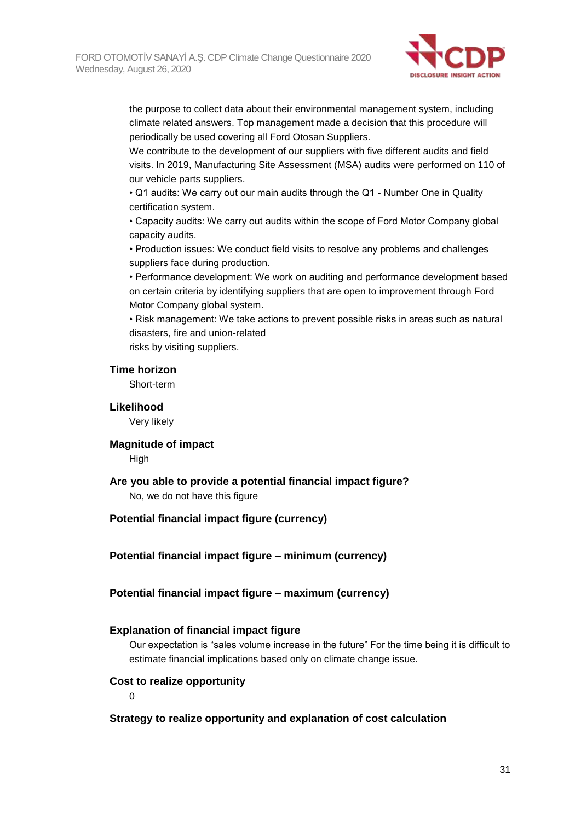

the purpose to collect data about their environmental management system, including climate related answers. Top management made a decision that this procedure will periodically be used covering all Ford Otosan Suppliers.

We contribute to the development of our suppliers with five different audits and field visits. In 2019, Manufacturing Site Assessment (MSA) audits were performed on 110 of our vehicle parts suppliers.

• Q1 audits: We carry out our main audits through the Q1 - Number One in Quality certification system.

• Capacity audits: We carry out audits within the scope of Ford Motor Company global capacity audits.

• Production issues: We conduct field visits to resolve any problems and challenges suppliers face during production.

• Performance development: We work on auditing and performance development based on certain criteria by identifying suppliers that are open to improvement through Ford Motor Company global system.

• Risk management: We take actions to prevent possible risks in areas such as natural disasters, fire and union-related

risks by visiting suppliers.

#### **Time horizon**

Short-term

**Likelihood**

Very likely

#### **Magnitude of impact**

**High** 

#### **Are you able to provide a potential financial impact figure?**

No, we do not have this figure

#### **Potential financial impact figure (currency)**

**Potential financial impact figure – minimum (currency)**

#### **Potential financial impact figure – maximum (currency)**

#### **Explanation of financial impact figure**

Our expectation is "sales volume increase in the future" For the time being it is difficult to estimate financial implications based only on climate change issue.

#### **Cost to realize opportunity**

 $\Omega$ 

#### **Strategy to realize opportunity and explanation of cost calculation**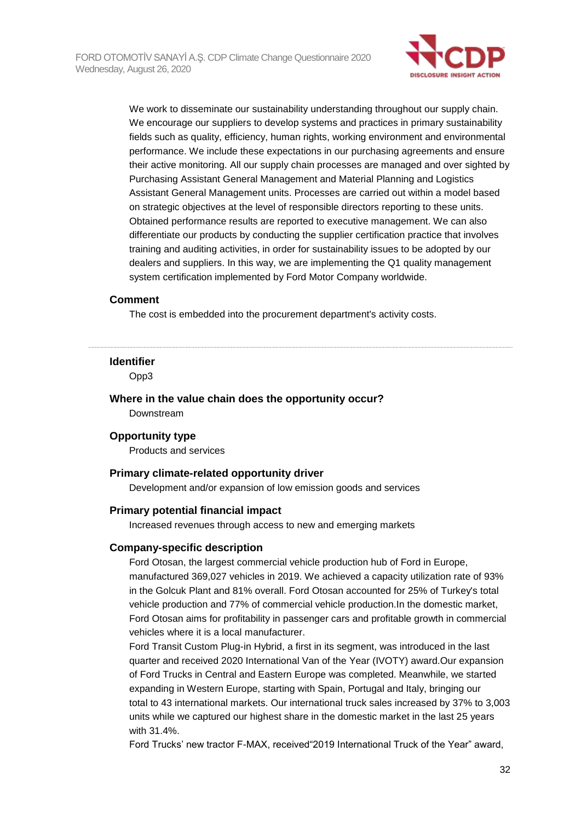

We work to disseminate our sustainability understanding throughout our supply chain. We encourage our suppliers to develop systems and practices in primary sustainability fields such as quality, efficiency, human rights, working environment and environmental performance. We include these expectations in our purchasing agreements and ensure their active monitoring. All our supply chain processes are managed and over sighted by Purchasing Assistant General Management and Material Planning and Logistics Assistant General Management units. Processes are carried out within a model based on strategic objectives at the level of responsible directors reporting to these units. Obtained performance results are reported to executive management. We can also differentiate our products by conducting the supplier certification practice that involves training and auditing activities, in order for sustainability issues to be adopted by our dealers and suppliers. In this way, we are implementing the Q1 quality management system certification implemented by Ford Motor Company worldwide.

#### **Comment**

The cost is embedded into the procurement department's activity costs.

#### **Identifier**

Opp3

#### **Where in the value chain does the opportunity occur?** Downstream

#### **Opportunity type**

Products and services

#### **Primary climate-related opportunity driver**

Development and/or expansion of low emission goods and services

#### **Primary potential financial impact**

Increased revenues through access to new and emerging markets

#### **Company-specific description**

Ford Otosan, the largest commercial vehicle production hub of Ford in Europe, manufactured 369,027 vehicles in 2019. We achieved a capacity utilization rate of 93% in the Golcuk Plant and 81% overall. Ford Otosan accounted for 25% of Turkey's total vehicle production and 77% of commercial vehicle production.In the domestic market, Ford Otosan aims for profitability in passenger cars and profitable growth in commercial vehicles where it is a local manufacturer.

Ford Transit Custom Plug-in Hybrid, a first in its segment, was introduced in the last quarter and received 2020 International Van of the Year (IVOTY) award.Our expansion of Ford Trucks in Central and Eastern Europe was completed. Meanwhile, we started expanding in Western Europe, starting with Spain, Portugal and Italy, bringing our total to 43 international markets. Our international truck sales increased by 37% to 3,003 units while we captured our highest share in the domestic market in the last 25 years with 31.4%.

Ford Trucks' new tractor F-MAX, received"2019 International Truck of the Year" award,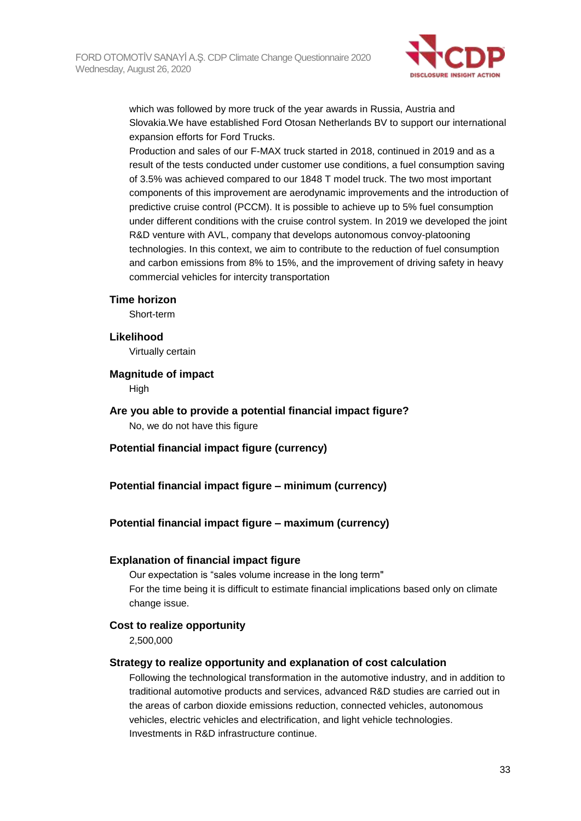

which was followed by more truck of the year awards in Russia, Austria and Slovakia.We have established Ford Otosan Netherlands BV to support our international expansion efforts for Ford Trucks.

Production and sales of our F-MAX truck started in 2018, continued in 2019 and as a result of the tests conducted under customer use conditions, a fuel consumption saving of 3.5% was achieved compared to our 1848 T model truck. The two most important components of this improvement are aerodynamic improvements and the introduction of predictive cruise control (PCCM). It is possible to achieve up to 5% fuel consumption under different conditions with the cruise control system. In 2019 we developed the joint R&D venture with AVL, company that develops autonomous convoy-platooning technologies. In this context, we aim to contribute to the reduction of fuel consumption and carbon emissions from 8% to 15%, and the improvement of driving safety in heavy commercial vehicles for intercity transportation

#### **Time horizon**

Short-term

#### **Likelihood**

Virtually certain

#### **Magnitude of impact**

**High** 

# **Are you able to provide a potential financial impact figure?**

No, we do not have this figure

#### **Potential financial impact figure (currency)**

### **Potential financial impact figure – minimum (currency)**

#### **Potential financial impact figure – maximum (currency)**

#### **Explanation of financial impact figure**

Our expectation is "sales volume increase in the long term" For the time being it is difficult to estimate financial implications based only on climate change issue.

#### **Cost to realize opportunity**

2,500,000

#### **Strategy to realize opportunity and explanation of cost calculation**

Following the technological transformation in the automotive industry, and in addition to traditional automotive products and services, advanced R&D studies are carried out in the areas of carbon dioxide emissions reduction, connected vehicles, autonomous vehicles, electric vehicles and electrification, and light vehicle technologies. Investments in R&D infrastructure continue.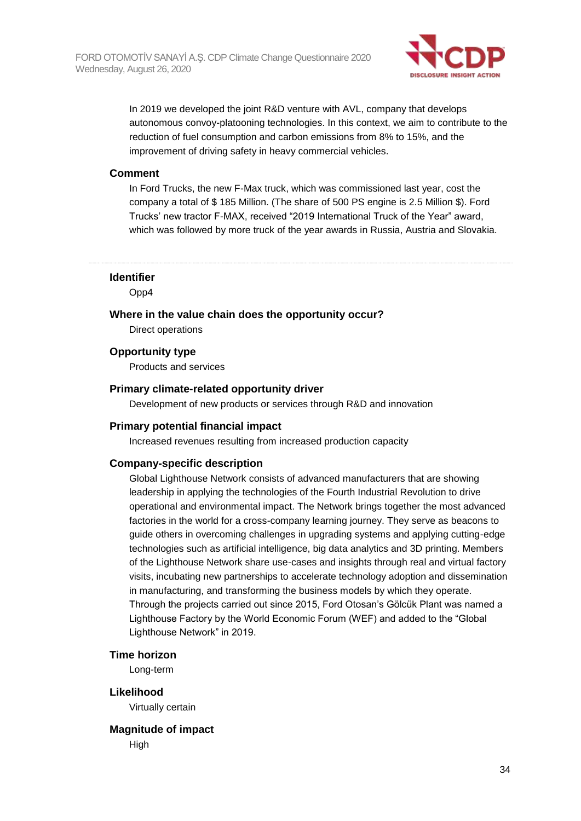

In 2019 we developed the joint R&D venture with AVL, company that develops autonomous convoy-platooning technologies. In this context, we aim to contribute to the reduction of fuel consumption and carbon emissions from 8% to 15%, and the improvement of driving safety in heavy commercial vehicles.

#### **Comment**

In Ford Trucks, the new F-Max truck, which was commissioned last year, cost the company a total of \$ 185 Million. (The share of 500 PS engine is 2.5 Million \$). Ford Trucks' new tractor F-MAX, received "2019 International Truck of the Year" award, which was followed by more truck of the year awards in Russia, Austria and Slovakia.

**Identifier**

Opp4

**Where in the value chain does the opportunity occur?**

Direct operations

**Opportunity type**

Products and services

#### **Primary climate-related opportunity driver**

Development of new products or services through R&D and innovation

#### **Primary potential financial impact**

Increased revenues resulting from increased production capacity

#### **Company-specific description**

Global Lighthouse Network consists of advanced manufacturers that are showing leadership in applying the technologies of the Fourth Industrial Revolution to drive operational and environmental impact. The Network brings together the most advanced factories in the world for a cross-company learning journey. They serve as beacons to guide others in overcoming challenges in upgrading systems and applying cutting-edge technologies such as artificial intelligence, big data analytics and 3D printing. Members of the Lighthouse Network share use-cases and insights through real and virtual factory visits, incubating new partnerships to accelerate technology adoption and dissemination in manufacturing, and transforming the business models by which they operate. Through the projects carried out since 2015, Ford Otosan's Gölcük Plant was named a Lighthouse Factory by the World Economic Forum (WEF) and added to the "Global Lighthouse Network" in 2019.

#### **Time horizon**

Long-term

#### **Likelihood**

Virtually certain

# **Magnitude of impact**

High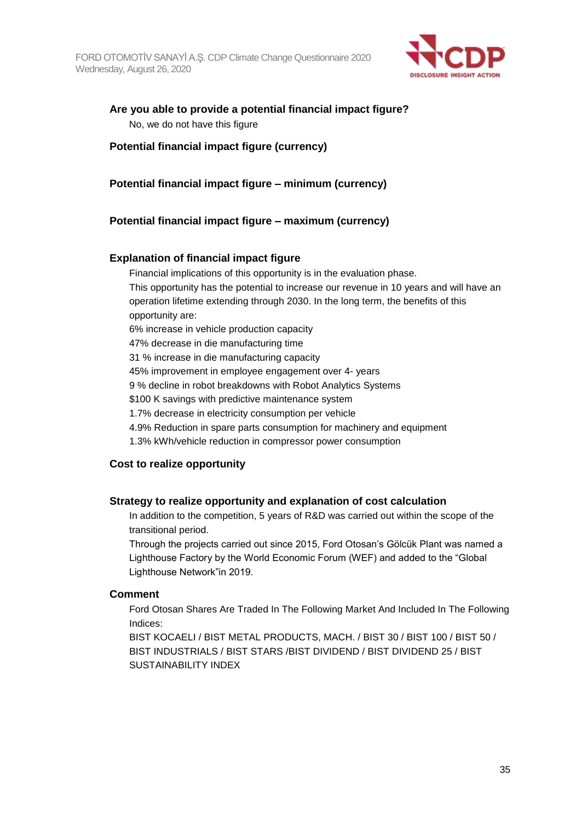

# **Are you able to provide a potential financial impact figure?** No, we do not have this figure

### **Potential financial impact figure (currency)**

**Potential financial impact figure – minimum (currency)**

## **Potential financial impact figure – maximum (currency)**

### **Explanation of financial impact figure**

Financial implications of this opportunity is in the evaluation phase.

This opportunity has the potential to increase our revenue in 10 years and will have an operation lifetime extending through 2030. In the long term, the benefits of this opportunity are:

6% increase in vehicle production capacity

47% decrease in die manufacturing time

31 % increase in die manufacturing capacity

45% improvement in employee engagement over 4- years

9 % decline in robot breakdowns with Robot Analytics Systems

\$100 K savings with predictive maintenance system

1.7% decrease in electricity consumption per vehicle

4.9% Reduction in spare parts consumption for machinery and equipment

1.3% kWh/vehicle reduction in compressor power consumption

## **Cost to realize opportunity**

#### **Strategy to realize opportunity and explanation of cost calculation**

In addition to the competition, 5 years of R&D was carried out within the scope of the transitional period.

Through the projects carried out since 2015, Ford Otosan's Gölcük Plant was named a Lighthouse Factory by the World Economic Forum (WEF) and added to the "Global Lighthouse Network"in 2019.

#### **Comment**

Ford Otosan Shares Are Traded In The Following Market And Included In The Following Indices:

BIST KOCAELI / BIST METAL PRODUCTS, MACH. / BIST 30 / BIST 100 / BIST 50 / BIST INDUSTRIALS / BIST STARS /BIST DIVIDEND / BIST DIVIDEND 25 / BIST SUSTAINABILITY INDEX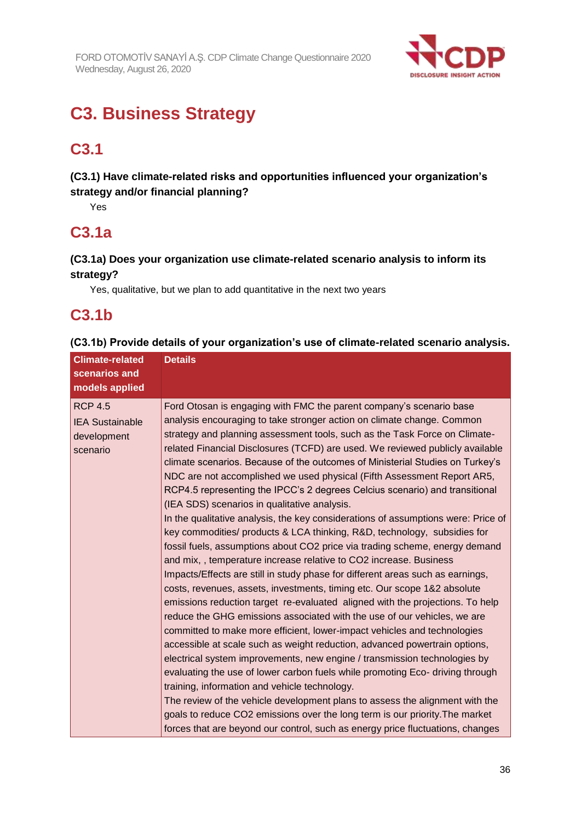

# **C3. Business Strategy**

# **C3.1**

# **(C3.1) Have climate-related risks and opportunities influenced your organization's strategy and/or financial planning?**

Yes

# **C3.1a**

## **(C3.1a) Does your organization use climate-related scenario analysis to inform its strategy?**

Yes, qualitative, but we plan to add quantitative in the next two years

# **C3.1b**

|  |  | (C3.1b) Provide details of your organization's use of climate-related scenario analysis. |  |  |
|--|--|------------------------------------------------------------------------------------------|--|--|
|  |  |                                                                                          |  |  |

| <b>Climate-related</b><br>scenarios and<br>models applied           | <b>Details</b>                                                                                                                                                                                                                                                                                                                                                                                                                                                                                                                                                                                                                                                                                                                                                                                                                                                                                                                                                                                                                                                                                                                                                                                                                                                                                                                                                                                                                                                                                                                                                                                                                                                                                                                                                                                                                                                                     |
|---------------------------------------------------------------------|------------------------------------------------------------------------------------------------------------------------------------------------------------------------------------------------------------------------------------------------------------------------------------------------------------------------------------------------------------------------------------------------------------------------------------------------------------------------------------------------------------------------------------------------------------------------------------------------------------------------------------------------------------------------------------------------------------------------------------------------------------------------------------------------------------------------------------------------------------------------------------------------------------------------------------------------------------------------------------------------------------------------------------------------------------------------------------------------------------------------------------------------------------------------------------------------------------------------------------------------------------------------------------------------------------------------------------------------------------------------------------------------------------------------------------------------------------------------------------------------------------------------------------------------------------------------------------------------------------------------------------------------------------------------------------------------------------------------------------------------------------------------------------------------------------------------------------------------------------------------------------|
| <b>RCP 4.5</b><br><b>IEA Sustainable</b><br>development<br>scenario | Ford Otosan is engaging with FMC the parent company's scenario base<br>analysis encouraging to take stronger action on climate change. Common<br>strategy and planning assessment tools, such as the Task Force on Climate-<br>related Financial Disclosures (TCFD) are used. We reviewed publicly available<br>climate scenarios. Because of the outcomes of Ministerial Studies on Turkey's<br>NDC are not accomplished we used physical (Fifth Assessment Report AR5,<br>RCP4.5 representing the IPCC's 2 degrees Celcius scenario) and transitional<br>(IEA SDS) scenarios in qualitative analysis.<br>In the qualitative analysis, the key considerations of assumptions were: Price of<br>key commodities/ products & LCA thinking, R&D, technology, subsidies for<br>fossil fuels, assumptions about CO2 price via trading scheme, energy demand<br>and mix,, temperature increase relative to CO2 increase. Business<br>Impacts/Effects are still in study phase for different areas such as earnings,<br>costs, revenues, assets, investments, timing etc. Our scope 1&2 absolute<br>emissions reduction target re-evaluated aligned with the projections. To help<br>reduce the GHG emissions associated with the use of our vehicles, we are<br>committed to make more efficient, lower-impact vehicles and technologies<br>accessible at scale such as weight reduction, advanced powertrain options,<br>electrical system improvements, new engine / transmission technologies by<br>evaluating the use of lower carbon fuels while promoting Eco- driving through<br>training, information and vehicle technology.<br>The review of the vehicle development plans to assess the alignment with the<br>goals to reduce CO2 emissions over the long term is our priority. The market<br>forces that are beyond our control, such as energy price fluctuations, changes |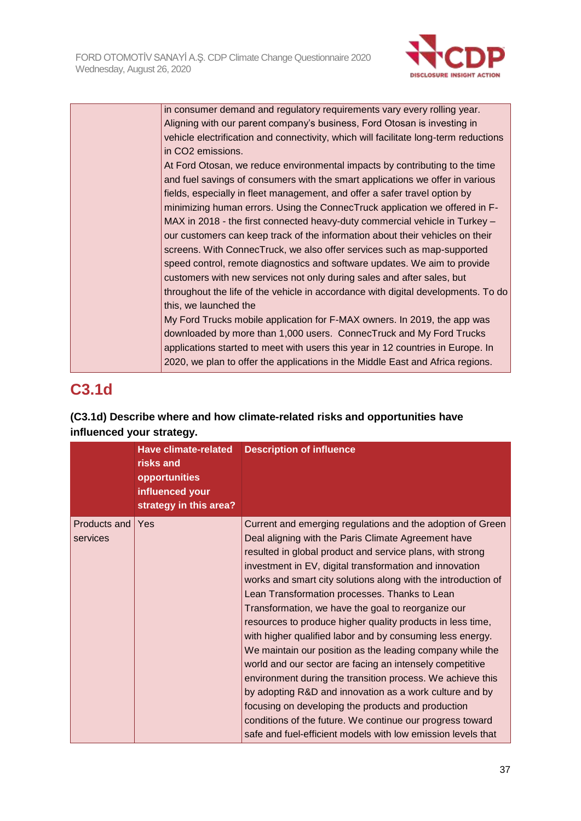

| in consumer demand and regulatory requirements vary every rolling year.              |
|--------------------------------------------------------------------------------------|
| Aligning with our parent company's business, Ford Otosan is investing in             |
| vehicle electrification and connectivity, which will facilitate long-term reductions |
| in CO2 emissions.                                                                    |
| At Ford Otosan, we reduce environmental impacts by contributing to the time          |
| and fuel savings of consumers with the smart applications we offer in various        |
| fields, especially in fleet management, and offer a safer travel option by           |
| minimizing human errors. Using the ConnecTruck application we offered in F-          |
| MAX in 2018 - the first connected heavy-duty commercial vehicle in Turkey -          |
| our customers can keep track of the information about their vehicles on their        |
| screens. With ConnecTruck, we also offer services such as map-supported              |
| speed control, remote diagnostics and software updates. We aim to provide            |
| customers with new services not only during sales and after sales, but               |
| throughout the life of the vehicle in accordance with digital developments. To do    |
| this, we launched the                                                                |
| My Ford Trucks mobile application for F-MAX owners. In 2019, the app was             |
| downloaded by more than 1,000 users. ConnecTruck and My Ford Trucks                  |
| applications started to meet with users this year in 12 countries in Europe. In      |
| 2020, we plan to offer the applications in the Middle East and Africa regions.       |

# **C3.1d**

# **(C3.1d) Describe where and how climate-related risks and opportunities have influenced your strategy.**

|                          | <b>Have climate-related</b><br>risks and<br>opportunities<br>influenced your<br>strategy in this area? | <b>Description of influence</b>                                                                                                                                                                                                                                                                                                                                                                                                                                                                                                                                                                                                                                                                                                                                                                                                                                                                                                                                                   |
|--------------------------|--------------------------------------------------------------------------------------------------------|-----------------------------------------------------------------------------------------------------------------------------------------------------------------------------------------------------------------------------------------------------------------------------------------------------------------------------------------------------------------------------------------------------------------------------------------------------------------------------------------------------------------------------------------------------------------------------------------------------------------------------------------------------------------------------------------------------------------------------------------------------------------------------------------------------------------------------------------------------------------------------------------------------------------------------------------------------------------------------------|
| Products and<br>services | Yes                                                                                                    | Current and emerging regulations and the adoption of Green<br>Deal aligning with the Paris Climate Agreement have<br>resulted in global product and service plans, with strong<br>investment in EV, digital transformation and innovation<br>works and smart city solutions along with the introduction of<br>Lean Transformation processes. Thanks to Lean<br>Transformation, we have the goal to reorganize our<br>resources to produce higher quality products in less time,<br>with higher qualified labor and by consuming less energy.<br>We maintain our position as the leading company while the<br>world and our sector are facing an intensely competitive<br>environment during the transition process. We achieve this<br>by adopting R&D and innovation as a work culture and by<br>focusing on developing the products and production<br>conditions of the future. We continue our progress toward<br>safe and fuel-efficient models with low emission levels that |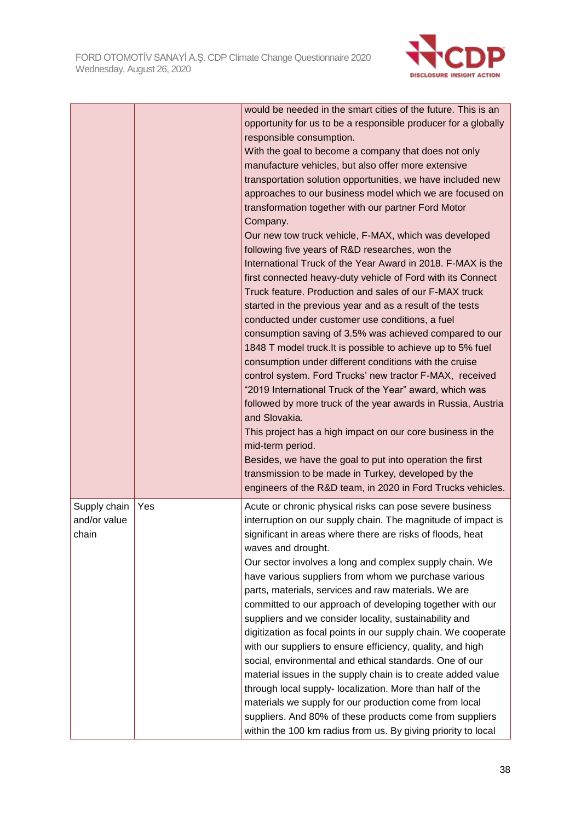

|                                       |     | would be needed in the smart cities of the future. This is an<br>opportunity for us to be a responsible producer for a globally<br>responsible consumption.<br>With the goal to become a company that does not only<br>manufacture vehicles, but also offer more extensive<br>transportation solution opportunities, we have included new<br>approaches to our business model which we are focused on<br>transformation together with our partner Ford Motor<br>Company.<br>Our new tow truck vehicle, F-MAX, which was developed<br>following five years of R&D researches, won the<br>International Truck of the Year Award in 2018. F-MAX is the<br>first connected heavy-duty vehicle of Ford with its Connect<br>Truck feature. Production and sales of our F-MAX truck<br>started in the previous year and as a result of the tests<br>conducted under customer use conditions, a fuel<br>consumption saving of 3.5% was achieved compared to our<br>1848 T model truck. It is possible to achieve up to 5% fuel<br>consumption under different conditions with the cruise<br>control system. Ford Trucks' new tractor F-MAX, received<br>"2019 International Truck of the Year" award, which was<br>followed by more truck of the year awards in Russia, Austria<br>and Slovakia.<br>This project has a high impact on our core business in the<br>mid-term period.<br>Besides, we have the goal to put into operation the first<br>transmission to be made in Turkey, developed by the<br>engineers of the R&D team, in 2020 in Ford Trucks vehicles. |
|---------------------------------------|-----|---------------------------------------------------------------------------------------------------------------------------------------------------------------------------------------------------------------------------------------------------------------------------------------------------------------------------------------------------------------------------------------------------------------------------------------------------------------------------------------------------------------------------------------------------------------------------------------------------------------------------------------------------------------------------------------------------------------------------------------------------------------------------------------------------------------------------------------------------------------------------------------------------------------------------------------------------------------------------------------------------------------------------------------------------------------------------------------------------------------------------------------------------------------------------------------------------------------------------------------------------------------------------------------------------------------------------------------------------------------------------------------------------------------------------------------------------------------------------------------------------------------------------------------------------------------|
| Supply chain<br>and/or value<br>chain | Yes | Acute or chronic physical risks can pose severe business<br>interruption on our supply chain. The magnitude of impact is<br>significant in areas where there are risks of floods, heat<br>waves and drought.<br>Our sector involves a long and complex supply chain. We<br>have various suppliers from whom we purchase various<br>parts, materials, services and raw materials. We are<br>committed to our approach of developing together with our<br>suppliers and we consider locality, sustainability and<br>digitization as focal points in our supply chain. We cooperate<br>with our suppliers to ensure efficiency, quality, and high<br>social, environmental and ethical standards. One of our<br>material issues in the supply chain is to create added value<br>through local supply- localization. More than half of the<br>materials we supply for our production come from local<br>suppliers. And 80% of these products come from suppliers<br>within the 100 km radius from us. By giving priority to local                                                                                                                                                                                                                                                                                                                                                                                                                                                                                                                                 |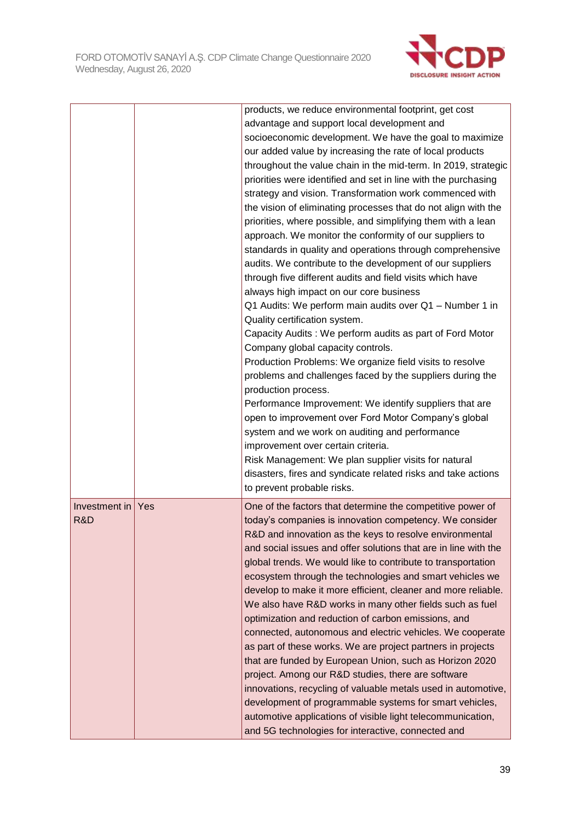

|               |     | products, we reduce environmental footprint, get cost                                                                  |
|---------------|-----|------------------------------------------------------------------------------------------------------------------------|
|               |     | advantage and support local development and                                                                            |
|               |     | socioeconomic development. We have the goal to maximize                                                                |
|               |     | our added value by increasing the rate of local products                                                               |
|               |     | throughout the value chain in the mid-term. In 2019, strategic                                                         |
|               |     | priorities were identified and set in line with the purchasing                                                         |
|               |     | strategy and vision. Transformation work commenced with                                                                |
|               |     | the vision of eliminating processes that do not align with the                                                         |
|               |     | priorities, where possible, and simplifying them with a lean                                                           |
|               |     | approach. We monitor the conformity of our suppliers to                                                                |
|               |     | standards in quality and operations through comprehensive                                                              |
|               |     | audits. We contribute to the development of our suppliers                                                              |
|               |     | through five different audits and field visits which have                                                              |
|               |     | always high impact on our core business                                                                                |
|               |     | Q1 Audits: We perform main audits over Q1 - Number 1 in<br>Quality certification system.                               |
|               |     | Capacity Audits: We perform audits as part of Ford Motor                                                               |
|               |     | Company global capacity controls.                                                                                      |
|               |     | Production Problems: We organize field visits to resolve                                                               |
|               |     | problems and challenges faced by the suppliers during the                                                              |
|               |     | production process.                                                                                                    |
|               |     | Performance Improvement: We identify suppliers that are                                                                |
|               |     | open to improvement over Ford Motor Company's global                                                                   |
|               |     | system and we work on auditing and performance                                                                         |
|               |     | improvement over certain criteria.                                                                                     |
|               |     | Risk Management: We plan supplier visits for natural                                                                   |
|               |     | disasters, fires and syndicate related risks and take actions                                                          |
|               |     | to prevent probable risks.                                                                                             |
| Investment in | Yes | One of the factors that determine the competitive power of                                                             |
| R&D           |     | today's companies is innovation competency. We consider                                                                |
|               |     | R&D and innovation as the keys to resolve environmental                                                                |
|               |     | and social issues and offer solutions that are in line with the                                                        |
|               |     | global trends. We would like to contribute to transportation                                                           |
|               |     | ecosystem through the technologies and smart vehicles we                                                               |
|               |     | develop to make it more efficient, cleaner and more reliable.                                                          |
|               |     | We also have R&D works in many other fields such as fuel                                                               |
|               |     | optimization and reduction of carbon emissions, and                                                                    |
|               |     | connected, autonomous and electric vehicles. We cooperate                                                              |
|               |     | as part of these works. We are project partners in projects<br>that are funded by European Union, such as Horizon 2020 |
|               |     | project. Among our R&D studies, there are software                                                                     |
|               |     | innovations, recycling of valuable metals used in automotive,                                                          |
|               |     | development of programmable systems for smart vehicles,                                                                |
|               |     | automotive applications of visible light telecommunication,                                                            |
|               |     | and 5G technologies for interactive, connected and                                                                     |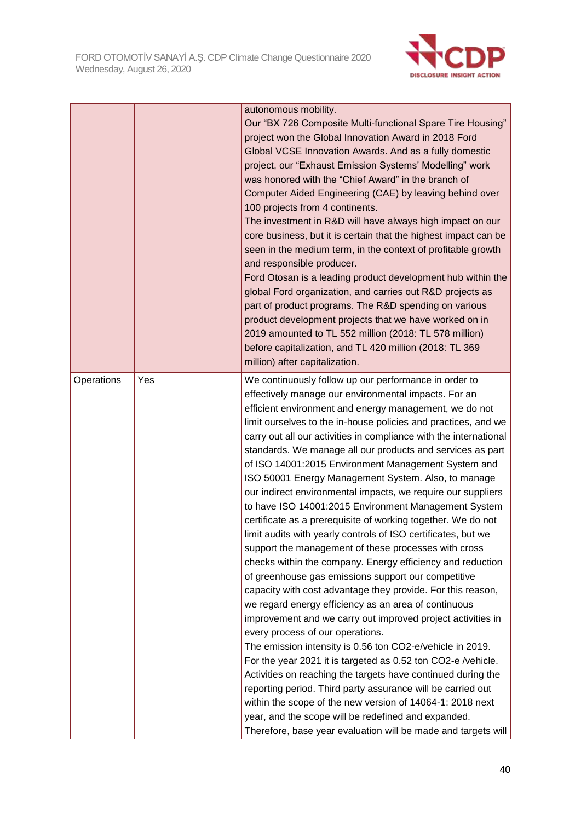

|            |     | autonomous mobility.                                              |
|------------|-----|-------------------------------------------------------------------|
|            |     | Our "BX 726 Composite Multi-functional Spare Tire Housing"        |
|            |     | project won the Global Innovation Award in 2018 Ford              |
|            |     | Global VCSE Innovation Awards. And as a fully domestic            |
|            |     | project, our "Exhaust Emission Systems' Modelling" work           |
|            |     | was honored with the "Chief Award" in the branch of               |
|            |     | Computer Aided Engineering (CAE) by leaving behind over           |
|            |     | 100 projects from 4 continents.                                   |
|            |     | The investment in R&D will have always high impact on our         |
|            |     | core business, but it is certain that the highest impact can be   |
|            |     | seen in the medium term, in the context of profitable growth      |
|            |     | and responsible producer.                                         |
|            |     | Ford Otosan is a leading product development hub within the       |
|            |     | global Ford organization, and carries out R&D projects as         |
|            |     | part of product programs. The R&D spending on various             |
|            |     | product development projects that we have worked on in            |
|            |     | 2019 amounted to TL 552 million (2018: TL 578 million)            |
|            |     | before capitalization, and TL 420 million (2018: TL 369           |
|            |     | million) after capitalization.                                    |
| Operations | Yes | We continuously follow up our performance in order to             |
|            |     | effectively manage our environmental impacts. For an              |
|            |     | efficient environment and energy management, we do not            |
|            |     | limit ourselves to the in-house policies and practices, and we    |
|            |     | carry out all our activities in compliance with the international |
|            |     | standards. We manage all our products and services as part        |
|            |     | of ISO 14001:2015 Environment Management System and               |
|            |     | ISO 50001 Energy Management System. Also, to manage               |
|            |     | our indirect environmental impacts, we require our suppliers      |
|            |     | to have ISO 14001:2015 Environment Management System              |
|            |     | certificate as a prerequisite of working together. We do not      |
|            |     | limit audits with yearly controls of ISO certificates, but we     |
|            |     | support the management of these processes with cross              |
|            |     | checks within the company. Energy efficiency and reduction        |
|            |     | of greenhouse gas emissions support our competitive               |
|            |     | capacity with cost advantage they provide. For this reason,       |
|            |     | we regard energy efficiency as an area of continuous              |
|            |     | improvement and we carry out improved project activities in       |
|            |     | every process of our operations.                                  |
|            |     | The emission intensity is 0.56 ton CO2-e/vehicle in 2019.         |
|            |     | For the year 2021 it is targeted as 0.52 ton CO2-e /vehicle.      |
|            |     | Activities on reaching the targets have continued during the      |
|            |     | reporting period. Third party assurance will be carried out       |
|            |     | within the scope of the new version of 14064-1: 2018 next         |
|            |     | year, and the scope will be redefined and expanded.               |
|            |     | Therefore, base year evaluation will be made and targets will     |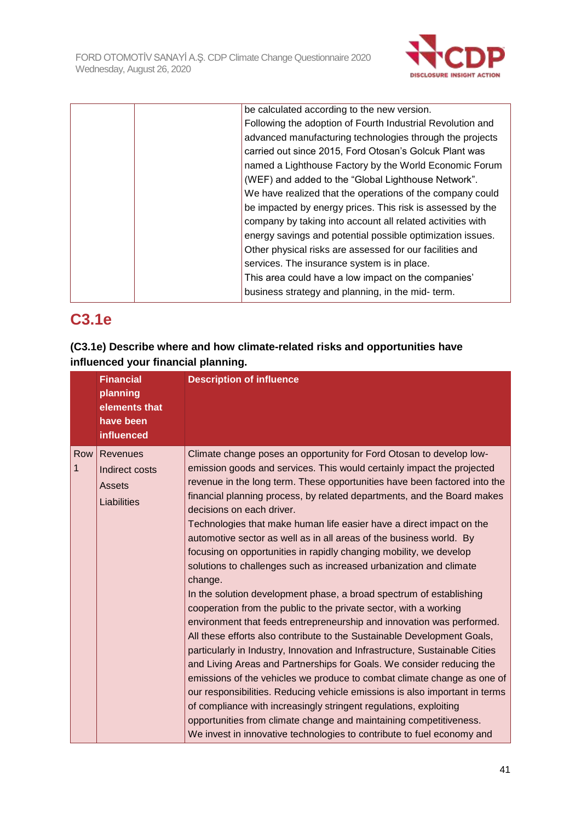

| be calculated according to the new version.                |
|------------------------------------------------------------|
| Following the adoption of Fourth Industrial Revolution and |
| advanced manufacturing technologies through the projects   |
| carried out since 2015, Ford Otosan's Golcuk Plant was     |
| named a Lighthouse Factory by the World Economic Forum     |
| (WEF) and added to the "Global Lighthouse Network".        |
| We have realized that the operations of the company could  |
| be impacted by energy prices. This risk is assessed by the |
| company by taking into account all related activities with |
| energy savings and potential possible optimization issues. |
| Other physical risks are assessed for our facilities and   |
| services. The insurance system is in place.                |
| This area could have a low impact on the companies'        |
| business strategy and planning, in the mid- term.          |
|                                                            |

# **C3.1e**

# **(C3.1e) Describe where and how climate-related risks and opportunities have influenced your financial planning.**

|                     | <b>Financial</b><br>planning<br>elements that<br>have been<br>influenced | <b>Description of influence</b>                                                                                                                                                                                                                                                                                                                                                                                                                                                                                                                                                                                                                                                                                                                                                                                                                                                                                                                                                                                                                                                                                                                                                                                                                                                                                                                                                                                                                                                 |
|---------------------|--------------------------------------------------------------------------|---------------------------------------------------------------------------------------------------------------------------------------------------------------------------------------------------------------------------------------------------------------------------------------------------------------------------------------------------------------------------------------------------------------------------------------------------------------------------------------------------------------------------------------------------------------------------------------------------------------------------------------------------------------------------------------------------------------------------------------------------------------------------------------------------------------------------------------------------------------------------------------------------------------------------------------------------------------------------------------------------------------------------------------------------------------------------------------------------------------------------------------------------------------------------------------------------------------------------------------------------------------------------------------------------------------------------------------------------------------------------------------------------------------------------------------------------------------------------------|
| Row<br>$\mathbf{1}$ | Revenues<br>Indirect costs<br><b>Assets</b><br>Liabilities               | Climate change poses an opportunity for Ford Otosan to develop low-<br>emission goods and services. This would certainly impact the projected<br>revenue in the long term. These opportunities have been factored into the<br>financial planning process, by related departments, and the Board makes<br>decisions on each driver.<br>Technologies that make human life easier have a direct impact on the<br>automotive sector as well as in all areas of the business world. By<br>focusing on opportunities in rapidly changing mobility, we develop<br>solutions to challenges such as increased urbanization and climate<br>change.<br>In the solution development phase, a broad spectrum of establishing<br>cooperation from the public to the private sector, with a working<br>environment that feeds entrepreneurship and innovation was performed.<br>All these efforts also contribute to the Sustainable Development Goals,<br>particularly in Industry, Innovation and Infrastructure, Sustainable Cities<br>and Living Areas and Partnerships for Goals. We consider reducing the<br>emissions of the vehicles we produce to combat climate change as one of<br>our responsibilities. Reducing vehicle emissions is also important in terms<br>of compliance with increasingly stringent regulations, exploiting<br>opportunities from climate change and maintaining competitiveness.<br>We invest in innovative technologies to contribute to fuel economy and |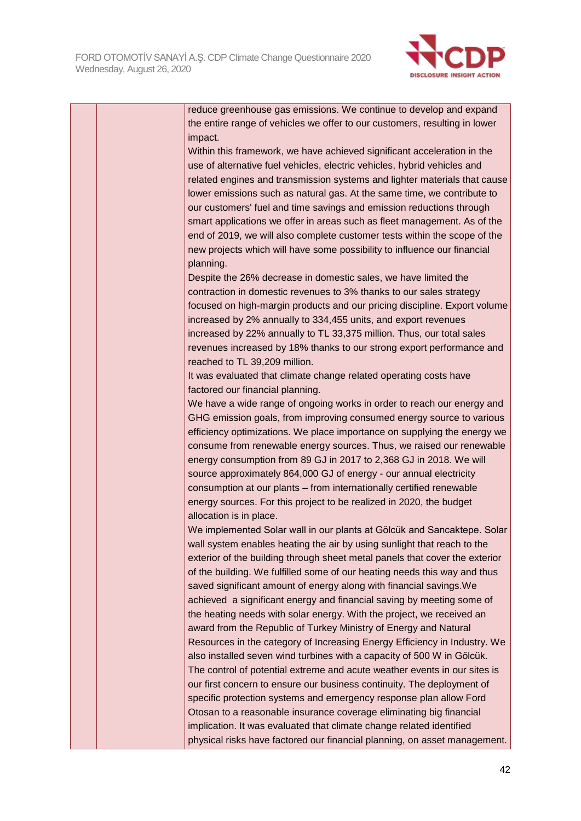

|  | reduce greenhouse gas emissions. We continue to develop and expand                                                                                 |
|--|----------------------------------------------------------------------------------------------------------------------------------------------------|
|  | the entire range of vehicles we offer to our customers, resulting in lower                                                                         |
|  | impact.                                                                                                                                            |
|  | Within this framework, we have achieved significant acceleration in the                                                                            |
|  | use of alternative fuel vehicles, electric vehicles, hybrid vehicles and                                                                           |
|  | related engines and transmission systems and lighter materials that cause                                                                          |
|  | lower emissions such as natural gas. At the same time, we contribute to                                                                            |
|  | our customers' fuel and time savings and emission reductions through                                                                               |
|  | smart applications we offer in areas such as fleet management. As of the                                                                           |
|  | end of 2019, we will also complete customer tests within the scope of the                                                                          |
|  | new projects which will have some possibility to influence our financial                                                                           |
|  | planning.                                                                                                                                          |
|  | Despite the 26% decrease in domestic sales, we have limited the                                                                                    |
|  | contraction in domestic revenues to 3% thanks to our sales strategy                                                                                |
|  | focused on high-margin products and our pricing discipline. Export volume                                                                          |
|  | increased by 2% annually to 334,455 units, and export revenues                                                                                     |
|  | increased by 22% annually to TL 33,375 million. Thus, our total sales                                                                              |
|  | revenues increased by 18% thanks to our strong export performance and                                                                              |
|  | reached to TL 39,209 million.                                                                                                                      |
|  | It was evaluated that climate change related operating costs have                                                                                  |
|  | factored our financial planning.                                                                                                                   |
|  | We have a wide range of ongoing works in order to reach our energy and                                                                             |
|  | GHG emission goals, from improving consumed energy source to various                                                                               |
|  | efficiency optimizations. We place importance on supplying the energy we                                                                           |
|  | consume from renewable energy sources. Thus, we raised our renewable                                                                               |
|  |                                                                                                                                                    |
|  | energy consumption from 89 GJ in 2017 to 2,368 GJ in 2018. We will<br>source approximately 864,000 GJ of energy - our annual electricity           |
|  |                                                                                                                                                    |
|  | consumption at our plants - from internationally certified renewable                                                                               |
|  | energy sources. For this project to be realized in 2020, the budget                                                                                |
|  | allocation is in place.                                                                                                                            |
|  | We implemented Solar wall in our plants at Gölcük and Sancaktepe. Solar<br>wall system enables heating the air by using sunlight that reach to the |
|  |                                                                                                                                                    |
|  | exterior of the building through sheet metal panels that cover the exterior                                                                        |
|  | of the building. We fulfilled some of our heating needs this way and thus<br>saved significant amount of energy along with financial savings. We   |
|  |                                                                                                                                                    |
|  | achieved a significant energy and financial saving by meeting some of                                                                              |
|  | the heating needs with solar energy. With the project, we received an                                                                              |
|  | award from the Republic of Turkey Ministry of Energy and Natural                                                                                   |
|  | Resources in the category of Increasing Energy Efficiency in Industry. We                                                                          |
|  | also installed seven wind turbines with a capacity of 500 W in Gölcük.                                                                             |
|  | The control of potential extreme and acute weather events in our sites is                                                                          |
|  | our first concern to ensure our business continuity. The deployment of                                                                             |
|  | specific protection systems and emergency response plan allow Ford                                                                                 |

Otosan to a reasonable insurance coverage eliminating big financial implication. It was evaluated that climate change related identified

physical risks have factored our financial planning, on asset management.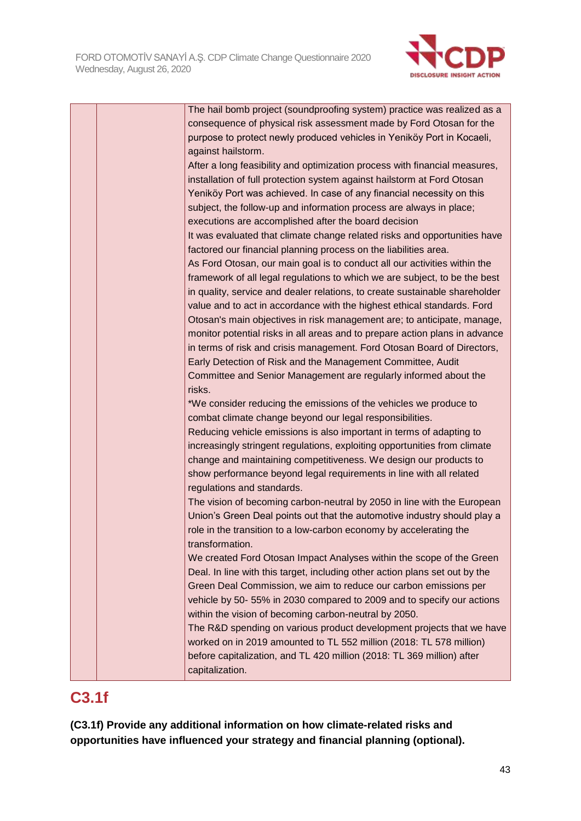

|  | The hail bomb project (soundproofing system) practice was realized as a     |
|--|-----------------------------------------------------------------------------|
|  | consequence of physical risk assessment made by Ford Otosan for the         |
|  | purpose to protect newly produced vehicles in Yeniköy Port in Kocaeli,      |
|  | against hailstorm.                                                          |
|  | After a long feasibility and optimization process with financial measures,  |
|  | installation of full protection system against hailstorm at Ford Otosan     |
|  | Yeniköy Port was achieved. In case of any financial necessity on this       |
|  | subject, the follow-up and information process are always in place;         |
|  | executions are accomplished after the board decision                        |
|  | It was evaluated that climate change related risks and opportunities have   |
|  | factored our financial planning process on the liabilities area.            |
|  | As Ford Otosan, our main goal is to conduct all our activities within the   |
|  | framework of all legal regulations to which we are subject, to be the best  |
|  | in quality, service and dealer relations, to create sustainable shareholder |
|  | value and to act in accordance with the highest ethical standards. Ford     |
|  | Otosan's main objectives in risk management are; to anticipate, manage,     |
|  | monitor potential risks in all areas and to prepare action plans in advance |
|  | in terms of risk and crisis management. Ford Otosan Board of Directors,     |
|  | Early Detection of Risk and the Management Committee, Audit                 |
|  | Committee and Senior Management are regularly informed about the            |
|  | risks.                                                                      |
|  | *We consider reducing the emissions of the vehicles we produce to           |
|  | combat climate change beyond our legal responsibilities.                    |
|  | Reducing vehicle emissions is also important in terms of adapting to        |
|  | increasingly stringent regulations, exploiting opportunities from climate   |
|  | change and maintaining competitiveness. We design our products to           |
|  | show performance beyond legal requirements in line with all related         |
|  | regulations and standards.                                                  |
|  | The vision of becoming carbon-neutral by 2050 in line with the European     |
|  | Union's Green Deal points out that the automotive industry should play a    |
|  | role in the transition to a low-carbon economy by accelerating the          |
|  | transformation.                                                             |
|  | We created Ford Otosan Impact Analyses within the scope of the Green        |
|  | Deal. In line with this target, including other action plans set out by the |
|  | Green Deal Commission, we aim to reduce our carbon emissions per            |
|  | vehicle by 50-55% in 2030 compared to 2009 and to specify our actions       |
|  | within the vision of becoming carbon-neutral by 2050.                       |
|  | The R&D spending on various product development projects that we have       |
|  | worked on in 2019 amounted to TL 552 million (2018: TL 578 million)         |
|  | before capitalization, and TL 420 million (2018: TL 369 million) after      |
|  | capitalization.                                                             |

# **C3.1f**

**(C3.1f) Provide any additional information on how climate-related risks and opportunities have influenced your strategy and financial planning (optional).**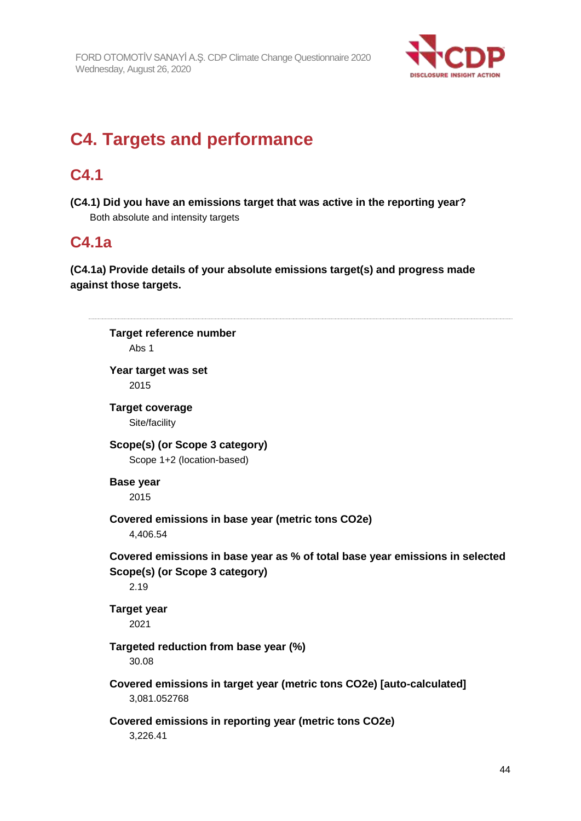

# **C4. Targets and performance**

# **C4.1**

**(C4.1) Did you have an emissions target that was active in the reporting year?** Both absolute and intensity targets

# **C4.1a**

# **(C4.1a) Provide details of your absolute emissions target(s) and progress made against those targets.**

**Target reference number** Abs 1 **Year target was set** 2015 **Target coverage** Site/facility **Scope(s) (or Scope 3 category)** Scope 1+2 (location-based) **Base year** 2015 **Covered emissions in base year (metric tons CO2e)** 4,406.54 **Covered emissions in base year as % of total base year emissions in selected Scope(s) (or Scope 3 category)** 2.19 **Target year** 2021 **Targeted reduction from base year (%)** 30.08 **Covered emissions in target year (metric tons CO2e) [auto-calculated]** 3,081.052768 **Covered emissions in reporting year (metric tons CO2e)** 3,226.41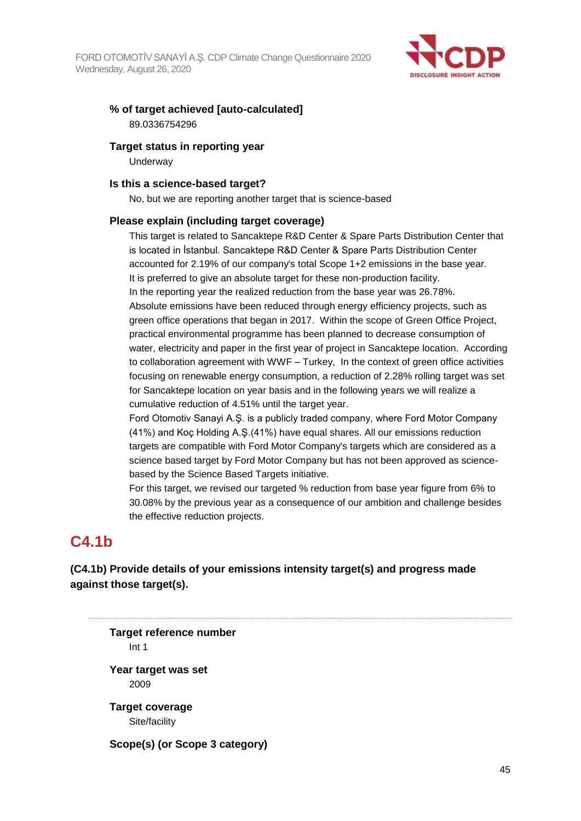

# **% of target achieved [auto-calculated]** 89.0336754296

#### **Target status in reporting year**

**Underway** 

#### **Is this a science-based target?**

No, but we are reporting another target that is science-based

#### **Please explain (including target coverage)**

This target is related to Sancaktepe R&D Center & Spare Parts Distribution Center that is located in İstanbul. Sancaktepe R&D Center & Spare Parts Distribution Center accounted for 2.19% of our company's total Scope 1+2 emissions in the base year. It is preferred to give an absolute target for these non-production facility. In the reporting year the realized reduction from the base year was 26.78%. Absolute emissions have been reduced through energy efficiency projects, such as green office operations that began in 2017. Within the scope of Green Office Project, practical environmental programme has been planned to decrease consumption of water, electricity and paper in the first year of project in Sancaktepe location. According to collaboration agreement with WWF – Turkey, In the context of green office activities focusing on renewable energy consumption, a reduction of 2.28% rolling target was set for Sancaktepe location on year basis and in the following years we will realize a cumulative reduction of 4.51% until the target year.

Ford Otomotiv Sanayi A.Ş. is a publicly traded company, where Ford Motor Company (41%) and Koç Holding A.Ş.(41%) have equal shares. All our emissions reduction targets are compatible with Ford Motor Company's targets which are considered as a science based target by Ford Motor Company but has not been approved as sciencebased by the Science Based Targets initiative.

For this target, we revised our targeted % reduction from base year figure from 6% to 30.08% by the previous year as a consequence of our ambition and challenge besides the effective reduction projects.

# **C4.1b**

**(C4.1b) Provide details of your emissions intensity target(s) and progress made against those target(s).**

**Target reference number** Int 1 **Year target was set** 2009 **Target coverage** Site/facility **Scope(s) (or Scope 3 category)**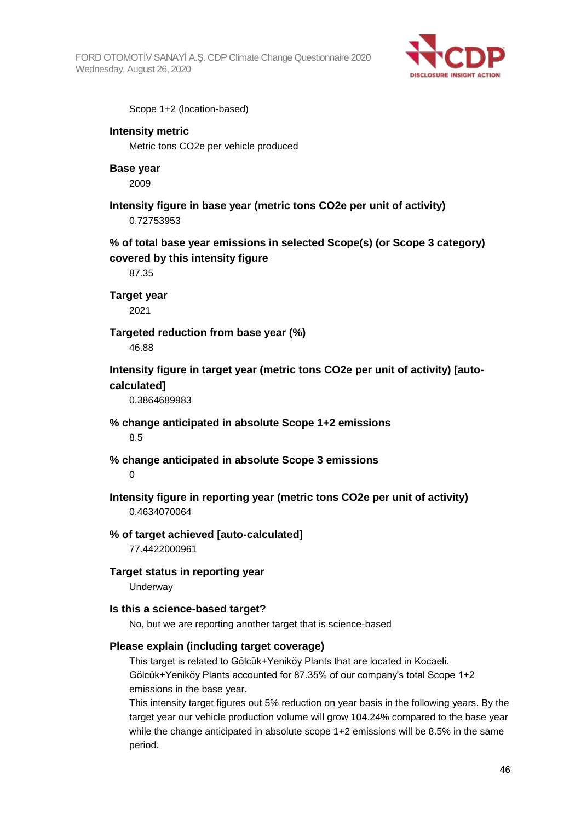FORD OTOMOTİV SANAYİ A.Ş. CDP Climate Change Questionnaire 2020 Wednesday, August 26, 2020



Scope 1+2 (location-based)

#### **Intensity metric**

Metric tons CO2e per vehicle produced

#### **Base year**

2009

**Intensity figure in base year (metric tons CO2e per unit of activity)** 0.72753953

**% of total base year emissions in selected Scope(s) (or Scope 3 category) covered by this intensity figure**

87.35

**Target year**

2021

#### **Targeted reduction from base year (%)**

46.88

**Intensity figure in target year (metric tons CO2e per unit of activity) [autocalculated]**

0.3864689983

**% change anticipated in absolute Scope 1+2 emissions**

8.5

**% change anticipated in absolute Scope 3 emissions**

 $\Omega$ 

**Intensity figure in reporting year (metric tons CO2e per unit of activity)** 0.4634070064

#### **% of target achieved [auto-calculated]**

77.4422000961

#### **Target status in reporting year**

**Underway** 

#### **Is this a science-based target?**

No, but we are reporting another target that is science-based

#### **Please explain (including target coverage)**

This target is related to Gölcük+Yeniköy Plants that are located in Kocaeli. Gölcük+Yeniköy Plants accounted for 87.35% of our company's total Scope 1+2 emissions in the base year.

This intensity target figures out 5% reduction on year basis in the following years. By the target year our vehicle production volume will grow 104.24% compared to the base year while the change anticipated in absolute scope 1+2 emissions will be 8.5% in the same period.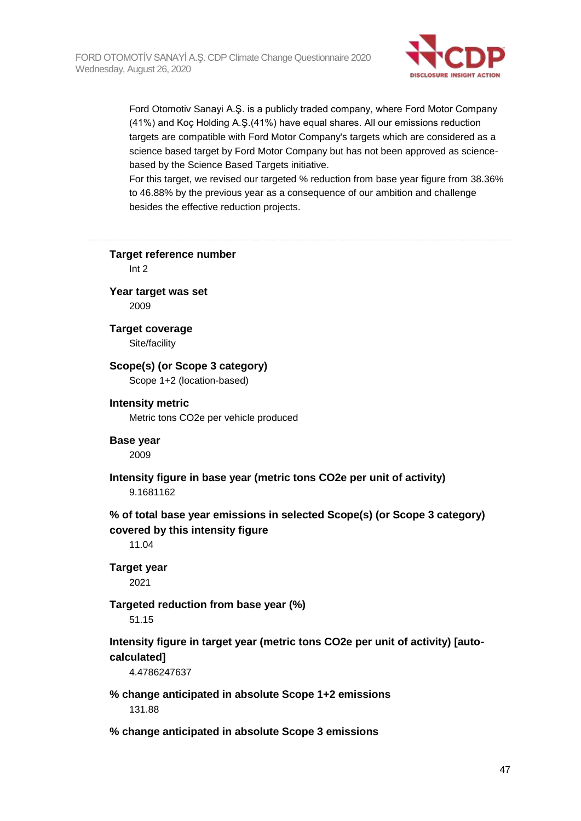

Ford Otomotiv Sanayi A.Ş. is a publicly traded company, where Ford Motor Company (41%) and Koç Holding A.Ş.(41%) have equal shares. All our emissions reduction targets are compatible with Ford Motor Company's targets which are considered as a science based target by Ford Motor Company but has not been approved as sciencebased by the Science Based Targets initiative.

For this target, we revised our targeted % reduction from base year figure from 38.36% to 46.88% by the previous year as a consequence of our ambition and challenge besides the effective reduction projects.

**Target reference number** Int 2 **Year target was set** 2009 **Target coverage** Site/facility **Scope(s) (or Scope 3 category)** Scope 1+2 (location-based) **Intensity metric** Metric tons CO2e per vehicle produced **Base year** 2009 **Intensity figure in base year (metric tons CO2e per unit of activity)** 9.1681162 **% of total base year emissions in selected Scope(s) (or Scope 3 category) covered by this intensity figure** 11.04 **Target year** 2021 **Targeted reduction from base year (%)** 51.15 **Intensity figure in target year (metric tons CO2e per unit of activity) [autocalculated]** 4.4786247637 **% change anticipated in absolute Scope 1+2 emissions** 131.88 **% change anticipated in absolute Scope 3 emissions**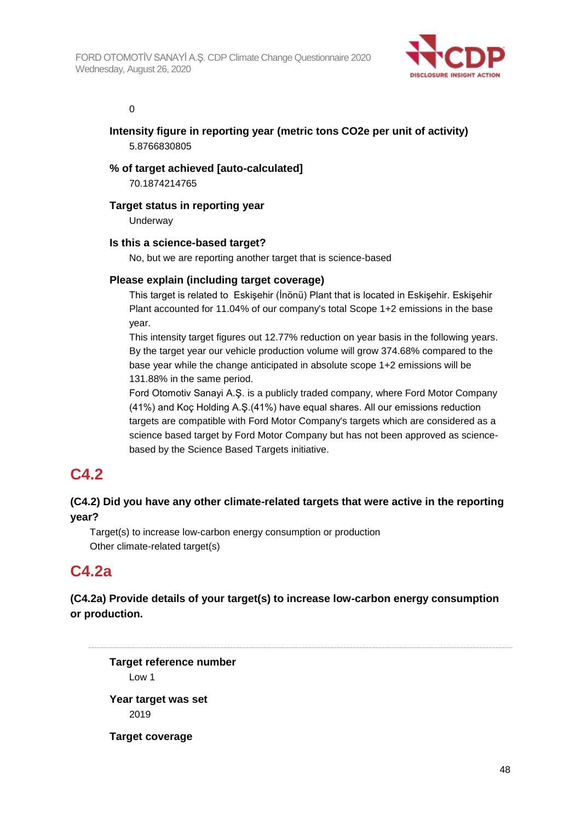

0

## **Intensity figure in reporting year (metric tons CO2e per unit of activity)** 5.8766830805

# **% of target achieved [auto-calculated]**

70.1874214765

## **Target status in reporting year**

Underway

## **Is this a science-based target?**

No, but we are reporting another target that is science-based

## **Please explain (including target coverage)**

This target is related to Eskişehir (İnönü) Plant that is located in Eskişehir. Eskişehir Plant accounted for 11.04% of our company's total Scope 1+2 emissions in the base year.

This intensity target figures out 12.77% reduction on year basis in the following years. By the target year our vehicle production volume will grow 374.68% compared to the base year while the change anticipated in absolute scope 1+2 emissions will be 131.88% in the same period.

Ford Otomotiv Sanayi A.Ş. is a publicly traded company, where Ford Motor Company (41%) and Koç Holding A.Ş.(41%) have equal shares. All our emissions reduction targets are compatible with Ford Motor Company's targets which are considered as a science based target by Ford Motor Company but has not been approved as sciencebased by the Science Based Targets initiative.

# **C4.2**

# **(C4.2) Did you have any other climate-related targets that were active in the reporting year?**

Target(s) to increase low-carbon energy consumption or production Other climate-related target(s)

# **C4.2a**

# **(C4.2a) Provide details of your target(s) to increase low-carbon energy consumption or production.**

**Target reference number** Low 1 **Year target was set** 2019

**Target coverage**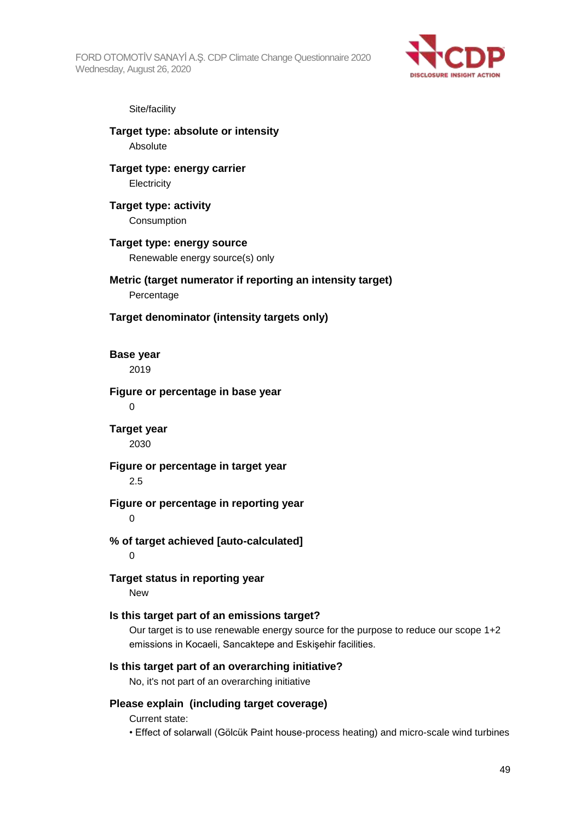FORD OTOMOTİV SANAYİ A.Ş. CDP Climate Change Questionnaire 2020 Wednesday, August 26, 2020



#### Site/facility

**Target type: absolute or intensity Absolute** 

**Target type: energy carrier Electricity** 

**Target type: activity Consumption** 

#### **Target type: energy source** Renewable energy source(s) only

#### **Metric (target numerator if reporting an intensity target)** Percentage

**Target denominator (intensity targets only)**

**Base year** 2019

#### **Figure or percentage in base year**  $\Omega$

# **Target year**

2030

#### **Figure or percentage in target year**

2.5

# **Figure or percentage in reporting year**

 $\Omega$ 

# **% of target achieved [auto-calculated]**

 $\Omega$ 

# **Target status in reporting year**

New

# **Is this target part of an emissions target?**

Our target is to use renewable energy source for the purpose to reduce our scope 1+2 emissions in Kocaeli, Sancaktepe and Eskişehir facilities.

#### **Is this target part of an overarching initiative?**

No, it's not part of an overarching initiative

#### **Please explain (including target coverage)**

Current state:

• Effect of solarwall (Gölcük Paint house-process heating) and micro-scale wind turbines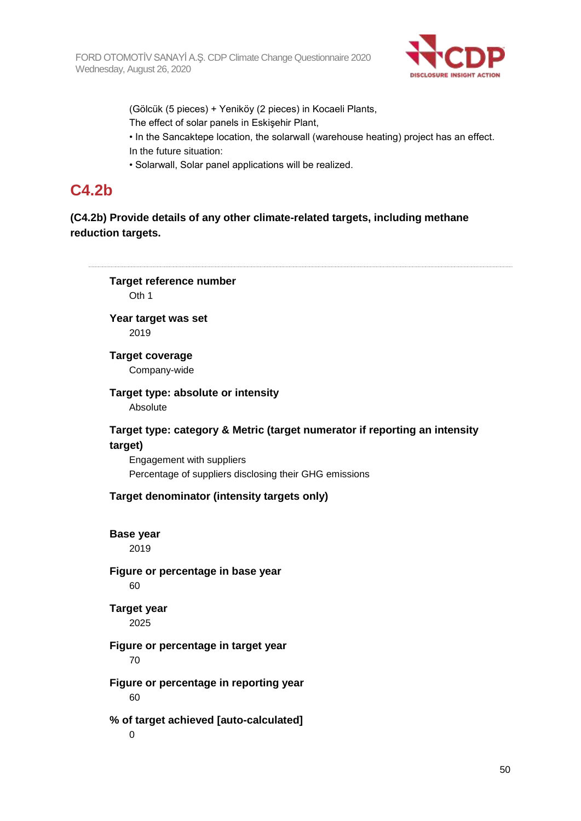

(Gölcük (5 pieces) + Yeniköy (2 pieces) in Kocaeli Plants,

The effect of solar panels in Eskişehir Plant,

• In the Sancaktepe location, the solarwall (warehouse heating) project has an effect. In the future situation:

• Solarwall, Solar panel applications will be realized.

# **C4.2b**

# **(C4.2b) Provide details of any other climate-related targets, including methane reduction targets.**

50 **Target reference number** Oth 1 **Year target was set** 2019 **Target coverage** Company-wide **Target type: absolute or intensity** Absolute **Target type: category & Metric (target numerator if reporting an intensity target)** Engagement with suppliers Percentage of suppliers disclosing their GHG emissions **Target denominator (intensity targets only) Base year** 2019 **Figure or percentage in base year** 60 **Target year** 2025 **Figure or percentage in target year** 70 **Figure or percentage in reporting year** 60 **% of target achieved [auto-calculated]**  $\Omega$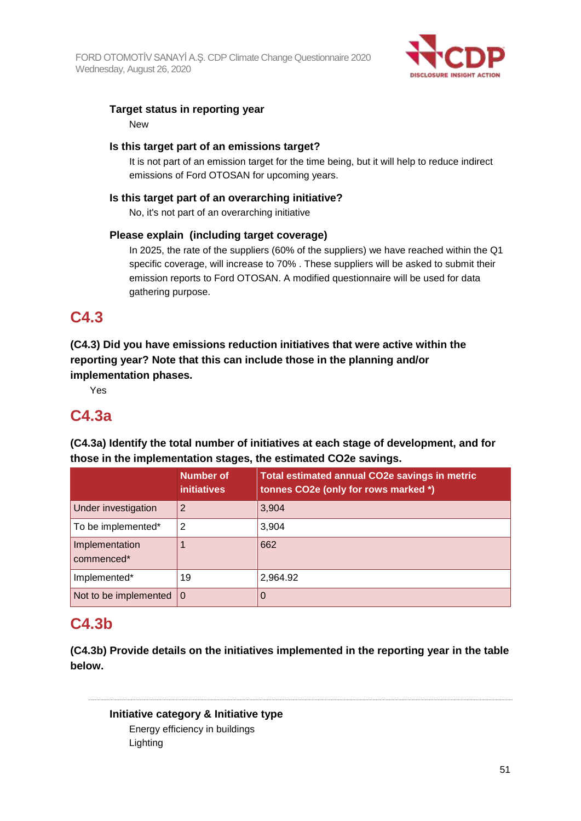

# **Target status in reporting year**

New

## **Is this target part of an emissions target?**

It is not part of an emission target for the time being, but it will help to reduce indirect emissions of Ford OTOSAN for upcoming years.

## **Is this target part of an overarching initiative?**

No, it's not part of an overarching initiative

# **Please explain (including target coverage)**

In 2025, the rate of the suppliers (60% of the suppliers) we have reached within the Q1 specific coverage, will increase to 70% . These suppliers will be asked to submit their emission reports to Ford OTOSAN. A modified questionnaire will be used for data gathering purpose.

# **C4.3**

**(C4.3) Did you have emissions reduction initiatives that were active within the reporting year? Note that this can include those in the planning and/or implementation phases.**

Yes

# **C4.3a**

**(C4.3a) Identify the total number of initiatives at each stage of development, and for those in the implementation stages, the estimated CO2e savings.**

|                                   | <b>Number of</b><br><b>initiatives</b> | <b>Total estimated annual CO2e savings in metric</b><br>tonnes CO2e (only for rows marked *) |
|-----------------------------------|----------------------------------------|----------------------------------------------------------------------------------------------|
| Under investigation               | 2                                      | 3,904                                                                                        |
| To be implemented*                | 2                                      | 3,904                                                                                        |
| Implementation<br>commenced*      |                                        | 662                                                                                          |
| Implemented*                      | 19                                     | 2,964.92                                                                                     |
| Not to be implemented $ 0\rangle$ |                                        |                                                                                              |

# **C4.3b**

**(C4.3b) Provide details on the initiatives implemented in the reporting year in the table below.**

**Initiative category & Initiative type** Energy efficiency in buildings Lighting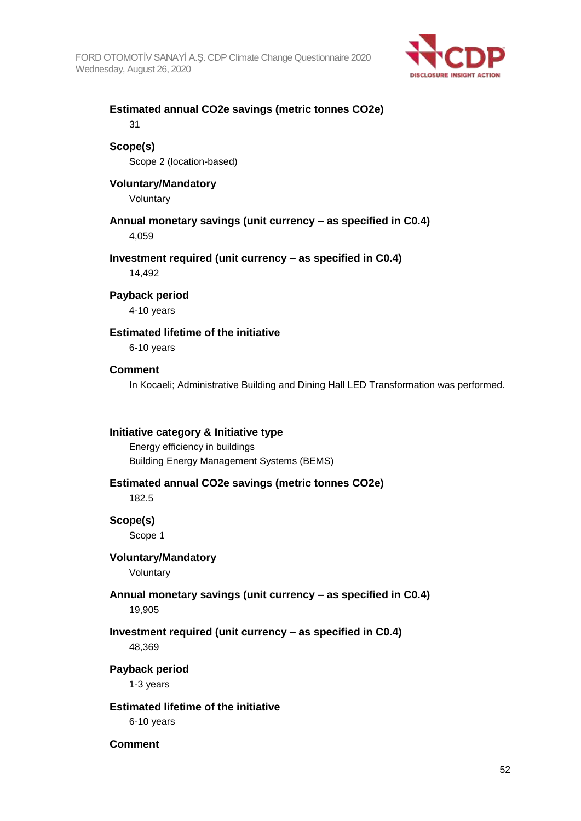

# **Estimated annual CO2e savings (metric tonnes CO2e)**

31

# **Scope(s)**

Scope 2 (location-based)

## **Voluntary/Mandatory**

Voluntary

# **Annual monetary savings (unit currency – as specified in C0.4)**

4,059

## **Investment required (unit currency – as specified in C0.4)**

14,492

## **Payback period**

4-10 years

# **Estimated lifetime of the initiative**

6-10 years

#### **Comment**

In Kocaeli; Administrative Building and Dining Hall LED Transformation was performed.

#### **Initiative category & Initiative type**

Energy efficiency in buildings Building Energy Management Systems (BEMS)

#### **Estimated annual CO2e savings (metric tonnes CO2e)**

182.5

#### **Scope(s)**

Scope 1

#### **Voluntary/Mandatory**

Voluntary

# **Annual monetary savings (unit currency – as specified in C0.4)**

19,905

# **Investment required (unit currency – as specified in C0.4)**

48,369

#### **Payback period**

1-3 years

# **Estimated lifetime of the initiative**

6-10 years

## **Comment**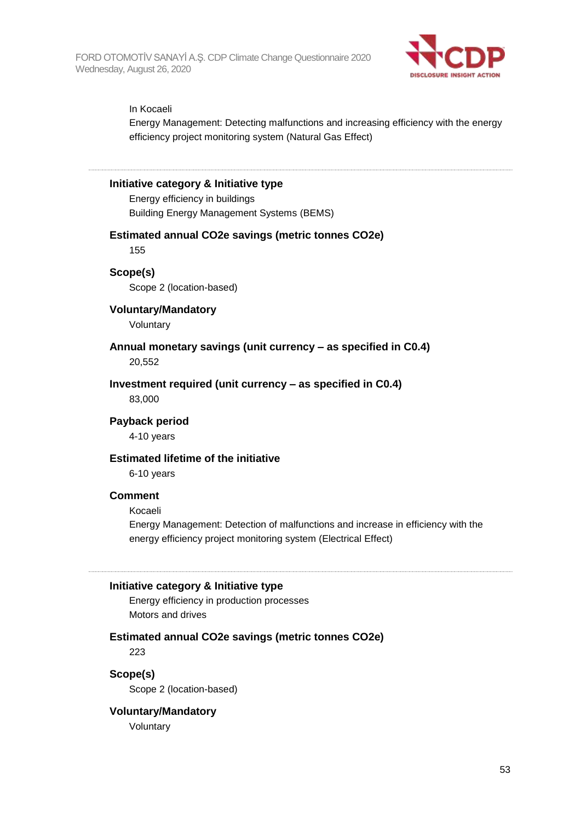

#### In Kocaeli

Energy Management: Detecting malfunctions and increasing efficiency with the energy efficiency project monitoring system (Natural Gas Effect)

#### **Initiative category & Initiative type**

Energy efficiency in buildings Building Energy Management Systems (BEMS)

#### **Estimated annual CO2e savings (metric tonnes CO2e)**

155

#### **Scope(s)**

Scope 2 (location-based)

#### **Voluntary/Mandatory**

Voluntary

#### **Annual monetary savings (unit currency – as specified in C0.4)** 20,552

**Investment required (unit currency – as specified in C0.4)**

83,000

#### **Payback period**

4-10 years

#### **Estimated lifetime of the initiative**

6-10 years

#### **Comment**

#### Kocaeli

Energy Management: Detection of malfunctions and increase in efficiency with the energy efficiency project monitoring system (Electrical Effect)

#### **Initiative category & Initiative type**

Energy efficiency in production processes Motors and drives

# **Estimated annual CO2e savings (metric tonnes CO2e)**

223

**Scope(s)** Scope 2 (location-based)

#### **Voluntary/Mandatory**

Voluntary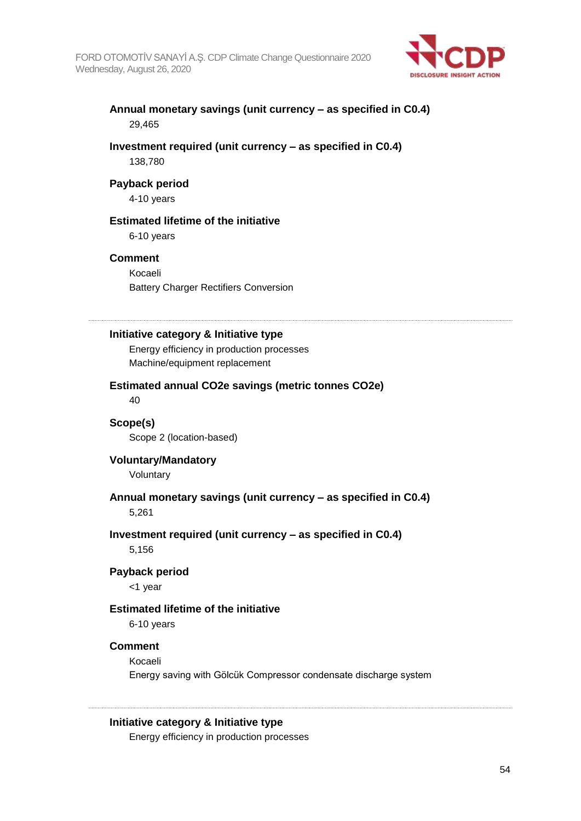

## **Annual monetary savings (unit currency – as specified in C0.4)** 29,465

#### **Investment required (unit currency – as specified in C0.4)** 138,780

#### **Payback period**

4-10 years

#### **Estimated lifetime of the initiative**

6-10 years

#### **Comment**

Kocaeli Battery Charger Rectifiers Conversion

#### **Initiative category & Initiative type**

Energy efficiency in production processes Machine/equipment replacement

#### **Estimated annual CO2e savings (metric tonnes CO2e)** 40

#### **Scope(s)** Scope 2 (location-based)

**Voluntary/Mandatory** Voluntary

## **Annual monetary savings (unit currency – as specified in C0.4)**

5,261

# **Investment required (unit currency – as specified in C0.4)**

5,156

#### **Payback period**

<1 year

#### **Estimated lifetime of the initiative**

6-10 years

#### **Comment**

Kocaeli

Energy saving with Gölcük Compressor condensate discharge system

#### **Initiative category & Initiative type**

Energy efficiency in production processes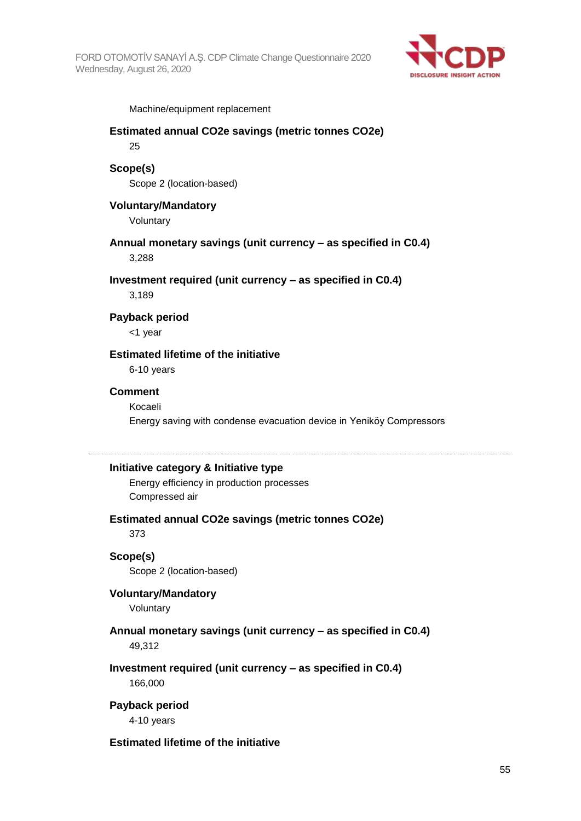

Machine/equipment replacement

# **Estimated annual CO2e savings (metric tonnes CO2e)** 25

# **Scope(s)**

Scope 2 (location-based)

#### **Voluntary/Mandatory**

Voluntary

#### **Annual monetary savings (unit currency – as specified in C0.4)** 3,288

#### **Investment required (unit currency – as specified in C0.4)**

3,189

#### **Payback period**

<1 year

# **Estimated lifetime of the initiative**

6-10 years

#### **Comment**

Kocaeli Energy saving with condense evacuation device in Yeniköy Compressors

#### **Initiative category & Initiative type**

Energy efficiency in production processes Compressed air

#### **Estimated annual CO2e savings (metric tonnes CO2e)**

373

#### **Scope(s)**

Scope 2 (location-based)

# **Voluntary/Mandatory**

Voluntary

#### **Annual monetary savings (unit currency – as specified in C0.4)** 49,312

#### **Investment required (unit currency – as specified in C0.4)**

166,000

## **Payback period**

4-10 years

#### **Estimated lifetime of the initiative**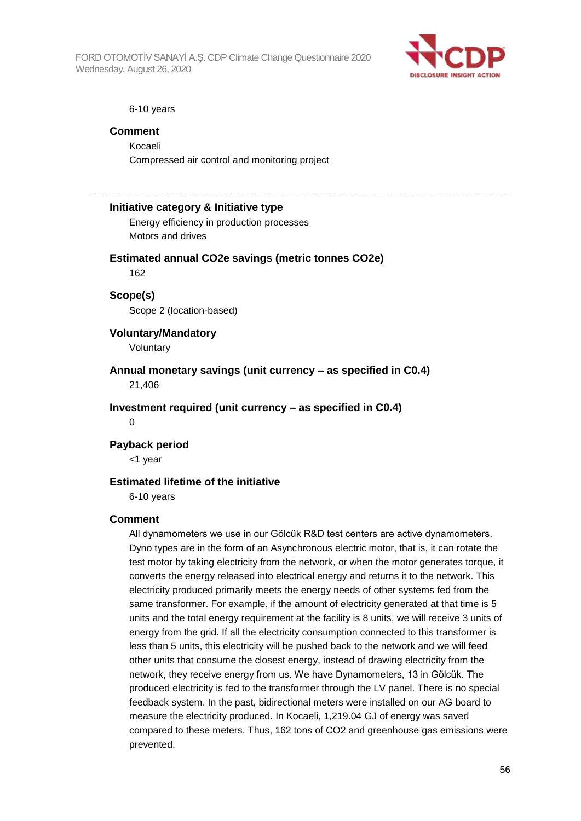FORD OTOMOTİV SANAYİ A.Ş. CDP Climate Change Questionnaire 2020 Wednesday, August 26, 2020



#### 6-10 years

#### **Comment**

Kocaeli Compressed air control and monitoring project

#### **Initiative category & Initiative type**

Energy efficiency in production processes Motors and drives

#### **Estimated annual CO2e savings (metric tonnes CO2e)**

162

# **Scope(s)**

Scope 2 (location-based)

# **Voluntary/Mandatory**

Voluntary

**Annual monetary savings (unit currency – as specified in C0.4)** 21,406

**Investment required (unit currency – as specified in C0.4)**

 $\overline{0}$ 

#### **Payback period**

<1 year

#### **Estimated lifetime of the initiative**

6-10 years

#### **Comment**

All dynamometers we use in our Gölcük R&D test centers are active dynamometers. Dyno types are in the form of an Asynchronous electric motor, that is, it can rotate the test motor by taking electricity from the network, or when the motor generates torque, it converts the energy released into electrical energy and returns it to the network. This electricity produced primarily meets the energy needs of other systems fed from the same transformer. For example, if the amount of electricity generated at that time is 5 units and the total energy requirement at the facility is 8 units, we will receive 3 units of energy from the grid. If all the electricity consumption connected to this transformer is less than 5 units, this electricity will be pushed back to the network and we will feed other units that consume the closest energy, instead of drawing electricity from the network, they receive energy from us. We have Dynamometers, 13 in Gölcük. The produced electricity is fed to the transformer through the LV panel. There is no special feedback system. In the past, bidirectional meters were installed on our AG board to measure the electricity produced. In Kocaeli, 1,219.04 GJ of energy was saved compared to these meters. Thus, 162 tons of CO2 and greenhouse gas emissions were prevented.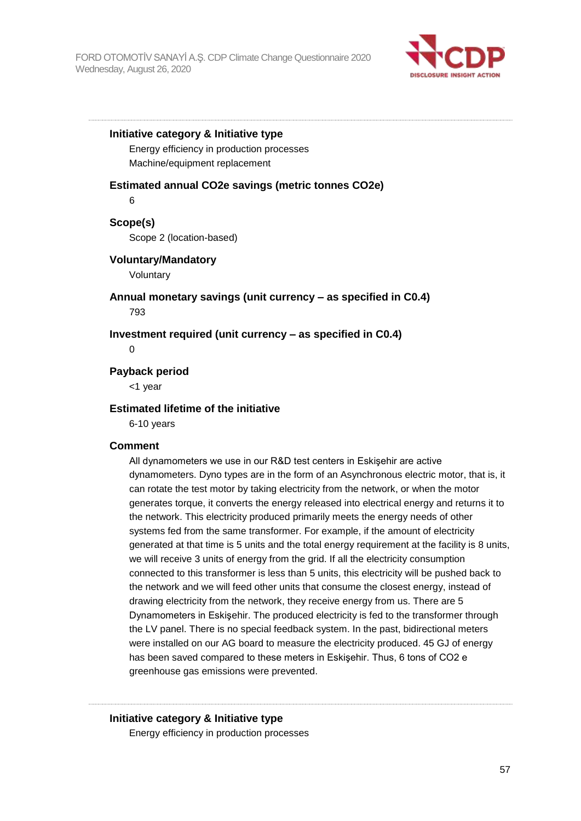

#### **Initiative category & Initiative type**

Energy efficiency in production processes Machine/equipment replacement

#### **Estimated annual CO2e savings (metric tonnes CO2e)**

6

**Scope(s)** Scope 2 (location-based)

#### **Voluntary/Mandatory**

Voluntary

**Annual monetary savings (unit currency – as specified in C0.4)** 793

**Investment required (unit currency – as specified in C0.4)**

#### $\Omega$

**Payback period**

<1 year

#### **Estimated lifetime of the initiative**

6-10 years

#### **Comment**

All dynamometers we use in our R&D test centers in Eskişehir are active dynamometers. Dyno types are in the form of an Asynchronous electric motor, that is, it can rotate the test motor by taking electricity from the network, or when the motor generates torque, it converts the energy released into electrical energy and returns it to the network. This electricity produced primarily meets the energy needs of other systems fed from the same transformer. For example, if the amount of electricity generated at that time is 5 units and the total energy requirement at the facility is 8 units, we will receive 3 units of energy from the grid. If all the electricity consumption connected to this transformer is less than 5 units, this electricity will be pushed back to the network and we will feed other units that consume the closest energy, instead of drawing electricity from the network, they receive energy from us. There are 5 Dynamometers in Eskişehir. The produced electricity is fed to the transformer through the LV panel. There is no special feedback system. In the past, bidirectional meters were installed on our AG board to measure the electricity produced. 45 GJ of energy has been saved compared to these meters in Eskişehir. Thus, 6 tons of CO2 e greenhouse gas emissions were prevented.

#### **Initiative category & Initiative type**

Energy efficiency in production processes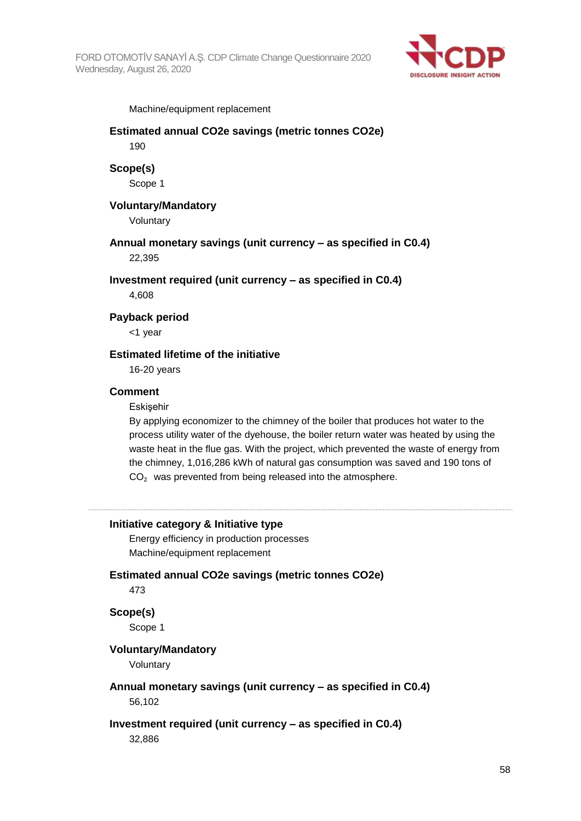

Machine/equipment replacement

#### **Estimated annual CO2e savings (metric tonnes CO2e)** 190

**Scope(s)**

Scope 1

#### **Voluntary/Mandatory**

Voluntary

**Annual monetary savings (unit currency – as specified in C0.4)** 22,395

**Investment required (unit currency – as specified in C0.4)**

4,608

#### **Payback period**

<1 year

#### **Estimated lifetime of the initiative**

16-20 years

#### **Comment**

**Eskisehir** 

By applying economizer to the chimney of the boiler that produces hot water to the process utility water of the dyehouse, the boiler return water was heated by using the waste heat in the flue gas. With the project, which prevented the waste of energy from the chimney, 1,016,286 kWh of natural gas consumption was saved and 190 tons of CO<sub>2</sub> was prevented from being released into the atmosphere.

#### **Initiative category & Initiative type**

Energy efficiency in production processes Machine/equipment replacement

#### **Estimated annual CO2e savings (metric tonnes CO2e)**

473

#### **Scope(s)**

Scope 1

#### **Voluntary/Mandatory**

Voluntary

# **Annual monetary savings (unit currency – as specified in C0.4)**

56,102

#### **Investment required (unit currency – as specified in C0.4)**

32,886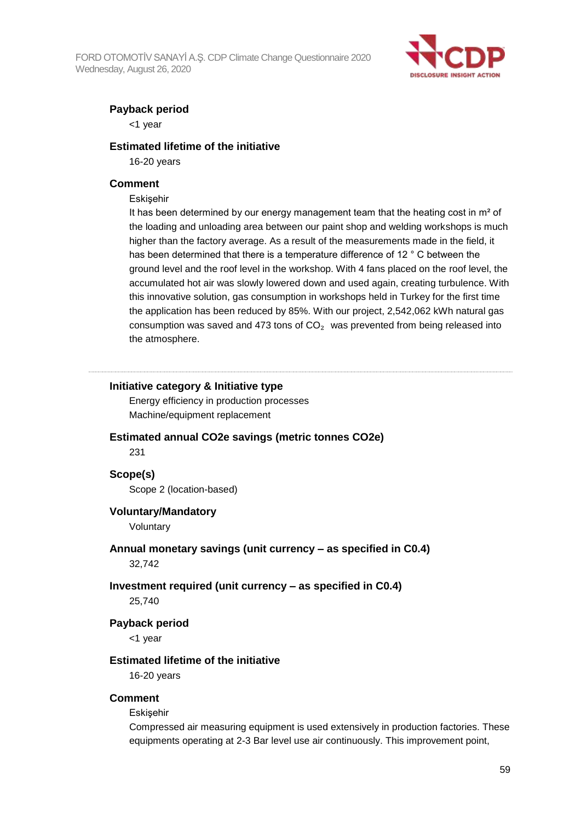FORD OTOMOTİV SANAYİ A.Ş. CDP Climate Change Questionnaire 2020 Wednesday, August 26, 2020



### **Payback period**

<1 year

#### **Estimated lifetime of the initiative**

16-20 years

#### **Comment**

#### **Eskisehir**

It has been determined by our energy management team that the heating cost in  $m<sup>2</sup>$  of the loading and unloading area between our paint shop and welding workshops is much higher than the factory average. As a result of the measurements made in the field, it has been determined that there is a temperature difference of 12 ° C between the ground level and the roof level in the workshop. With 4 fans placed on the roof level, the accumulated hot air was slowly lowered down and used again, creating turbulence. With this innovative solution, gas consumption in workshops held in Turkey for the first time the application has been reduced by 85%. With our project, 2,542,062 kWh natural gas consumption was saved and 473 tons of  $CO<sub>2</sub>$  was prevented from being released into the atmosphere.

#### **Initiative category & Initiative type**

Energy efficiency in production processes Machine/equipment replacement

#### **Estimated annual CO2e savings (metric tonnes CO2e)**

231

#### **Scope(s)**

Scope 2 (location-based)

#### **Voluntary/Mandatory**

Voluntary

#### **Annual monetary savings (unit currency – as specified in C0.4)**

32,742

#### **Investment required (unit currency – as specified in C0.4)**

25,740

#### **Payback period**

<1 year

## **Estimated lifetime of the initiative**

16-20 years

#### **Comment**

Eskişehir

Compressed air measuring equipment is used extensively in production factories. These equipments operating at 2-3 Bar level use air continuously. This improvement point,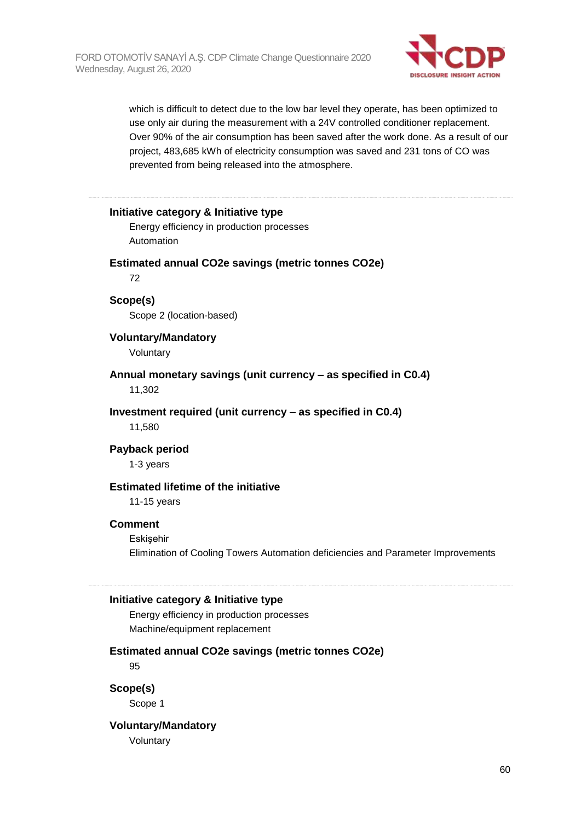

which is difficult to detect due to the low bar level they operate, has been optimized to use only air during the measurement with a 24V controlled conditioner replacement. Over 90% of the air consumption has been saved after the work done. As a result of our project, 483,685 kWh of electricity consumption was saved and 231 tons of CO was prevented from being released into the atmosphere.

#### **Initiative category & Initiative type**

Energy efficiency in production processes Automation

#### **Estimated annual CO2e savings (metric tonnes CO2e)**

72

#### **Scope(s)**

Scope 2 (location-based)

**Voluntary/Mandatory**

Voluntary

#### **Annual monetary savings (unit currency – as specified in C0.4)**

11,302

#### **Investment required (unit currency – as specified in C0.4)**

11,580

#### **Payback period**

1-3 years

### **Estimated lifetime of the initiative**

11-15 years

#### **Comment**

Eskişehir Elimination of Cooling Towers Automation deficiencies and Parameter Improvements

#### **Initiative category & Initiative type**

Energy efficiency in production processes Machine/equipment replacement

#### **Estimated annual CO2e savings (metric tonnes CO2e)**

95

**Scope(s)** Scope 1

# **Voluntary/Mandatory**

Voluntary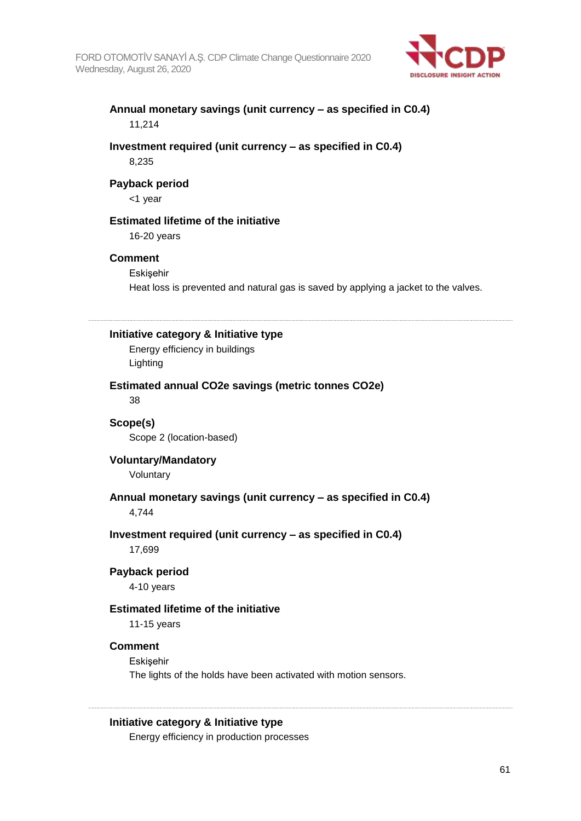

## **Annual monetary savings (unit currency – as specified in C0.4)** 11,214

#### **Investment required (unit currency – as specified in C0.4)** 8,235

#### **Payback period**

<1 year

#### **Estimated lifetime of the initiative**

16-20 years

#### **Comment**

Eskisehir Heat loss is prevented and natural gas is saved by applying a jacket to the valves.

#### **Initiative category & Initiative type**

Energy efficiency in buildings Lighting

#### **Estimated annual CO2e savings (metric tonnes CO2e)** 38

**Scope(s)** Scope 2 (location-based)

**Voluntary/Mandatory** Voluntary

## **Annual monetary savings (unit currency – as specified in C0.4)**

4,744

# **Investment required (unit currency – as specified in C0.4)**

17,699

#### **Payback period**

4-10 years

#### **Estimated lifetime of the initiative**

11-15 years

#### **Comment**

**Eskisehir** 

The lights of the holds have been activated with motion sensors.

#### **Initiative category & Initiative type**

Energy efficiency in production processes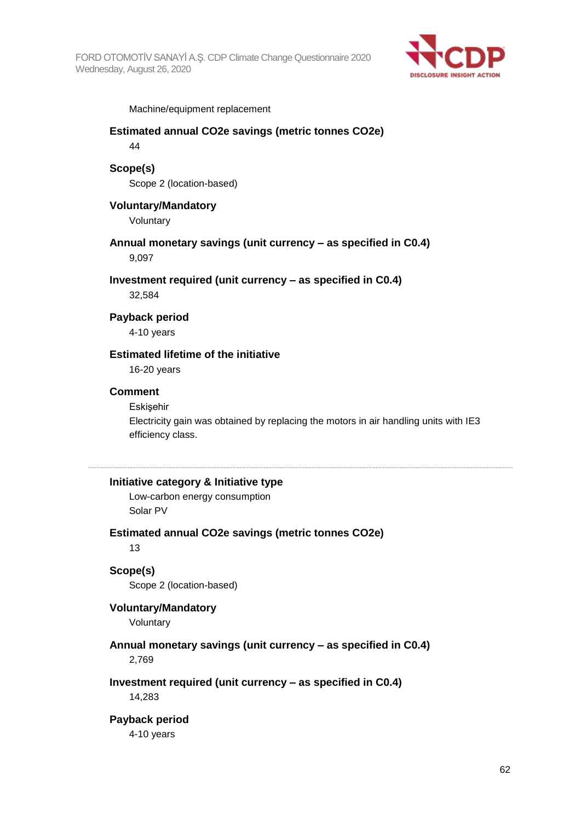

Machine/equipment replacement

#### **Estimated annual CO2e savings (metric tonnes CO2e)** 44

# **Scope(s)**

Scope 2 (location-based)

#### **Voluntary/Mandatory**

Voluntary

#### **Annual monetary savings (unit currency – as specified in C0.4)** 9,097

**Investment required (unit currency – as specified in C0.4)**

32,584

#### **Payback period**

4-10 years

# **Estimated lifetime of the initiative**

16-20 years

#### **Comment**

#### **Eskisehir**

Electricity gain was obtained by replacing the motors in air handling units with IE3 efficiency class.

#### **Initiative category & Initiative type**

Low-carbon energy consumption Solar PV

#### **Estimated annual CO2e savings (metric tonnes CO2e)**

13

#### **Scope(s)**

Scope 2 (location-based)

#### **Voluntary/Mandatory**

Voluntary

# **Annual monetary savings (unit currency – as specified in C0.4)**

2,769

#### **Investment required (unit currency – as specified in C0.4)**

14,283

#### **Payback period**

4-10 years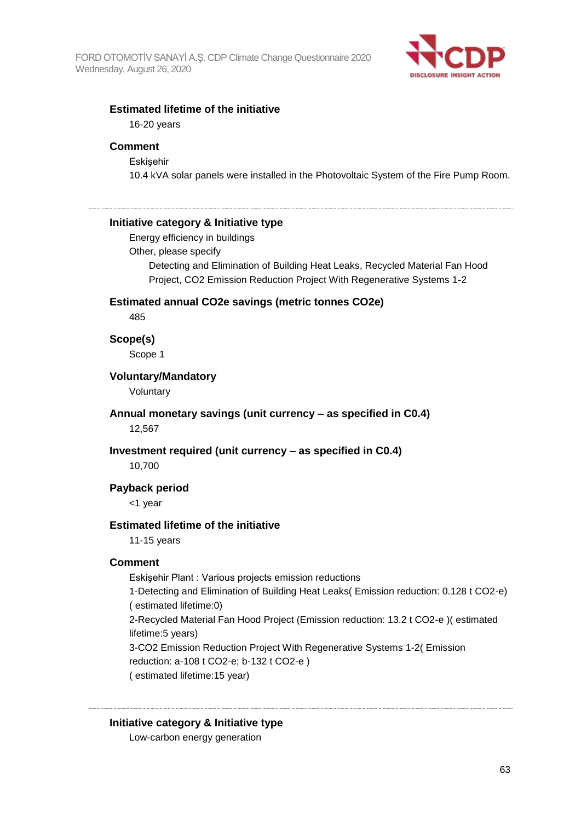

#### **Estimated lifetime of the initiative**

16-20 years

#### **Comment**

**Eskisehir** 10.4 kVA solar panels were installed in the Photovoltaic System of the Fire Pump Room.

#### **Initiative category & Initiative type**

Energy efficiency in buildings

Other, please specify

Detecting and Elimination of Building Heat Leaks, Recycled Material Fan Hood Project, CO2 Emission Reduction Project With Regenerative Systems 1-2

#### **Estimated annual CO2e savings (metric tonnes CO2e)**

485

#### **Scope(s)**

Scope 1

#### **Voluntary/Mandatory**

Voluntary

#### **Annual monetary savings (unit currency – as specified in C0.4)** 12,567

#### **Investment required (unit currency – as specified in C0.4)**

10,700

#### **Payback period**

<1 year

#### **Estimated lifetime of the initiative**

11-15 years

#### **Comment**

Eskişehir Plant : Various projects emission reductions

1-Detecting and Elimination of Building Heat Leaks( Emission reduction: 0.128 t CO2-e) ( estimated lifetime:0)

2-Recycled Material Fan Hood Project (Emission reduction: 13.2 t CO2-e )( estimated lifetime:5 years)

3-CO2 Emission Reduction Project With Regenerative Systems 1-2( Emission reduction: a-108 t CO2-e; b-132 t CO2-e )

( estimated lifetime:15 year)

#### **Initiative category & Initiative type**

Low-carbon energy generation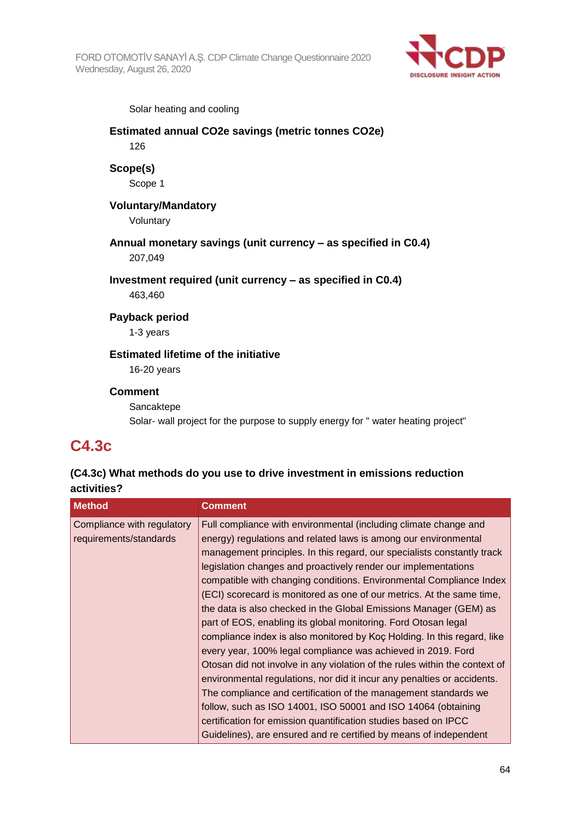FORD OTOMOTİV SANAYİ A.Ş. CDP Climate Change Questionnaire 2020 Wednesday, August 26, 2020



Solar heating and cooling

# **Estimated annual CO2e savings (metric tonnes CO2e)** 126 **Scope(s)** Scope 1 **Voluntary/Mandatory** Voluntary **Annual monetary savings (unit currency – as specified in C0.4)** 207,049 **Investment required (unit currency – as specified in C0.4)** 463,460 **Payback period** 1-3 years **Estimated lifetime of the initiative** 16-20 years **Comment Sancaktepe** Solar- wall project for the purpose to supply energy for " water heating project"

# **C4.3c**

# **(C4.3c) What methods do you use to drive investment in emissions reduction activities?**

| <b>Method</b>                                        | <b>Comment</b>                                                                                                                                                                                                                                                                                                                                                                                                                                                                                                                                                                                                                                                                                                                                                                                                                                                                                                                                                                                                                                                                     |
|------------------------------------------------------|------------------------------------------------------------------------------------------------------------------------------------------------------------------------------------------------------------------------------------------------------------------------------------------------------------------------------------------------------------------------------------------------------------------------------------------------------------------------------------------------------------------------------------------------------------------------------------------------------------------------------------------------------------------------------------------------------------------------------------------------------------------------------------------------------------------------------------------------------------------------------------------------------------------------------------------------------------------------------------------------------------------------------------------------------------------------------------|
| Compliance with regulatory<br>requirements/standards | Full compliance with environmental (including climate change and<br>energy) regulations and related laws is among our environmental<br>management principles. In this regard, our specialists constantly track<br>legislation changes and proactively render our implementations<br>compatible with changing conditions. Environmental Compliance Index<br>(ECI) scorecard is monitored as one of our metrics. At the same time,<br>the data is also checked in the Global Emissions Manager (GEM) as<br>part of EOS, enabling its global monitoring. Ford Otosan legal<br>compliance index is also monitored by Koc Holding. In this regard, like<br>every year, 100% legal compliance was achieved in 2019. Ford<br>Otosan did not involve in any violation of the rules within the context of<br>environmental regulations, nor did it incur any penalties or accidents.<br>The compliance and certification of the management standards we<br>follow, such as ISO 14001, ISO 50001 and ISO 14064 (obtaining<br>certification for emission quantification studies based on IPCC |
|                                                      | Guidelines), are ensured and re certified by means of independent                                                                                                                                                                                                                                                                                                                                                                                                                                                                                                                                                                                                                                                                                                                                                                                                                                                                                                                                                                                                                  |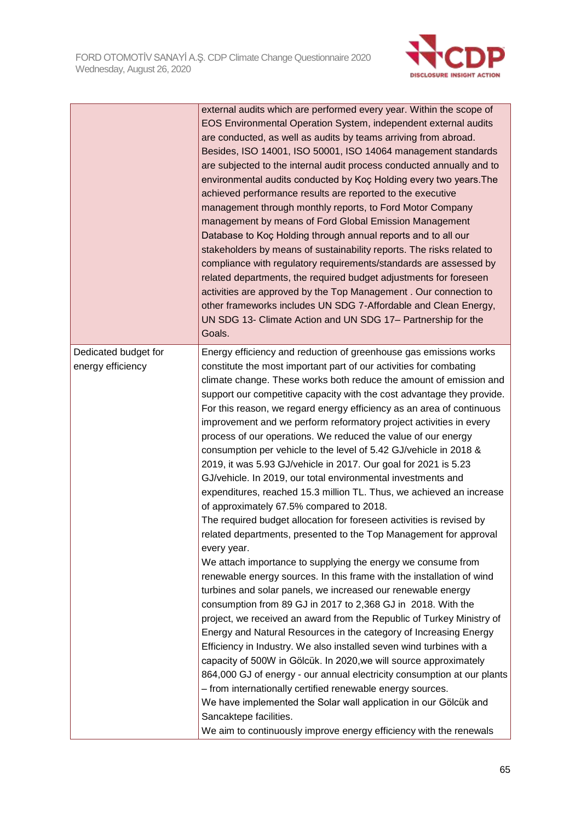

|                                           | external audits which are performed every year. Within the scope of<br>EOS Environmental Operation System, independent external audits<br>are conducted, as well as audits by teams arriving from abroad.<br>Besides, ISO 14001, ISO 50001, ISO 14064 management standards<br>are subjected to the internal audit process conducted annually and to<br>environmental audits conducted by Koç Holding every two years. The<br>achieved performance results are reported to the executive<br>management through monthly reports, to Ford Motor Company<br>management by means of Ford Global Emission Management<br>Database to Koç Holding through annual reports and to all our<br>stakeholders by means of sustainability reports. The risks related to<br>compliance with regulatory requirements/standards are assessed by<br>related departments, the required budget adjustments for foreseen<br>activities are approved by the Top Management. Our connection to<br>other frameworks includes UN SDG 7-Affordable and Clean Energy,<br>UN SDG 13- Climate Action and UN SDG 17- Partnership for the<br>Goals.                                                                                                                                                                                                                                                                                                                                                                                                                                                                                                                                                                                                                                                                                                                                                              |
|-------------------------------------------|----------------------------------------------------------------------------------------------------------------------------------------------------------------------------------------------------------------------------------------------------------------------------------------------------------------------------------------------------------------------------------------------------------------------------------------------------------------------------------------------------------------------------------------------------------------------------------------------------------------------------------------------------------------------------------------------------------------------------------------------------------------------------------------------------------------------------------------------------------------------------------------------------------------------------------------------------------------------------------------------------------------------------------------------------------------------------------------------------------------------------------------------------------------------------------------------------------------------------------------------------------------------------------------------------------------------------------------------------------------------------------------------------------------------------------------------------------------------------------------------------------------------------------------------------------------------------------------------------------------------------------------------------------------------------------------------------------------------------------------------------------------------------------------------------------------------------------------------------------------------------------|
| Dedicated budget for<br>energy efficiency | Energy efficiency and reduction of greenhouse gas emissions works<br>constitute the most important part of our activities for combating<br>climate change. These works both reduce the amount of emission and<br>support our competitive capacity with the cost advantage they provide.<br>For this reason, we regard energy efficiency as an area of continuous<br>improvement and we perform reformatory project activities in every<br>process of our operations. We reduced the value of our energy<br>consumption per vehicle to the level of 5.42 GJ/vehicle in 2018 &<br>2019, it was 5.93 GJ/vehicle in 2017. Our goal for 2021 is 5.23<br>GJ/vehicle. In 2019, our total environmental investments and<br>expenditures, reached 15.3 million TL. Thus, we achieved an increase<br>of approximately 67.5% compared to 2018.<br>The required budget allocation for foreseen activities is revised by<br>related departments, presented to the Top Management for approval<br>every year.<br>We attach importance to supplying the energy we consume from<br>renewable energy sources. In this frame with the installation of wind<br>turbines and solar panels, we increased our renewable energy<br>consumption from 89 GJ in 2017 to 2,368 GJ in 2018. With the<br>project, we received an award from the Republic of Turkey Ministry of<br>Energy and Natural Resources in the category of Increasing Energy<br>Efficiency in Industry. We also installed seven wind turbines with a<br>capacity of 500W in Gölcük. In 2020, we will source approximately<br>864,000 GJ of energy - our annual electricity consumption at our plants<br>- from internationally certified renewable energy sources.<br>We have implemented the Solar wall application in our Gölcük and<br>Sancaktepe facilities.<br>We aim to continuously improve energy efficiency with the renewals |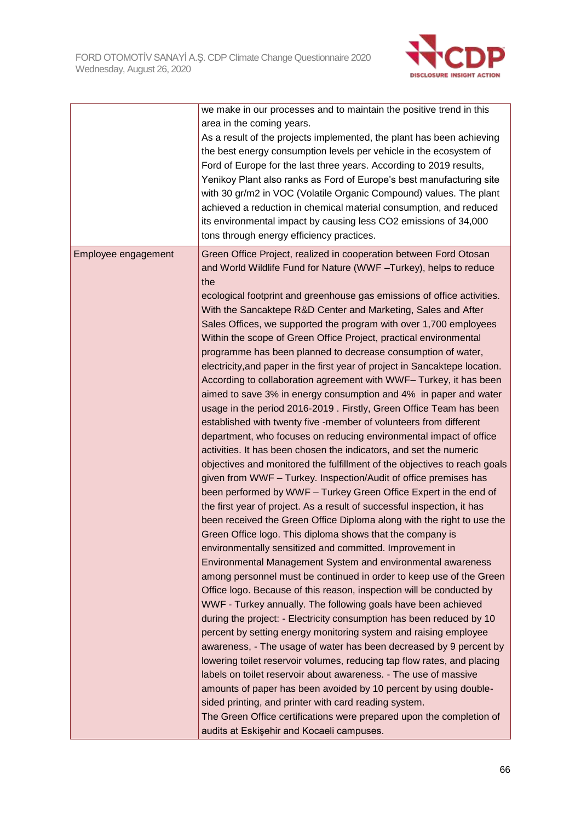

|                     | we make in our processes and to maintain the positive trend in this<br>area in the coming years.<br>As a result of the projects implemented, the plant has been achieving<br>the best energy consumption levels per vehicle in the ecosystem of<br>Ford of Europe for the last three years. According to 2019 results,<br>Yenikoy Plant also ranks as Ford of Europe's best manufacturing site<br>with 30 gr/m2 in VOC (Volatile Organic Compound) values. The plant<br>achieved a reduction in chemical material consumption, and reduced<br>its environmental impact by causing less CO2 emissions of 34,000<br>tons through energy efficiency practices.                                                                                                                                                                                                                                                                                                                                                                                                                                                                                                                                                                                                                                                                                                                                                                                                                                                                                                                                                                                                                                                                                                                                                                                                                                                                                                                                                                                                                                                                                                                                                                                                                                                                                                                                                            |
|---------------------|------------------------------------------------------------------------------------------------------------------------------------------------------------------------------------------------------------------------------------------------------------------------------------------------------------------------------------------------------------------------------------------------------------------------------------------------------------------------------------------------------------------------------------------------------------------------------------------------------------------------------------------------------------------------------------------------------------------------------------------------------------------------------------------------------------------------------------------------------------------------------------------------------------------------------------------------------------------------------------------------------------------------------------------------------------------------------------------------------------------------------------------------------------------------------------------------------------------------------------------------------------------------------------------------------------------------------------------------------------------------------------------------------------------------------------------------------------------------------------------------------------------------------------------------------------------------------------------------------------------------------------------------------------------------------------------------------------------------------------------------------------------------------------------------------------------------------------------------------------------------------------------------------------------------------------------------------------------------------------------------------------------------------------------------------------------------------------------------------------------------------------------------------------------------------------------------------------------------------------------------------------------------------------------------------------------------------------------------------------------------------------------------------------------------|
| Employee engagement | Green Office Project, realized in cooperation between Ford Otosan<br>and World Wildlife Fund for Nature (WWF-Turkey), helps to reduce<br>the<br>ecological footprint and greenhouse gas emissions of office activities.<br>With the Sancaktepe R&D Center and Marketing, Sales and After<br>Sales Offices, we supported the program with over 1,700 employees<br>Within the scope of Green Office Project, practical environmental<br>programme has been planned to decrease consumption of water,<br>electricity, and paper in the first year of project in Sancaktepe location.<br>According to collaboration agreement with WWF-Turkey, it has been<br>aimed to save 3% in energy consumption and 4% in paper and water<br>usage in the period 2016-2019. Firstly, Green Office Team has been<br>established with twenty five -member of volunteers from different<br>department, who focuses on reducing environmental impact of office<br>activities. It has been chosen the indicators, and set the numeric<br>objectives and monitored the fulfillment of the objectives to reach goals<br>given from WWF - Turkey. Inspection/Audit of office premises has<br>been performed by WWF - Turkey Green Office Expert in the end of<br>the first year of project. As a result of successful inspection, it has<br>been received the Green Office Diploma along with the right to use the<br>Green Office logo. This diploma shows that the company is<br>environmentally sensitized and committed. Improvement in<br>Environmental Management System and environmental awareness<br>among personnel must be continued in order to keep use of the Green<br>Office logo. Because of this reason, inspection will be conducted by<br>WWF - Turkey annually. The following goals have been achieved<br>during the project: - Electricity consumption has been reduced by 10<br>percent by setting energy monitoring system and raising employee<br>awareness, - The usage of water has been decreased by 9 percent by<br>lowering toilet reservoir volumes, reducing tap flow rates, and placing<br>labels on toilet reservoir about awareness. - The use of massive<br>amounts of paper has been avoided by 10 percent by using double-<br>sided printing, and printer with card reading system.<br>The Green Office certifications were prepared upon the completion of<br>audits at Eskişehir and Kocaeli campuses. |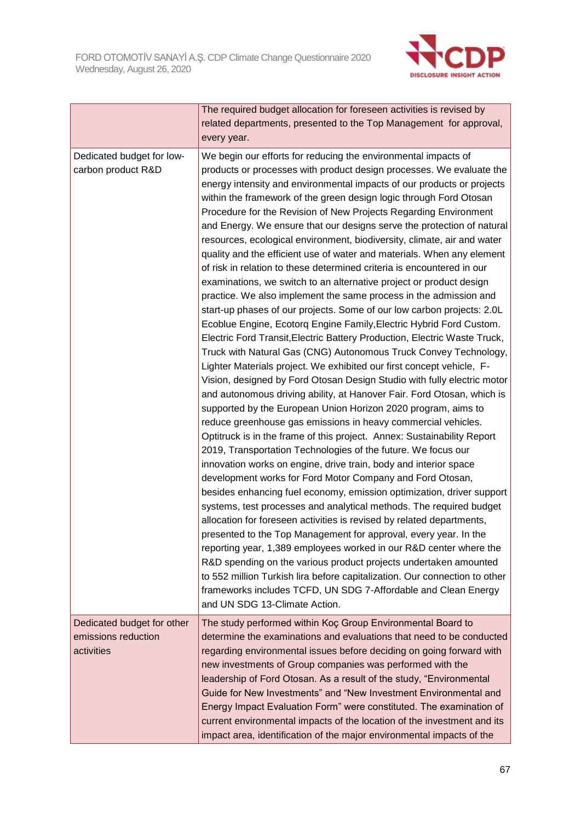

|                                                                 | The required budget allocation for foreseen activities is revised by<br>related departments, presented to the Top Management for approval,<br>every year.                                                                                                                                                                                                                                                                                                                                                                                                                                                                                                                                                                                                                                                                                                                                                                                                                                                                                                                                                                                                                                                                                                                                                                                                                                                                                                                                                                                                                                                                                                                                                                                                                                                                                                                                                                                                                                                                                                                                                                                                                                                                                                                           |
|-----------------------------------------------------------------|-------------------------------------------------------------------------------------------------------------------------------------------------------------------------------------------------------------------------------------------------------------------------------------------------------------------------------------------------------------------------------------------------------------------------------------------------------------------------------------------------------------------------------------------------------------------------------------------------------------------------------------------------------------------------------------------------------------------------------------------------------------------------------------------------------------------------------------------------------------------------------------------------------------------------------------------------------------------------------------------------------------------------------------------------------------------------------------------------------------------------------------------------------------------------------------------------------------------------------------------------------------------------------------------------------------------------------------------------------------------------------------------------------------------------------------------------------------------------------------------------------------------------------------------------------------------------------------------------------------------------------------------------------------------------------------------------------------------------------------------------------------------------------------------------------------------------------------------------------------------------------------------------------------------------------------------------------------------------------------------------------------------------------------------------------------------------------------------------------------------------------------------------------------------------------------------------------------------------------------------------------------------------------------|
| Dedicated budget for low-<br>carbon product R&D                 | We begin our efforts for reducing the environmental impacts of<br>products or processes with product design processes. We evaluate the<br>energy intensity and environmental impacts of our products or projects<br>within the framework of the green design logic through Ford Otosan<br>Procedure for the Revision of New Projects Regarding Environment<br>and Energy. We ensure that our designs serve the protection of natural<br>resources, ecological environment, biodiversity, climate, air and water<br>quality and the efficient use of water and materials. When any element<br>of risk in relation to these determined criteria is encountered in our<br>examinations, we switch to an alternative project or product design<br>practice. We also implement the same process in the admission and<br>start-up phases of our projects. Some of our low carbon projects: 2.0L<br>Ecoblue Engine, Ecotorq Engine Family, Electric Hybrid Ford Custom.<br>Electric Ford Transit, Electric Battery Production, Electric Waste Truck,<br>Truck with Natural Gas (CNG) Autonomous Truck Convey Technology,<br>Lighter Materials project. We exhibited our first concept vehicle, F-<br>Vision, designed by Ford Otosan Design Studio with fully electric motor<br>and autonomous driving ability, at Hanover Fair. Ford Otosan, which is<br>supported by the European Union Horizon 2020 program, aims to<br>reduce greenhouse gas emissions in heavy commercial vehicles.<br>Optitruck is in the frame of this project. Annex: Sustainability Report<br>2019, Transportation Technologies of the future. We focus our<br>innovation works on engine, drive train, body and interior space<br>development works for Ford Motor Company and Ford Otosan,<br>besides enhancing fuel economy, emission optimization, driver support<br>systems, test processes and analytical methods. The required budget<br>allocation for foreseen activities is revised by related departments,<br>presented to the Top Management for approval, every year. In the<br>reporting year, 1,389 employees worked in our R&D center where the<br>R&D spending on the various product projects undertaken amounted<br>to 552 million Turkish lira before capitalization. Our connection to other |
|                                                                 | frameworks includes TCFD, UN SDG 7-Affordable and Clean Energy<br>and UN SDG 13-Climate Action.                                                                                                                                                                                                                                                                                                                                                                                                                                                                                                                                                                                                                                                                                                                                                                                                                                                                                                                                                                                                                                                                                                                                                                                                                                                                                                                                                                                                                                                                                                                                                                                                                                                                                                                                                                                                                                                                                                                                                                                                                                                                                                                                                                                     |
| Dedicated budget for other<br>emissions reduction<br>activities | The study performed within Koç Group Environmental Board to<br>determine the examinations and evaluations that need to be conducted<br>regarding environmental issues before deciding on going forward with<br>new investments of Group companies was performed with the<br>leadership of Ford Otosan. As a result of the study, "Environmental<br>Guide for New Investments" and "New Investment Environmental and<br>Energy Impact Evaluation Form" were constituted. The examination of<br>current environmental impacts of the location of the investment and its<br>impact area, identification of the major environmental impacts of the                                                                                                                                                                                                                                                                                                                                                                                                                                                                                                                                                                                                                                                                                                                                                                                                                                                                                                                                                                                                                                                                                                                                                                                                                                                                                                                                                                                                                                                                                                                                                                                                                                      |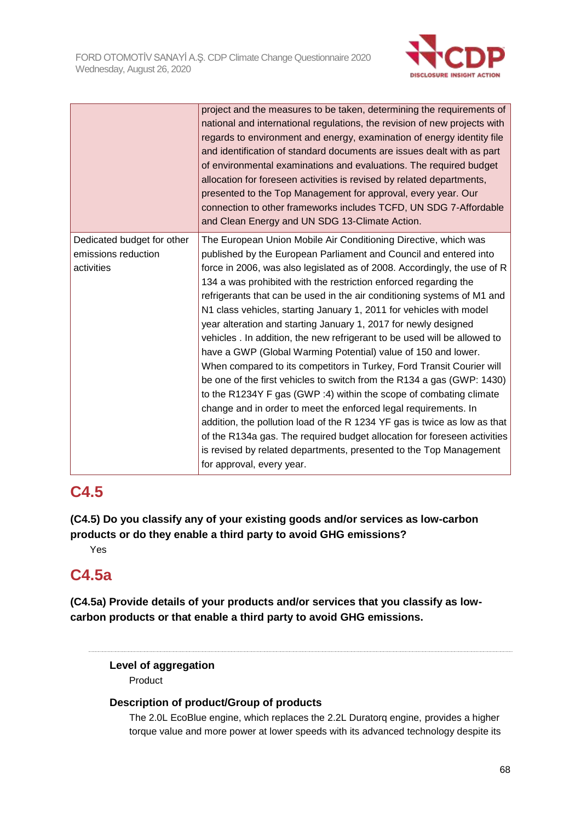

|                                                                 | project and the measures to be taken, determining the requirements of<br>national and international regulations, the revision of new projects with<br>regards to environment and energy, examination of energy identity file<br>and identification of standard documents are issues dealt with as part<br>of environmental examinations and evaluations. The required budget<br>allocation for foreseen activities is revised by related departments,<br>presented to the Top Management for approval, every year. Our<br>connection to other frameworks includes TCFD, UN SDG 7-Affordable<br>and Clean Energy and UN SDG 13-Climate Action.                                                                                                                                                                                                                                                                                                                                                                                                                                                                                                                                                                    |
|-----------------------------------------------------------------|------------------------------------------------------------------------------------------------------------------------------------------------------------------------------------------------------------------------------------------------------------------------------------------------------------------------------------------------------------------------------------------------------------------------------------------------------------------------------------------------------------------------------------------------------------------------------------------------------------------------------------------------------------------------------------------------------------------------------------------------------------------------------------------------------------------------------------------------------------------------------------------------------------------------------------------------------------------------------------------------------------------------------------------------------------------------------------------------------------------------------------------------------------------------------------------------------------------|
| Dedicated budget for other<br>emissions reduction<br>activities | The European Union Mobile Air Conditioning Directive, which was<br>published by the European Parliament and Council and entered into<br>force in 2006, was also legislated as of 2008. Accordingly, the use of R<br>134 a was prohibited with the restriction enforced regarding the<br>refrigerants that can be used in the air conditioning systems of M1 and<br>N1 class vehicles, starting January 1, 2011 for vehicles with model<br>year alteration and starting January 1, 2017 for newly designed<br>vehicles . In addition, the new refrigerant to be used will be allowed to<br>have a GWP (Global Warming Potential) value of 150 and lower.<br>When compared to its competitors in Turkey, Ford Transit Courier will<br>be one of the first vehicles to switch from the R134 a gas (GWP: 1430)<br>to the R1234Y F gas (GWP : 4) within the scope of combating climate<br>change and in order to meet the enforced legal requirements. In<br>addition, the pollution load of the R 1234 YF gas is twice as low as that<br>of the R134a gas. The required budget allocation for foreseen activities<br>is revised by related departments, presented to the Top Management<br>for approval, every year. |

# **C4.5**

**(C4.5) Do you classify any of your existing goods and/or services as low-carbon products or do they enable a third party to avoid GHG emissions?** Yes

# **C4.5a**

**(C4.5a) Provide details of your products and/or services that you classify as lowcarbon products or that enable a third party to avoid GHG emissions.**

# **Level of aggregation**

Product

# **Description of product/Group of products**

The 2.0L EcoBlue engine, which replaces the 2.2L Duratorq engine, provides a higher torque value and more power at lower speeds with its advanced technology despite its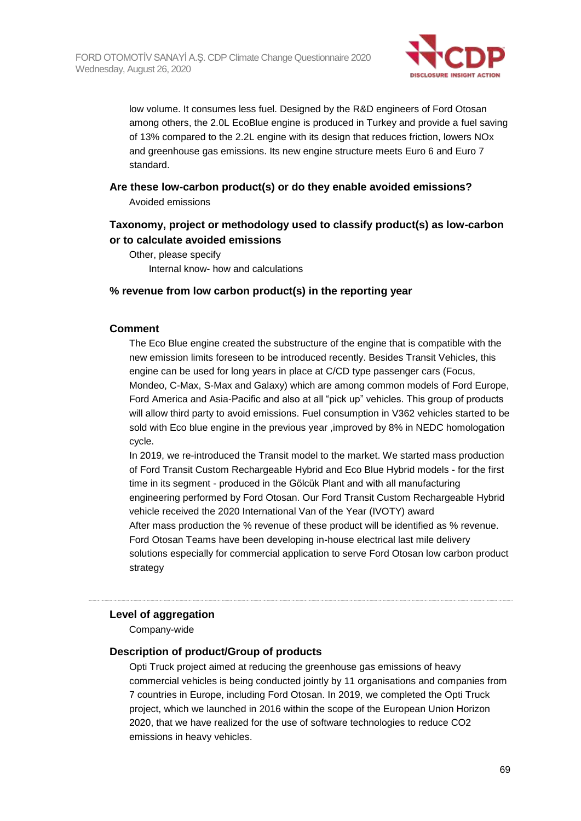

low volume. It consumes less fuel. Designed by the R&D engineers of Ford Otosan among others, the 2.0L EcoBlue engine is produced in Turkey and provide a fuel saving of 13% compared to the 2.2L engine with its design that reduces friction, lowers NOx and greenhouse gas emissions. Its new engine structure meets Euro 6 and Euro 7 standard.

## **Are these low-carbon product(s) or do they enable avoided emissions?** Avoided emissions

# **Taxonomy, project or methodology used to classify product(s) as low-carbon or to calculate avoided emissions**

Other, please specify Internal know- how and calculations

#### **% revenue from low carbon product(s) in the reporting year**

#### **Comment**

The Eco Blue engine created the substructure of the engine that is compatible with the new emission limits foreseen to be introduced recently. Besides Transit Vehicles, this engine can be used for long years in place at C/CD type passenger cars (Focus, Mondeo, C-Max, S-Max and Galaxy) which are among common models of Ford Europe, Ford America and Asia-Pacific and also at all "pick up" vehicles. This group of products will allow third party to avoid emissions. Fuel consumption in V362 vehicles started to be sold with Eco blue engine in the previous year ,improved by 8% in NEDC homologation cycle.

In 2019, we re-introduced the Transit model to the market. We started mass production of Ford Transit Custom Rechargeable Hybrid and Eco Blue Hybrid models - for the first time in its segment - produced in the Gölcük Plant and with all manufacturing engineering performed by Ford Otosan. Our Ford Transit Custom Rechargeable Hybrid vehicle received the 2020 International Van of the Year (IVOTY) award After mass production the % revenue of these product will be identified as % revenue. Ford Otosan Teams have been developing in-house electrical last mile delivery solutions especially for commercial application to serve Ford Otosan low carbon product

strategy

#### **Level of aggregation**

Company-wide

#### **Description of product/Group of products**

Opti Truck project aimed at reducing the greenhouse gas emissions of heavy commercial vehicles is being conducted jointly by 11 organisations and companies from 7 countries in Europe, including Ford Otosan. In 2019, we completed the Opti Truck project, which we launched in 2016 within the scope of the European Union Horizon 2020, that we have realized for the use of software technologies to reduce CO2 emissions in heavy vehicles.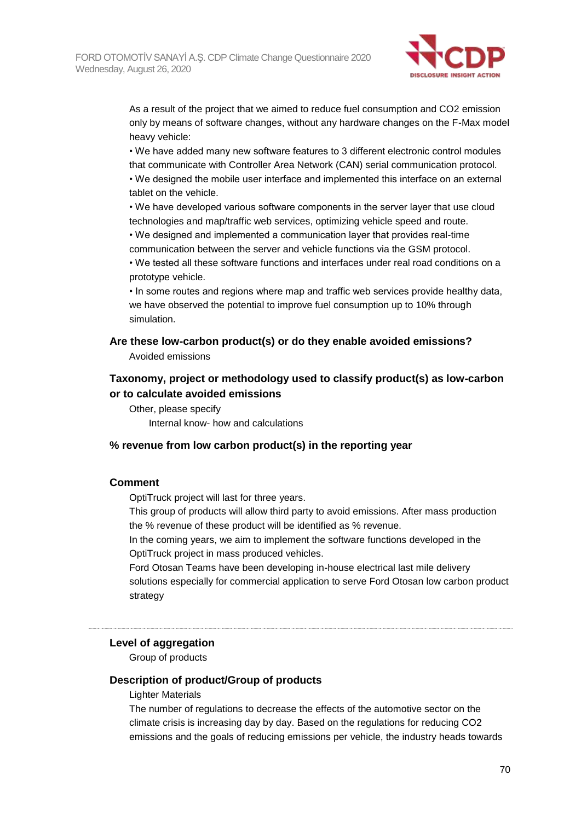

As a result of the project that we aimed to reduce fuel consumption and CO2 emission only by means of software changes, without any hardware changes on the F-Max model heavy vehicle:

• We have added many new software features to 3 different electronic control modules that communicate with Controller Area Network (CAN) serial communication protocol.

• We designed the mobile user interface and implemented this interface on an external tablet on the vehicle.

• We have developed various software components in the server layer that use cloud technologies and map/traffic web services, optimizing vehicle speed and route.

• We designed and implemented a communication layer that provides real-time communication between the server and vehicle functions via the GSM protocol.

• We tested all these software functions and interfaces under real road conditions on a prototype vehicle.

• In some routes and regions where map and traffic web services provide healthy data, we have observed the potential to improve fuel consumption up to 10% through simulation.

### **Are these low-carbon product(s) or do they enable avoided emissions?**

Avoided emissions

# **Taxonomy, project or methodology used to classify product(s) as low-carbon or to calculate avoided emissions**

Other, please specify Internal know- how and calculations

#### **% revenue from low carbon product(s) in the reporting year**

#### **Comment**

OptiTruck project will last for three years.

This group of products will allow third party to avoid emissions. After mass production the % revenue of these product will be identified as % revenue.

In the coming years, we aim to implement the software functions developed in the OptiTruck project in mass produced vehicles.

Ford Otosan Teams have been developing in-house electrical last mile delivery solutions especially for commercial application to serve Ford Otosan low carbon product strategy

#### **Level of aggregation**

Group of products

#### **Description of product/Group of products**

Lighter Materials

The number of regulations to decrease the effects of the automotive sector on the climate crisis is increasing day by day. Based on the regulations for reducing CO2 emissions and the goals of reducing emissions per vehicle, the industry heads towards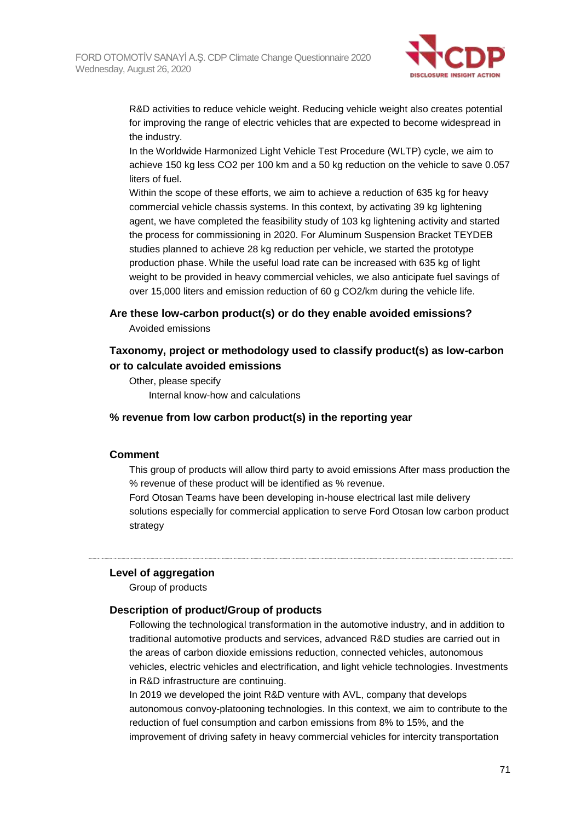

R&D activities to reduce vehicle weight. Reducing vehicle weight also creates potential for improving the range of electric vehicles that are expected to become widespread in the industry.

In the Worldwide Harmonized Light Vehicle Test Procedure (WLTP) cycle, we aim to achieve 150 kg less CO2 per 100 km and a 50 kg reduction on the vehicle to save 0.057 liters of fuel.

Within the scope of these efforts, we aim to achieve a reduction of 635 kg for heavy commercial vehicle chassis systems. In this context, by activating 39 kg lightening agent, we have completed the feasibility study of 103 kg lightening activity and started the process for commissioning in 2020. For Aluminum Suspension Bracket TEYDEB studies planned to achieve 28 kg reduction per vehicle, we started the prototype production phase. While the useful load rate can be increased with 635 kg of light weight to be provided in heavy commercial vehicles, we also anticipate fuel savings of over 15,000 liters and emission reduction of 60 g CO2/km during the vehicle life.

#### **Are these low-carbon product(s) or do they enable avoided emissions?**

Avoided emissions

# **Taxonomy, project or methodology used to classify product(s) as low-carbon or to calculate avoided emissions**

Other, please specify Internal know-how and calculations

## **% revenue from low carbon product(s) in the reporting year**

#### **Comment**

This group of products will allow third party to avoid emissions After mass production the % revenue of these product will be identified as % revenue.

Ford Otosan Teams have been developing in-house electrical last mile delivery solutions especially for commercial application to serve Ford Otosan low carbon product strategy

#### **Level of aggregation**

Group of products

#### **Description of product/Group of products**

Following the technological transformation in the automotive industry, and in addition to traditional automotive products and services, advanced R&D studies are carried out in the areas of carbon dioxide emissions reduction, connected vehicles, autonomous vehicles, electric vehicles and electrification, and light vehicle technologies. Investments in R&D infrastructure are continuing.

In 2019 we developed the joint R&D venture with AVL, company that develops autonomous convoy-platooning technologies. In this context, we aim to contribute to the reduction of fuel consumption and carbon emissions from 8% to 15%, and the improvement of driving safety in heavy commercial vehicles for intercity transportation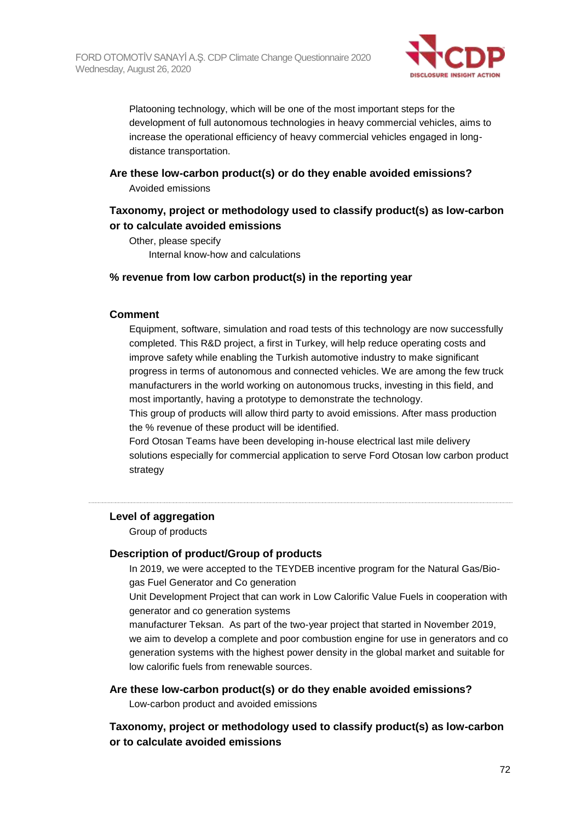

Platooning technology, which will be one of the most important steps for the development of full autonomous technologies in heavy commercial vehicles, aims to increase the operational efficiency of heavy commercial vehicles engaged in longdistance transportation.

# **Are these low-carbon product(s) or do they enable avoided emissions?**

Avoided emissions

# **Taxonomy, project or methodology used to classify product(s) as low-carbon or to calculate avoided emissions**

Other, please specify Internal know-how and calculations

# **% revenue from low carbon product(s) in the reporting year**

## **Comment**

Equipment, software, simulation and road tests of this technology are now successfully completed. This R&D project, a first in Turkey, will help reduce operating costs and improve safety while enabling the Turkish automotive industry to make significant progress in terms of autonomous and connected vehicles. We are among the few truck manufacturers in the world working on autonomous trucks, investing in this field, and most importantly, having a prototype to demonstrate the technology.

This group of products will allow third party to avoid emissions. After mass production the % revenue of these product will be identified.

Ford Otosan Teams have been developing in-house electrical last mile delivery solutions especially for commercial application to serve Ford Otosan low carbon product strategy

# **Level of aggregation**

Group of products

# **Description of product/Group of products**

In 2019, we were accepted to the TEYDEB incentive program for the Natural Gas/Biogas Fuel Generator and Co generation

Unit Development Project that can work in Low Calorific Value Fuels in cooperation with generator and co generation systems

manufacturer Teksan. As part of the two-year project that started in November 2019, we aim to develop a complete and poor combustion engine for use in generators and co generation systems with the highest power density in the global market and suitable for low calorific fuels from renewable sources.

#### **Are these low-carbon product(s) or do they enable avoided emissions?**

Low-carbon product and avoided emissions

# **Taxonomy, project or methodology used to classify product(s) as low-carbon or to calculate avoided emissions**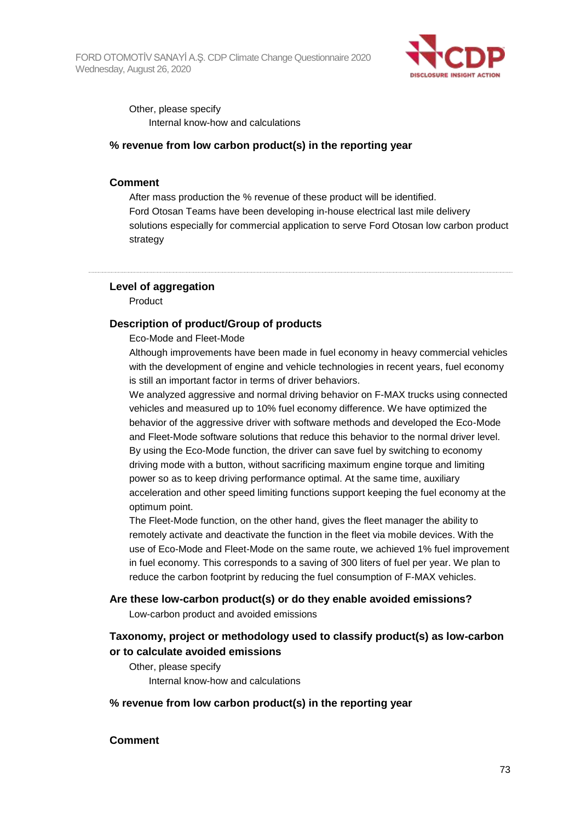

Other, please specify Internal know-how and calculations

### **% revenue from low carbon product(s) in the reporting year**

#### **Comment**

After mass production the % revenue of these product will be identified. Ford Otosan Teams have been developing in-house electrical last mile delivery solutions especially for commercial application to serve Ford Otosan low carbon product strategy

#### **Level of aggregation**

Product

#### **Description of product/Group of products**

Eco-Mode and Fleet-Mode

Although improvements have been made in fuel economy in heavy commercial vehicles with the development of engine and vehicle technologies in recent years, fuel economy is still an important factor in terms of driver behaviors.

We analyzed aggressive and normal driving behavior on F-MAX trucks using connected vehicles and measured up to 10% fuel economy difference. We have optimized the behavior of the aggressive driver with software methods and developed the Eco-Mode and Fleet-Mode software solutions that reduce this behavior to the normal driver level. By using the Eco-Mode function, the driver can save fuel by switching to economy driving mode with a button, without sacrificing maximum engine torque and limiting power so as to keep driving performance optimal. At the same time, auxiliary acceleration and other speed limiting functions support keeping the fuel economy at the optimum point.

The Fleet-Mode function, on the other hand, gives the fleet manager the ability to remotely activate and deactivate the function in the fleet via mobile devices. With the use of Eco-Mode and Fleet-Mode on the same route, we achieved 1% fuel improvement in fuel economy. This corresponds to a saving of 300 liters of fuel per year. We plan to reduce the carbon footprint by reducing the fuel consumption of F-MAX vehicles.

#### **Are these low-carbon product(s) or do they enable avoided emissions?**

Low-carbon product and avoided emissions

## **Taxonomy, project or methodology used to classify product(s) as low-carbon or to calculate avoided emissions**

Other, please specify Internal know-how and calculations

#### **% revenue from low carbon product(s) in the reporting year**

#### **Comment**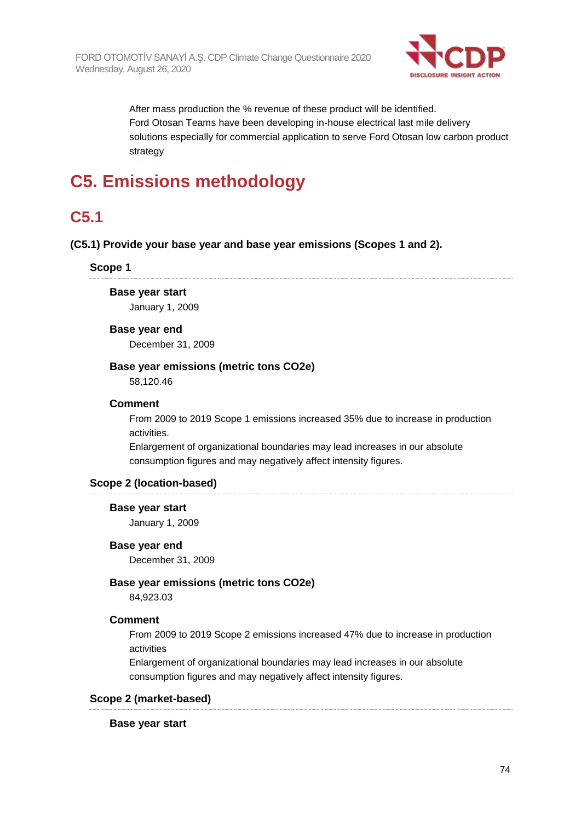

After mass production the % revenue of these product will be identified. Ford Otosan Teams have been developing in-house electrical last mile delivery solutions especially for commercial application to serve Ford Otosan low carbon product strategy

# **C5. Emissions methodology**

## **C5.1**

#### **(C5.1) Provide your base year and base year emissions (Scopes 1 and 2).**

**Scope 1**

**Base year start**

January 1, 2009

#### **Base year end**

December 31, 2009

#### **Base year emissions (metric tons CO2e)**

58,120.46

#### **Comment**

From 2009 to 2019 Scope 1 emissions increased 35% due to increase in production activities.

Enlargement of organizational boundaries may lead increases in our absolute consumption figures and may negatively affect intensity figures.

#### **Scope 2 (location-based)**

#### **Base year start**

January 1, 2009

#### **Base year end**

December 31, 2009

#### **Base year emissions (metric tons CO2e)**

84,923.03

#### **Comment**

From 2009 to 2019 Scope 2 emissions increased 47% due to increase in production activities

Enlargement of organizational boundaries may lead increases in our absolute consumption figures and may negatively affect intensity figures.

#### **Scope 2 (market-based)**

**Base year start**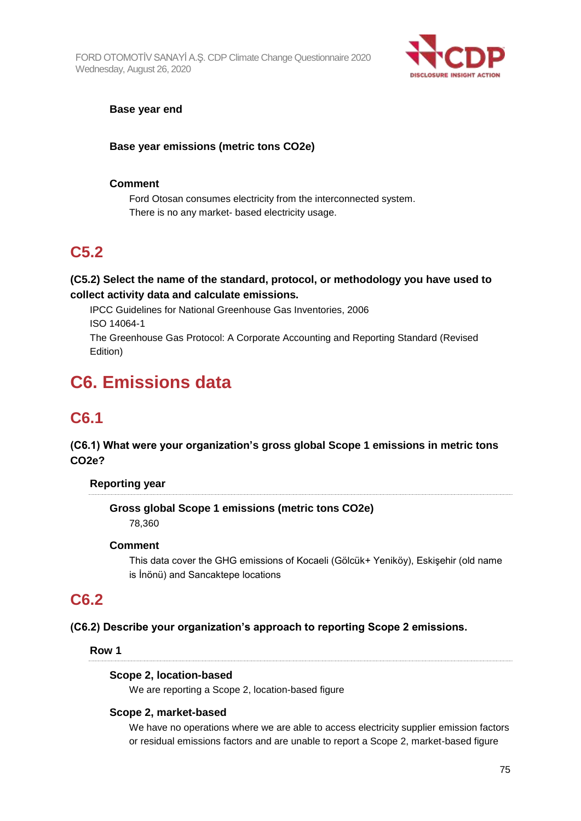

#### **Base year end**

### **Base year emissions (metric tons CO2e)**

#### **Comment**

Ford Otosan consumes electricity from the interconnected system. There is no any market- based electricity usage.

## **C5.2**

### **(C5.2) Select the name of the standard, protocol, or methodology you have used to collect activity data and calculate emissions.**

IPCC Guidelines for National Greenhouse Gas Inventories, 2006 ISO 14064-1

The Greenhouse Gas Protocol: A Corporate Accounting and Reporting Standard (Revised Edition)

# **C6. Emissions data**

## **C6.1**

**(C6.1) What were your organization's gross global Scope 1 emissions in metric tons CO2e?**

#### **Reporting year**

**Gross global Scope 1 emissions (metric tons CO2e)** 78,360

#### **Comment**

This data cover the GHG emissions of Kocaeli (Gölcük+ Yeniköy), Eskişehir (old name is İnönü) and Sancaktepe locations

## **C6.2**

#### **(C6.2) Describe your organization's approach to reporting Scope 2 emissions.**

#### **Row 1**

#### **Scope 2, location-based**

We are reporting a Scope 2, location-based figure

#### **Scope 2, market-based**

We have no operations where we are able to access electricity supplier emission factors or residual emissions factors and are unable to report a Scope 2, market-based figure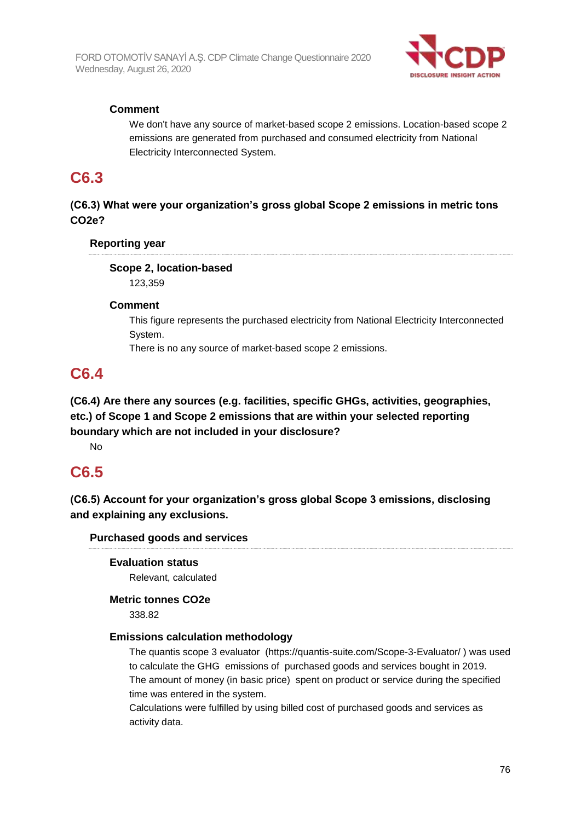

## **Comment**

We don't have any source of market-based scope 2 emissions. Location-based scope 2 emissions are generated from purchased and consumed electricity from National Electricity Interconnected System.

## **C6.3**

## **(C6.3) What were your organization's gross global Scope 2 emissions in metric tons CO2e?**

### **Reporting year**

## **Scope 2, location-based**

123,359

#### **Comment**

This figure represents the purchased electricity from National Electricity Interconnected System.

There is no any source of market-based scope 2 emissions.

## **C6.4**

**(C6.4) Are there any sources (e.g. facilities, specific GHGs, activities, geographies, etc.) of Scope 1 and Scope 2 emissions that are within your selected reporting boundary which are not included in your disclosure?**

No

## **C6.5**

**(C6.5) Account for your organization's gross global Scope 3 emissions, disclosing and explaining any exclusions.**

### **Purchased goods and services**

**Evaluation status** Relevant, calculated

#### **Metric tonnes CO2e**

338.82

#### **Emissions calculation methodology**

The quantis scope 3 evaluator (https://quantis-suite.com/Scope-3-Evaluator/ ) was used to calculate the GHG emissions of purchased goods and services bought in 2019. The amount of money (in basic price) spent on product or service during the specified time was entered in the system.

Calculations were fulfilled by using billed cost of purchased goods and services as activity data.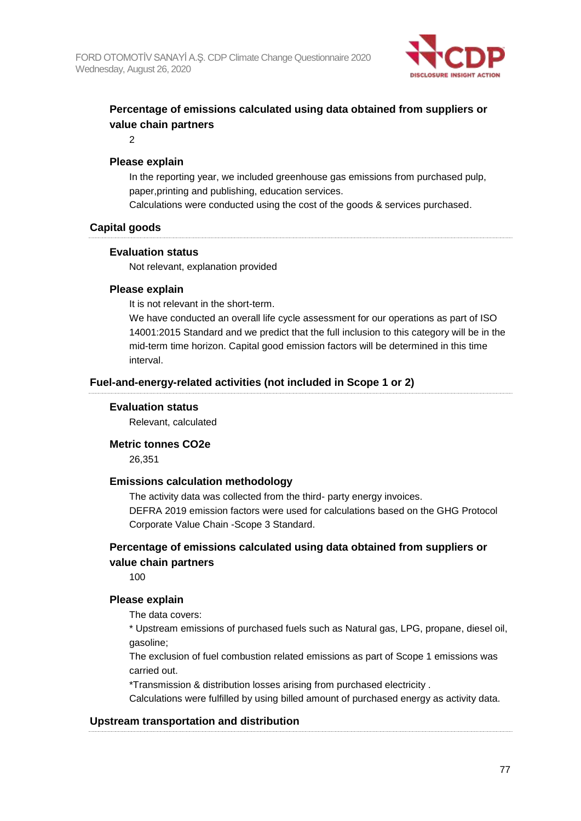

## **Percentage of emissions calculated using data obtained from suppliers or value chain partners**

2

#### **Please explain**

In the reporting year, we included greenhouse gas emissions from purchased pulp, paper,printing and publishing, education services.

Calculations were conducted using the cost of the goods & services purchased.

#### **Capital goods**

#### **Evaluation status**

Not relevant, explanation provided

#### **Please explain**

It is not relevant in the short-term.

We have conducted an overall life cycle assessment for our operations as part of ISO 14001:2015 Standard and we predict that the full inclusion to this category will be in the mid-term time horizon. Capital good emission factors will be determined in this time interval.

#### **Fuel-and-energy-related activities (not included in Scope 1 or 2)**

#### **Evaluation status**

Relevant, calculated

#### **Metric tonnes CO2e**

26,351

#### **Emissions calculation methodology**

The activity data was collected from the third- party energy invoices. DEFRA 2019 emission factors were used for calculations based on the GHG Protocol Corporate Value Chain -Scope 3 Standard.

### **Percentage of emissions calculated using data obtained from suppliers or value chain partners**

100

#### **Please explain**

The data covers:

\* Upstream emissions of purchased fuels such as Natural gas, LPG, propane, diesel oil, gasoline;

The exclusion of fuel combustion related emissions as part of Scope 1 emissions was carried out.

\*Transmission & distribution losses arising from purchased electricity .

Calculations were fulfilled by using billed amount of purchased energy as activity data.

#### **Upstream transportation and distribution**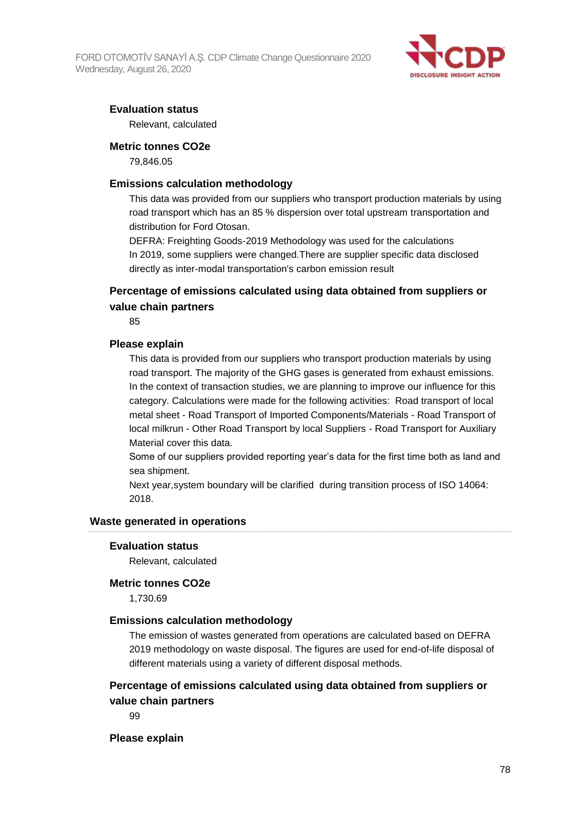

### **Evaluation status**

Relevant, calculated

#### **Metric tonnes CO2e**

79,846.05

#### **Emissions calculation methodology**

This data was provided from our suppliers who transport production materials by using road transport which has an 85 % dispersion over total upstream transportation and distribution for Ford Otosan.

DEFRA: Freighting Goods-2019 Methodology was used for the calculations In 2019, some suppliers were changed.There are supplier specific data disclosed directly as inter-modal transportation's carbon emission result

### **Percentage of emissions calculated using data obtained from suppliers or value chain partners**

85

#### **Please explain**

This data is provided from our suppliers who transport production materials by using road transport. The majority of the GHG gases is generated from exhaust emissions. In the context of transaction studies, we are planning to improve our influence for this category. Calculations were made for the following activities: Road transport of local metal sheet - Road Transport of Imported Components/Materials - Road Transport of local milkrun - Other Road Transport by local Suppliers - Road Transport for Auxiliary Material cover this data.

Some of our suppliers provided reporting year's data for the first time both as land and sea shipment.

Next year,system boundary will be clarified during transition process of ISO 14064: 2018.

#### **Waste generated in operations**

#### **Evaluation status**

Relevant, calculated

#### **Metric tonnes CO2e**

1,730.69

#### **Emissions calculation methodology**

The emission of wastes generated from operations are calculated based on DEFRA 2019 methodology on waste disposal. The figures are used for end-of-life disposal of different materials using a variety of different disposal methods.

### **Percentage of emissions calculated using data obtained from suppliers or value chain partners**

99

#### **Please explain**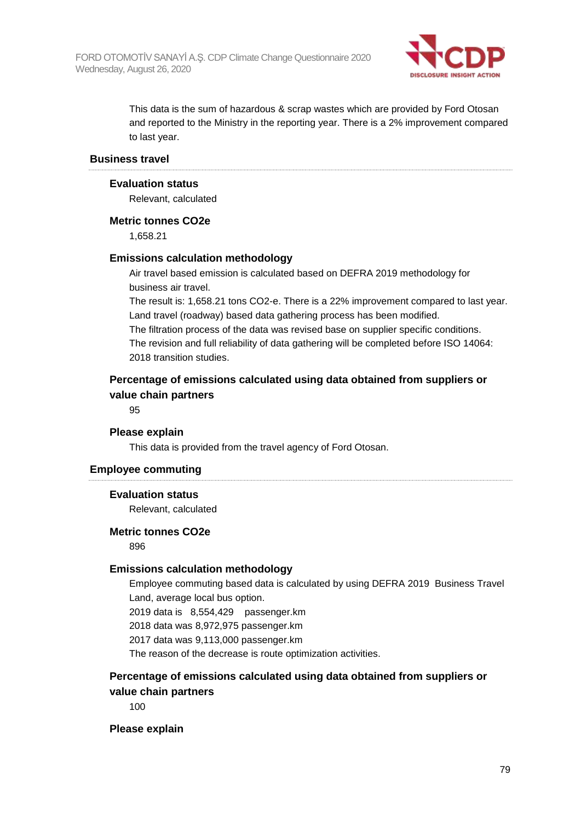

This data is the sum of hazardous & scrap wastes which are provided by Ford Otosan and reported to the Ministry in the reporting year. There is a 2% improvement compared to last year.

#### **Business travel**

#### **Evaluation status**

Relevant, calculated

#### **Metric tonnes CO2e**

1,658.21

#### **Emissions calculation methodology**

Air travel based emission is calculated based on DEFRA 2019 methodology for business air travel.

The result is: 1,658.21 tons CO2-e. There is a 22% improvement compared to last year. Land travel (roadway) based data gathering process has been modified.

The filtration process of the data was revised base on supplier specific conditions. The revision and full reliability of data gathering will be completed before ISO 14064: 2018 transition studies.

### **Percentage of emissions calculated using data obtained from suppliers or value chain partners**

95

#### **Please explain**

This data is provided from the travel agency of Ford Otosan.

#### **Employee commuting**

#### **Evaluation status**

Relevant, calculated

#### **Metric tonnes CO2e**

896

#### **Emissions calculation methodology**

Employee commuting based data is calculated by using DEFRA 2019 Business Travel Land, average local bus option.

2019 data is 8,554,429 passenger.km

2018 data was 8,972,975 passenger.km

2017 data was 9,113,000 passenger.km

The reason of the decrease is route optimization activities.

### **Percentage of emissions calculated using data obtained from suppliers or value chain partners**

100

#### **Please explain**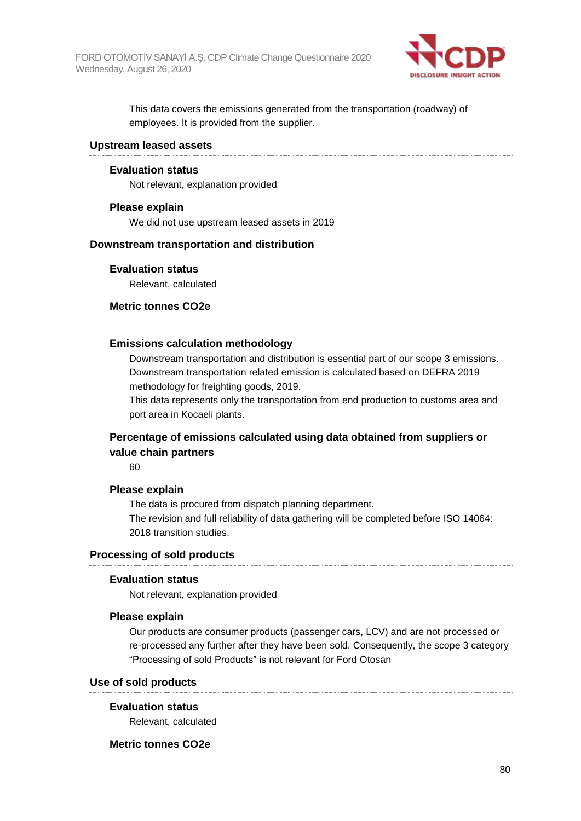

This data covers the emissions generated from the transportation (roadway) of employees. It is provided from the supplier.

#### **Upstream leased assets**

#### **Evaluation status**

Not relevant, explanation provided

#### **Please explain**

We did not use upstream leased assets in 2019

#### **Downstream transportation and distribution**

#### **Evaluation status**

Relevant, calculated

#### **Metric tonnes CO2e**

#### **Emissions calculation methodology**

Downstream transportation and distribution is essential part of our scope 3 emissions. Downstream transportation related emission is calculated based on DEFRA 2019 methodology for freighting goods, 2019.

This data represents only the transportation from end production to customs area and port area in Kocaeli plants.

### **Percentage of emissions calculated using data obtained from suppliers or value chain partners**

60

#### **Please explain**

The data is procured from dispatch planning department. The revision and full reliability of data gathering will be completed before ISO 14064: 2018 transition studies.

### **Processing of sold products**

#### **Evaluation status**

Not relevant, explanation provided

#### **Please explain**

Our products are consumer products (passenger cars, LCV) and are not processed or re-processed any further after they have been sold. Consequently, the scope 3 category "Processing of sold Products" is not relevant for Ford Otosan

#### **Use of sold products**

#### **Evaluation status**

Relevant, calculated

#### **Metric tonnes CO2e**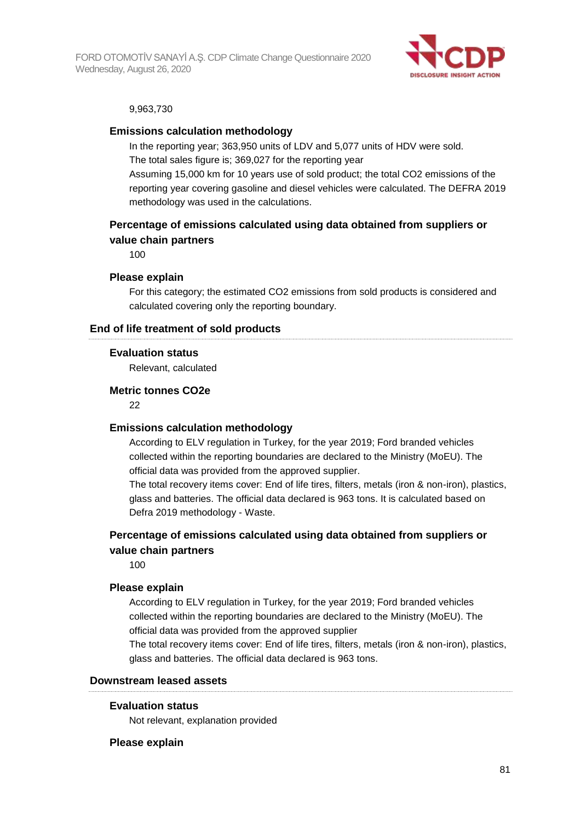

#### 9,963,730

#### **Emissions calculation methodology**

In the reporting year; 363,950 units of LDV and 5,077 units of HDV were sold. The total sales figure is; 369,027 for the reporting year Assuming 15,000 km for 10 years use of sold product; the total CO2 emissions of the reporting year covering gasoline and diesel vehicles were calculated. The DEFRA 2019

methodology was used in the calculations.

### **Percentage of emissions calculated using data obtained from suppliers or value chain partners**

100

#### **Please explain**

For this category; the estimated CO2 emissions from sold products is considered and calculated covering only the reporting boundary.

#### **End of life treatment of sold products**

#### **Evaluation status**

Relevant, calculated

#### **Metric tonnes CO2e**

22

#### **Emissions calculation methodology**

According to ELV regulation in Turkey, for the year 2019; Ford branded vehicles collected within the reporting boundaries are declared to the Ministry (MoEU). The official data was provided from the approved supplier.

The total recovery items cover: End of life tires, filters, metals (iron & non-iron), plastics, glass and batteries. The official data declared is 963 tons. It is calculated based on Defra 2019 methodology - Waste.

#### **Percentage of emissions calculated using data obtained from suppliers or value chain partners**

100

#### **Please explain**

According to ELV regulation in Turkey, for the year 2019; Ford branded vehicles collected within the reporting boundaries are declared to the Ministry (MoEU). The official data was provided from the approved supplier

The total recovery items cover: End of life tires, filters, metals (iron & non-iron), plastics, glass and batteries. The official data declared is 963 tons.

#### **Downstream leased assets**

#### **Evaluation status**

Not relevant, explanation provided

#### **Please explain**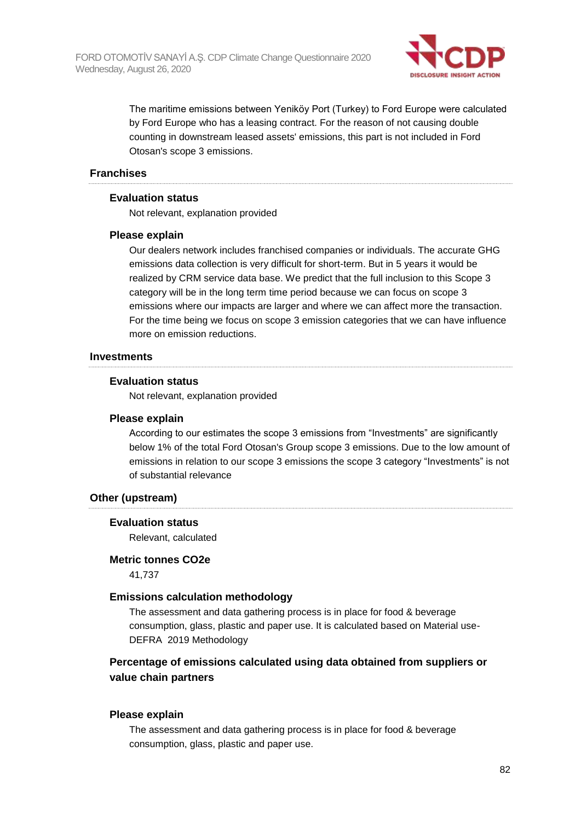

The maritime emissions between Yeniköy Port (Turkey) to Ford Europe were calculated by Ford Europe who has a leasing contract. For the reason of not causing double counting in downstream leased assets' emissions, this part is not included in Ford Otosan's scope 3 emissions.

#### **Franchises**

#### **Evaluation status**

Not relevant, explanation provided

#### **Please explain**

Our dealers network includes franchised companies or individuals. The accurate GHG emissions data collection is very difficult for short-term. But in 5 years it would be realized by CRM service data base. We predict that the full inclusion to this Scope 3 category will be in the long term time period because we can focus on scope 3 emissions where our impacts are larger and where we can affect more the transaction. For the time being we focus on scope 3 emission categories that we can have influence more on emission reductions.

#### **Investments**

#### **Evaluation status**

Not relevant, explanation provided

#### **Please explain**

According to our estimates the scope 3 emissions from "Investments" are significantly below 1% of the total Ford Otosan's Group scope 3 emissions. Due to the low amount of emissions in relation to our scope 3 emissions the scope 3 category "Investments" is not of substantial relevance

#### **Other (upstream)**

#### **Evaluation status**

Relevant, calculated

#### **Metric tonnes CO2e**

41,737

#### **Emissions calculation methodology**

The assessment and data gathering process is in place for food & beverage consumption, glass, plastic and paper use. It is calculated based on Material use-DEFRA 2019 Methodology

### **Percentage of emissions calculated using data obtained from suppliers or value chain partners**

#### **Please explain**

The assessment and data gathering process is in place for food & beverage consumption, glass, plastic and paper use.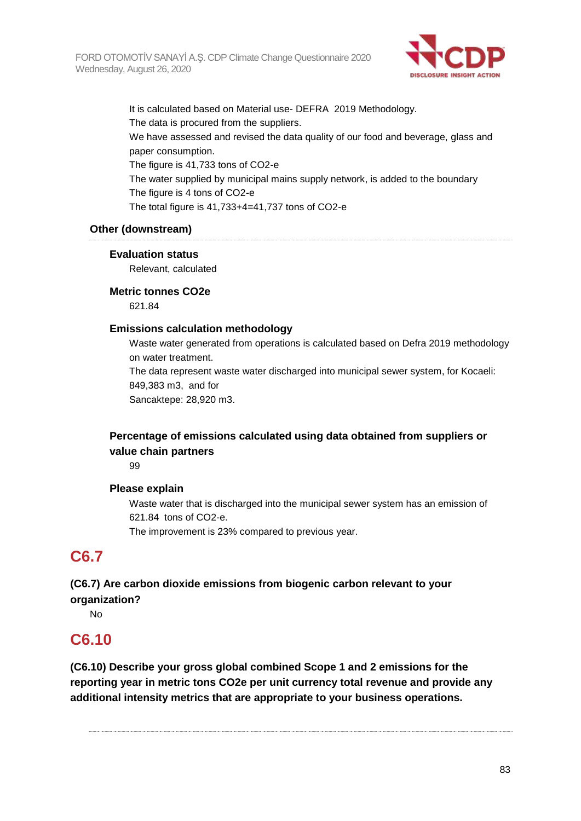

It is calculated based on Material use- DEFRA 2019 Methodology. The data is procured from the suppliers. We have assessed and revised the data quality of our food and beverage, glass and paper consumption. The figure is 41,733 tons of CO2-e The water supplied by municipal mains supply network, is added to the boundary The figure is 4 tons of CO2-e The total figure is 41,733+4=41,737 tons of CO2-e

### **Other (downstream)**

#### **Evaluation status**

Relevant, calculated

#### **Metric tonnes CO2e**

621.84

#### **Emissions calculation methodology**

Waste water generated from operations is calculated based on Defra 2019 methodology on water treatment. The data represent waste water discharged into municipal sewer system, for Kocaeli: 849,383 m3, and for Sancaktepe: 28,920 m3.

## **Percentage of emissions calculated using data obtained from suppliers or value chain partners**

99

#### **Please explain**

Waste water that is discharged into the municipal sewer system has an emission of 621.84 tons of CO2-e.

The improvement is 23% compared to previous year.

## **C6.7**

## **(C6.7) Are carbon dioxide emissions from biogenic carbon relevant to your organization?**

No

## **C6.10**

**(C6.10) Describe your gross global combined Scope 1 and 2 emissions for the reporting year in metric tons CO2e per unit currency total revenue and provide any additional intensity metrics that are appropriate to your business operations.**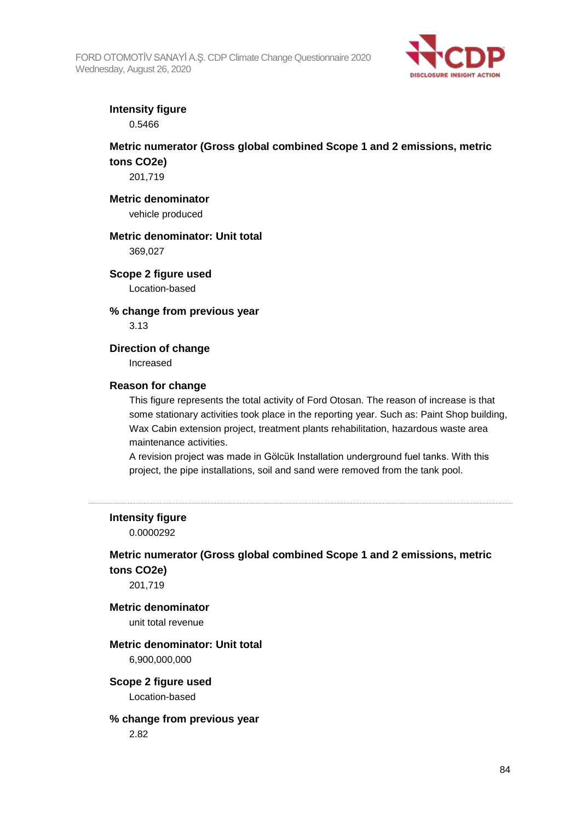

## **Intensity figure**

0.5466

## **Metric numerator (Gross global combined Scope 1 and 2 emissions, metric tons CO2e)**

201,719

#### **Metric denominator**

vehicle produced

### **Metric denominator: Unit total**

369,027

#### **Scope 2 figure used**

Location-based

## **% change from previous year**

3.13

#### **Direction of change**

Increased

#### **Reason for change**

This figure represents the total activity of Ford Otosan. The reason of increase is that some stationary activities took place in the reporting year. Such as: Paint Shop building, Wax Cabin extension project, treatment plants rehabilitation, hazardous waste area maintenance activities.

A revision project was made in Gölcük Installation underground fuel tanks. With this project, the pipe installations, soil and sand were removed from the tank pool.

**Intensity figure**

0.0000292

## **Metric numerator (Gross global combined Scope 1 and 2 emissions, metric tons CO2e)**

201,719

## **Metric denominator**

unit total revenue

## **Metric denominator: Unit total**

6,900,000,000

#### **Scope 2 figure used** Location-based

## **% change from previous year**

2.82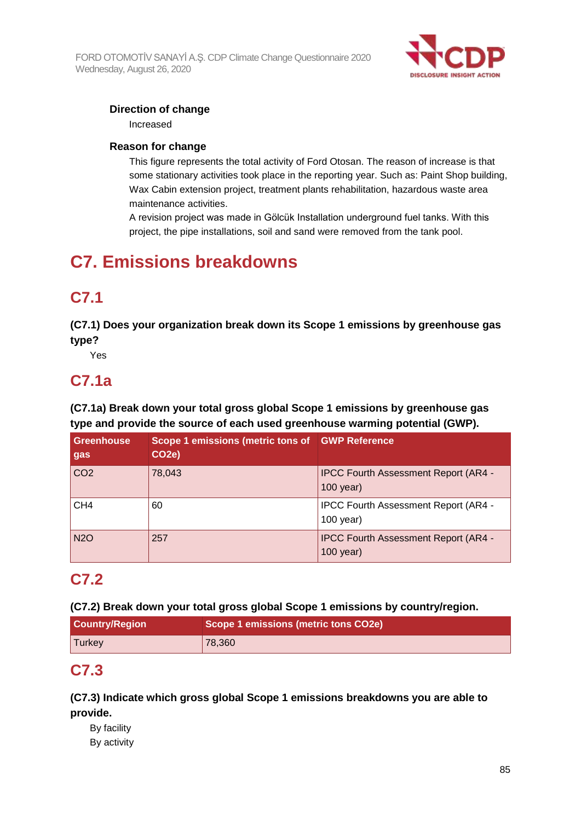

### **Direction of change**

Increased

### **Reason for change**

This figure represents the total activity of Ford Otosan. The reason of increase is that some stationary activities took place in the reporting year. Such as: Paint Shop building, Wax Cabin extension project, treatment plants rehabilitation, hazardous waste area maintenance activities.

A revision project was made in Gölcük Installation underground fuel tanks. With this project, the pipe installations, soil and sand were removed from the tank pool.

# **C7. Emissions breakdowns**

## **C7.1**

**(C7.1) Does your organization break down its Scope 1 emissions by greenhouse gas type?**

Yes

# **C7.1a**

**(C7.1a) Break down your total gross global Scope 1 emissions by greenhouse gas type and provide the source of each used greenhouse warming potential (GWP).**

| Greenhouse<br>gas | Scope 1 emissions (metric tons of GWP Reference<br>CO <sub>2</sub> e) |                                                            |
|-------------------|-----------------------------------------------------------------------|------------------------------------------------------------|
| CO <sub>2</sub>   | 78,043                                                                | <b>IPCC Fourth Assessment Report (AR4 -</b><br>$100$ year) |
| CH <sub>4</sub>   | 60                                                                    | <b>IPCC Fourth Assessment Report (AR4 -</b><br>$100$ year) |
| <b>N2O</b>        | 257                                                                   | <b>IPCC Fourth Assessment Report (AR4 -</b><br>$100$ year) |

## **C7.2**

**(C7.2) Break down your total gross global Scope 1 emissions by country/region.**

| <b>Country/Region</b> | Scope 1 emissions (metric tons CO2e) |
|-----------------------|--------------------------------------|
| <b>Turkey</b>         | 78,360                               |

## **C7.3**

**(C7.3) Indicate which gross global Scope 1 emissions breakdowns you are able to provide.**

By facility By activity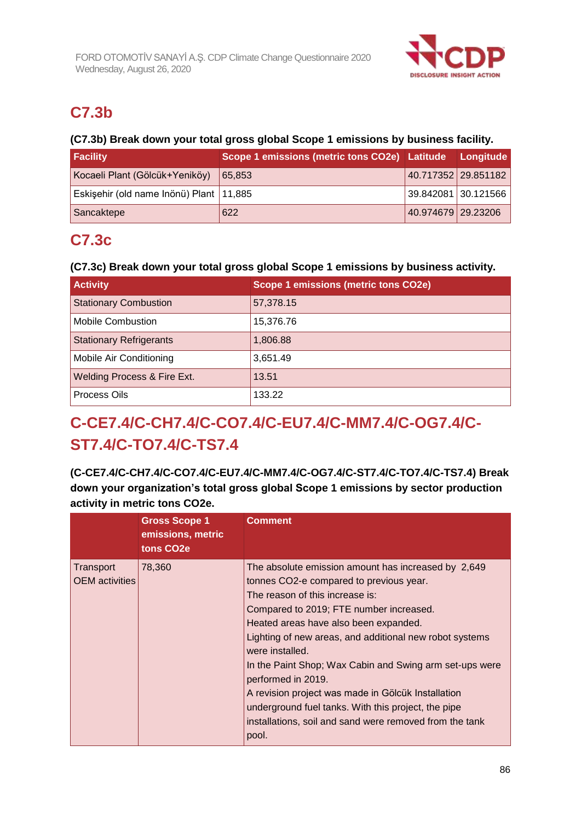

# **C7.3b**

## **(C7.3b) Break down your total gross global Scope 1 emissions by business facility.**

| <b>Facility</b>                           | Scope 1 emissions (metric tons CO2e) Latitude Longitude |                       |                     |
|-------------------------------------------|---------------------------------------------------------|-----------------------|---------------------|
| Kocaeli Plant (Gölcük+Yeniköy)            | 65.853                                                  |                       | 40.717352 29.851182 |
| Eskişehir (old name Inönü) Plant   11,885 |                                                         | 39.842081   30.121566 |                     |
| Sancaktepe                                | 622                                                     | 40.974679 29.23206    |                     |

# **C7.3c**

## **(C7.3c) Break down your total gross global Scope 1 emissions by business activity.**

| <b>Activity</b>                | <b>Scope 1 emissions (metric tons CO2e)</b> |
|--------------------------------|---------------------------------------------|
| <b>Stationary Combustion</b>   | 57,378.15                                   |
| <b>Mobile Combustion</b>       | 15,376.76                                   |
| <b>Stationary Refrigerants</b> | 1,806.88                                    |
| Mobile Air Conditioning        | 3,651.49                                    |
| Welding Process & Fire Ext.    | 13.51                                       |
| Process Oils                   | 133.22                                      |

# **C-CE7.4/C-CH7.4/C-CO7.4/C-EU7.4/C-MM7.4/C-OG7.4/C-ST7.4/C-TO7.4/C-TS7.4**

**(C-CE7.4/C-CH7.4/C-CO7.4/C-EU7.4/C-MM7.4/C-OG7.4/C-ST7.4/C-TO7.4/C-TS7.4) Break down your organization's total gross global Scope 1 emissions by sector production activity in metric tons CO2e.**

|                                    | <b>Gross Scope 1</b><br>emissions, metric<br>tons CO <sub>2</sub> e | <b>Comment</b>                                                                                                                                                                                                                                                                                                                                                                                                                                                                                                                                                        |
|------------------------------------|---------------------------------------------------------------------|-----------------------------------------------------------------------------------------------------------------------------------------------------------------------------------------------------------------------------------------------------------------------------------------------------------------------------------------------------------------------------------------------------------------------------------------------------------------------------------------------------------------------------------------------------------------------|
| Transport<br><b>OEM</b> activities | 78,360                                                              | The absolute emission amount has increased by 2,649<br>tonnes CO2-e compared to previous year.<br>The reason of this increase is:<br>Compared to 2019; FTE number increased.<br>Heated areas have also been expanded.<br>Lighting of new areas, and additional new robot systems<br>were installed.<br>In the Paint Shop; Wax Cabin and Swing arm set-ups were<br>performed in 2019.<br>A revision project was made in Gölcük Installation<br>underground fuel tanks. With this project, the pipe<br>installations, soil and sand were removed from the tank<br>pool. |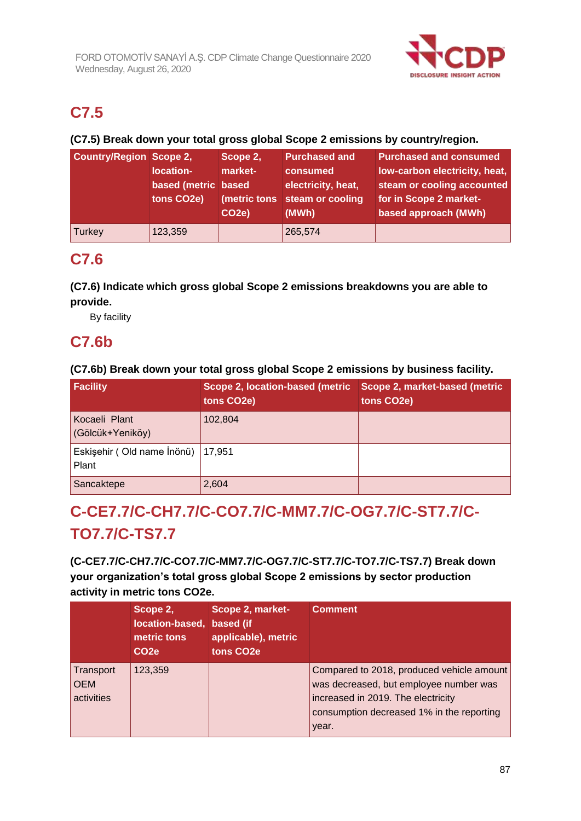

# **C7.5**

## **(C7.5) Break down your total gross global Scope 2 emissions by country/region.**

| <b>Country/Region Scope 2,</b> | location-<br>based (metric based<br>tons CO2e) | Scope 2,<br>market-<br>CO <sub>2</sub> e) | <b>Purchased and</b><br>consumed<br>electricity, heat,<br>(metric tons steam or cooling<br>(MWh) | <b>Purchased and consumed</b><br>low-carbon electricity, heat,<br>steam or cooling accounted<br>for in Scope 2 market-<br>based approach (MWh) |
|--------------------------------|------------------------------------------------|-------------------------------------------|--------------------------------------------------------------------------------------------------|------------------------------------------------------------------------------------------------------------------------------------------------|
| Turkey                         | 123,359                                        |                                           | 265,574                                                                                          |                                                                                                                                                |

## **C7.6**

## **(C7.6) Indicate which gross global Scope 2 emissions breakdowns you are able to provide.**

By facility

## **C7.6b**

### **(C7.6b) Break down your total gross global Scope 2 emissions by business facility.**

| Facility                              | Scope 2, location-based (metric<br>tons CO2e) | Scope 2, market-based (metric<br>tons CO2e) |
|---------------------------------------|-----------------------------------------------|---------------------------------------------|
| Kocaeli Plant<br>(Gölcük+Yeniköy)     | 102,804                                       |                                             |
| Eskişehir (Old name İnönü)  <br>Plant | 17.951                                        |                                             |
| Sancaktepe                            | 2,604                                         |                                             |

# **C-CE7.7/C-CH7.7/C-CO7.7/C-MM7.7/C-OG7.7/C-ST7.7/C-TO7.7/C-TS7.7**

## **(C-CE7.7/C-CH7.7/C-CO7.7/C-MM7.7/C-OG7.7/C-ST7.7/C-TO7.7/C-TS7.7) Break down your organization's total gross global Scope 2 emissions by sector production activity in metric tons CO2e.**

|                                       | Scope 2,<br>location-based, based (if<br>metric tons<br>CO <sub>2e</sub> | Scope 2, market-<br>applicable), metric<br>tons CO <sub>2</sub> e | <b>Comment</b>                                                                                                                                                                  |
|---------------------------------------|--------------------------------------------------------------------------|-------------------------------------------------------------------|---------------------------------------------------------------------------------------------------------------------------------------------------------------------------------|
| Transport<br><b>OEM</b><br>activities | 123,359                                                                  |                                                                   | Compared to 2018, produced vehicle amount<br>was decreased, but employee number was<br>increased in 2019. The electricity<br>consumption decreased 1% in the reporting<br>year. |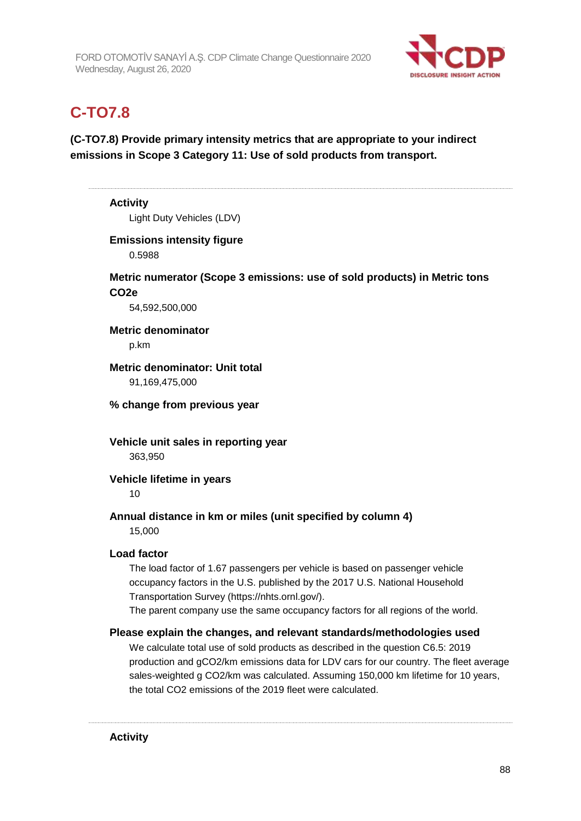

# **C-TO7.8**

## **(C-TO7.8) Provide primary intensity metrics that are appropriate to your indirect emissions in Scope 3 Category 11: Use of sold products from transport.**

## **Activity** Light Duty Vehicles (LDV) **Emissions intensity figure** 0.5988 **Metric numerator (Scope 3 emissions: use of sold products) in Metric tons CO2e** 54,592,500,000 **Metric denominator** p.km **Metric denominator: Unit total** 91,169,475,000 **% change from previous year Vehicle unit sales in reporting year** 363,950 **Vehicle lifetime in years** 10 **Annual distance in km or miles (unit specified by column 4)** 15,000 **Load factor** The load factor of 1.67 passengers per vehicle is based on passenger vehicle occupancy factors in the U.S. published by the 2017 U.S. National Household Transportation Survey (https://nhts.ornl.gov/). The parent company use the same occupancy factors for all regions of the world. **Please explain the changes, and relevant standards/methodologies used** We calculate total use of sold products as described in the question C6.5: 2019 production and gCO2/km emissions data for LDV cars for our country. The fleet average sales-weighted g CO2/km was calculated. Assuming 150,000 km lifetime for 10 years,

the total CO2 emissions of the 2019 fleet were calculated.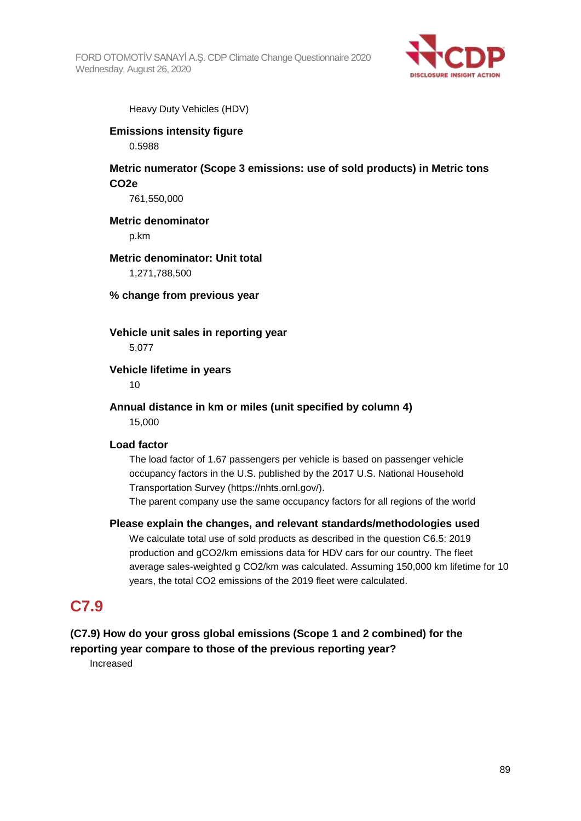

Heavy Duty Vehicles (HDV)

## **Emissions intensity figure**

0.5988

### **Metric numerator (Scope 3 emissions: use of sold products) in Metric tons CO2e**

761,550,000

#### **Metric denominator**

p.km

### **Metric denominator: Unit total**

1,271,788,500

**% change from previous year**

## **Vehicle unit sales in reporting year**

5,077

#### **Vehicle lifetime in years**

10

#### **Annual distance in km or miles (unit specified by column 4)** 15,000

## **Load factor**

The load factor of 1.67 passengers per vehicle is based on passenger vehicle occupancy factors in the U.S. published by the 2017 U.S. National Household Transportation Survey (https://nhts.ornl.gov/).

The parent company use the same occupancy factors for all regions of the world

#### **Please explain the changes, and relevant standards/methodologies used**

We calculate total use of sold products as described in the question C6.5: 2019 production and gCO2/km emissions data for HDV cars for our country. The fleet average sales-weighted g CO2/km was calculated. Assuming 150,000 km lifetime for 10 years, the total CO2 emissions of the 2019 fleet were calculated.

## **C7.9**

# **(C7.9) How do your gross global emissions (Scope 1 and 2 combined) for the**

**reporting year compare to those of the previous reporting year?**

Increased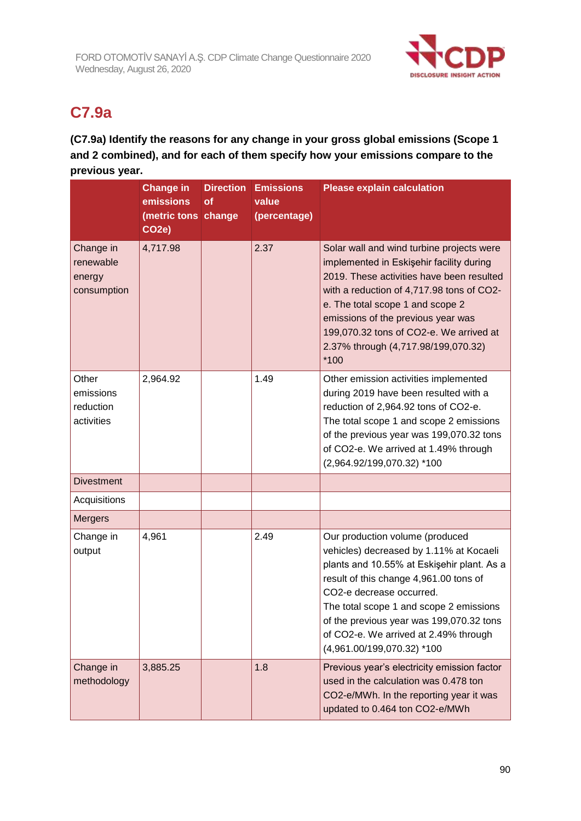

# **C7.9a**

**(C7.9a) Identify the reasons for any change in your gross global emissions (Scope 1 and 2 combined), and for each of them specify how your emissions compare to the previous year.**

|                                                 | <b>Change in</b><br>emissions<br>(metric tons change<br>CO <sub>2</sub> e) | <b>Direction</b><br>of | <b>Emissions</b><br>value<br>(percentage) | <b>Please explain calculation</b>                                                                                                                                                                                                                                                                                                                            |
|-------------------------------------------------|----------------------------------------------------------------------------|------------------------|-------------------------------------------|--------------------------------------------------------------------------------------------------------------------------------------------------------------------------------------------------------------------------------------------------------------------------------------------------------------------------------------------------------------|
| Change in<br>renewable<br>energy<br>consumption | 4,717.98                                                                   |                        | 2.37                                      | Solar wall and wind turbine projects were<br>implemented in Eskişehir facility during<br>2019. These activities have been resulted<br>with a reduction of 4,717.98 tons of CO2-<br>e. The total scope 1 and scope 2<br>emissions of the previous year was<br>199,070.32 tons of CO2-e. We arrived at<br>2.37% through (4,717.98/199,070.32)<br>$*100$        |
| Other<br>emissions<br>reduction<br>activities   | 2,964.92                                                                   |                        | 1.49                                      | Other emission activities implemented<br>during 2019 have been resulted with a<br>reduction of 2,964.92 tons of CO2-e.<br>The total scope 1 and scope 2 emissions<br>of the previous year was 199,070.32 tons<br>of CO2-e. We arrived at 1.49% through<br>(2,964.92/199,070.32) *100                                                                         |
| <b>Divestment</b>                               |                                                                            |                        |                                           |                                                                                                                                                                                                                                                                                                                                                              |
| Acquisitions                                    |                                                                            |                        |                                           |                                                                                                                                                                                                                                                                                                                                                              |
| <b>Mergers</b>                                  |                                                                            |                        |                                           |                                                                                                                                                                                                                                                                                                                                                              |
| Change in<br>output                             | 4,961                                                                      |                        | 2.49                                      | Our production volume (produced<br>vehicles) decreased by 1.11% at Kocaeli<br>plants and 10.55% at Eskişehir plant. As a<br>result of this change 4,961.00 tons of<br>CO2-e decrease occurred.<br>The total scope 1 and scope 2 emissions<br>of the previous year was 199,070.32 tons<br>of CO2-e. We arrived at 2.49% through<br>(4,961.00/199,070.32) *100 |
| Change in<br>methodology                        | 3,885.25                                                                   |                        | 1.8                                       | Previous year's electricity emission factor<br>used in the calculation was 0.478 ton<br>CO2-e/MWh. In the reporting year it was<br>updated to 0.464 ton CO2-e/MWh                                                                                                                                                                                            |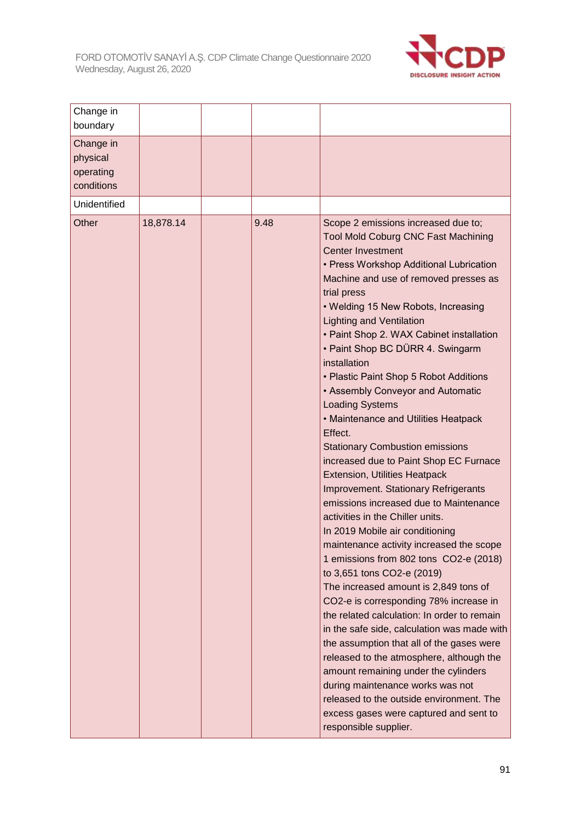

| Change in<br>boundary                            |           |      |                                                                                                                                                                                                                                                                                                                                                                                                                                                                                                                                                                                                                                                                                                                                                                                                                                                                                                                                                                                                                                                                                                                                                                                                                                                                                                                                                                                                                                             |
|--------------------------------------------------|-----------|------|---------------------------------------------------------------------------------------------------------------------------------------------------------------------------------------------------------------------------------------------------------------------------------------------------------------------------------------------------------------------------------------------------------------------------------------------------------------------------------------------------------------------------------------------------------------------------------------------------------------------------------------------------------------------------------------------------------------------------------------------------------------------------------------------------------------------------------------------------------------------------------------------------------------------------------------------------------------------------------------------------------------------------------------------------------------------------------------------------------------------------------------------------------------------------------------------------------------------------------------------------------------------------------------------------------------------------------------------------------------------------------------------------------------------------------------------|
| Change in<br>physical<br>operating<br>conditions |           |      |                                                                                                                                                                                                                                                                                                                                                                                                                                                                                                                                                                                                                                                                                                                                                                                                                                                                                                                                                                                                                                                                                                                                                                                                                                                                                                                                                                                                                                             |
| Unidentified                                     |           |      |                                                                                                                                                                                                                                                                                                                                                                                                                                                                                                                                                                                                                                                                                                                                                                                                                                                                                                                                                                                                                                                                                                                                                                                                                                                                                                                                                                                                                                             |
| Other                                            | 18,878.14 | 9.48 | Scope 2 emissions increased due to;<br><b>Tool Mold Coburg CNC Fast Machining</b><br><b>Center Investment</b><br>• Press Workshop Additional Lubrication<br>Machine and use of removed presses as<br>trial press<br>• Welding 15 New Robots, Increasing<br><b>Lighting and Ventilation</b><br>• Paint Shop 2. WAX Cabinet installation<br>• Paint Shop BC DÜRR 4. Swingarm<br>installation<br>• Plastic Paint Shop 5 Robot Additions<br>• Assembly Conveyor and Automatic<br><b>Loading Systems</b><br>• Maintenance and Utilities Heatpack<br>Effect.<br><b>Stationary Combustion emissions</b><br>increased due to Paint Shop EC Furnace<br><b>Extension, Utilities Heatpack</b><br><b>Improvement. Stationary Refrigerants</b><br>emissions increased due to Maintenance<br>activities in the Chiller units.<br>In 2019 Mobile air conditioning<br>maintenance activity increased the scope<br>1 emissions from 802 tons CO2-e (2018)<br>to 3,651 tons CO2-e (2019)<br>The increased amount is 2,849 tons of<br>CO2-e is corresponding 78% increase in<br>the related calculation: In order to remain<br>in the safe side, calculation was made with<br>the assumption that all of the gases were<br>released to the atmosphere, although the<br>amount remaining under the cylinders<br>during maintenance works was not<br>released to the outside environment. The<br>excess gases were captured and sent to<br>responsible supplier. |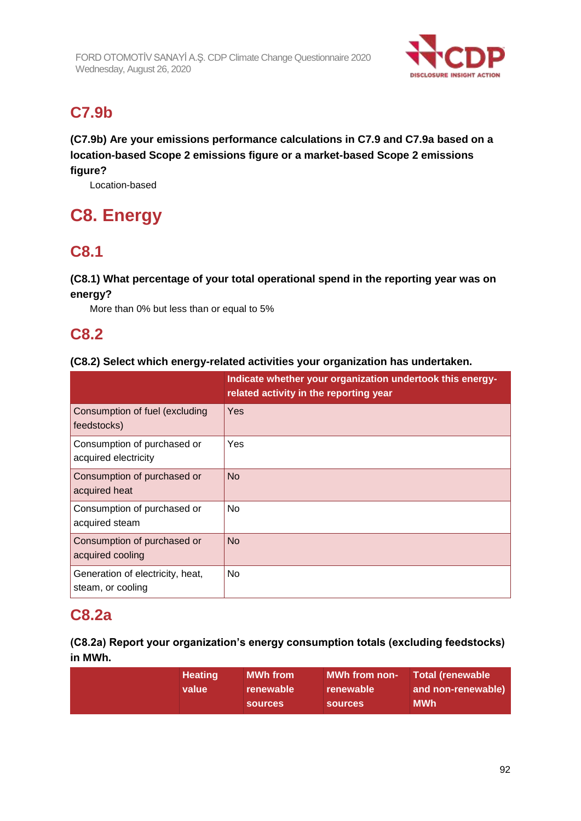

# **C7.9b**

**(C7.9b) Are your emissions performance calculations in C7.9 and C7.9a based on a location-based Scope 2 emissions figure or a market-based Scope 2 emissions figure?**

Location-based

# **C8. Energy**

## **C8.1**

## **(C8.1) What percentage of your total operational spend in the reporting year was on energy?**

More than 0% but less than or equal to 5%

## **C8.2**

### **(C8.2) Select which energy-related activities your organization has undertaken.**

|                                                       | Indicate whether your organization undertook this energy-<br>related activity in the reporting year |
|-------------------------------------------------------|-----------------------------------------------------------------------------------------------------|
| Consumption of fuel (excluding<br>feedstocks)         | Yes                                                                                                 |
| Consumption of purchased or<br>acquired electricity   | Yes                                                                                                 |
| Consumption of purchased or<br>acquired heat          | <b>No</b>                                                                                           |
| Consumption of purchased or<br>acquired steam         | N <sub>o</sub>                                                                                      |
| Consumption of purchased or<br>acquired cooling       | <b>No</b>                                                                                           |
| Generation of electricity, heat,<br>steam, or cooling | No.                                                                                                 |

## **C8.2a**

## **(C8.2a) Report your organization's energy consumption totals (excluding feedstocks) in MWh.**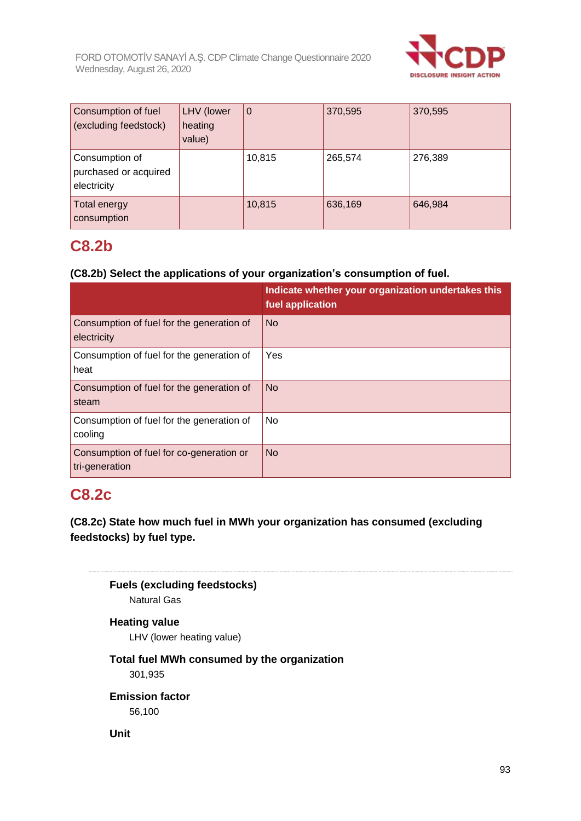

| Consumption of fuel<br>(excluding feedstock)           | LHV (lower<br>heating<br>value) | l 0    | 370,595 | 370,595 |
|--------------------------------------------------------|---------------------------------|--------|---------|---------|
| Consumption of<br>purchased or acquired<br>electricity |                                 | 10,815 | 265,574 | 276,389 |
| Total energy<br>consumption                            |                                 | 10,815 | 636,169 | 646,984 |

## **C8.2b**

### **(C8.2b) Select the applications of your organization's consumption of fuel.**

|                                                            | Indicate whether your organization undertakes this<br>fuel application |
|------------------------------------------------------------|------------------------------------------------------------------------|
| Consumption of fuel for the generation of<br>electricity   | <b>No</b>                                                              |
| Consumption of fuel for the generation of<br>heat          | Yes                                                                    |
| Consumption of fuel for the generation of<br>steam         | <b>No</b>                                                              |
| Consumption of fuel for the generation of<br>cooling       | No                                                                     |
| Consumption of fuel for co-generation or<br>tri-generation | <b>No</b>                                                              |

## **C8.2c**

**(C8.2c) State how much fuel in MWh your organization has consumed (excluding feedstocks) by fuel type.**

**Fuels (excluding feedstocks)** Natural Gas

## **Heating value**

LHV (lower heating value)

### **Total fuel MWh consumed by the organization** 301,935

**Emission factor**

56,100

### **Unit**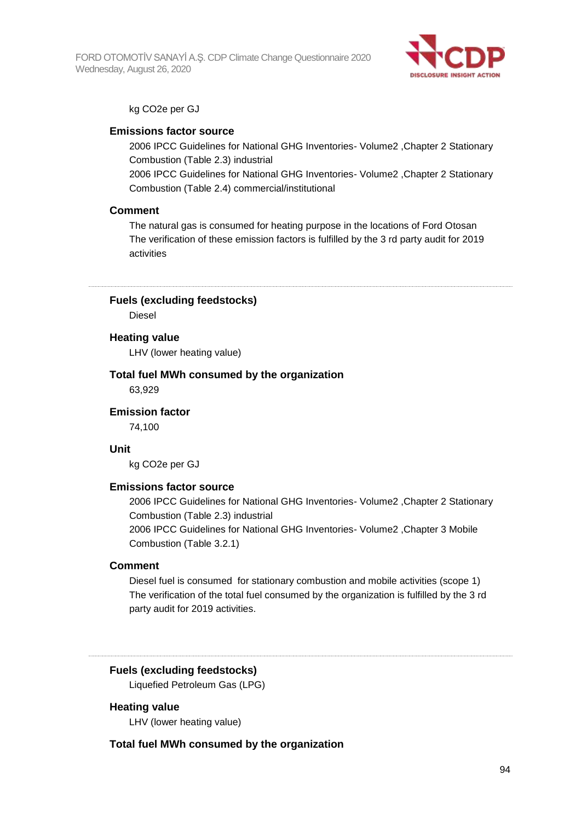

#### kg CO2e per GJ

#### **Emissions factor source**

2006 IPCC Guidelines for National GHG Inventories- Volume2 ,Chapter 2 Stationary Combustion (Table 2.3) industrial

2006 IPCC Guidelines for National GHG Inventories- Volume2 ,Chapter 2 Stationary Combustion (Table 2.4) commercial/institutional

#### **Comment**

The natural gas is consumed for heating purpose in the locations of Ford Otosan The verification of these emission factors is fulfilled by the 3 rd party audit for 2019 activities

**Fuels (excluding feedstocks)**

Diesel

#### **Heating value**

LHV (lower heating value)

#### **Total fuel MWh consumed by the organization**

63,929

#### **Emission factor**

74,100

#### **Unit**

kg CO2e per GJ

#### **Emissions factor source**

2006 IPCC Guidelines for National GHG Inventories- Volume2 ,Chapter 2 Stationary Combustion (Table 2.3) industrial

2006 IPCC Guidelines for National GHG Inventories- Volume2 ,Chapter 3 Mobile Combustion (Table 3.2.1)

#### **Comment**

Diesel fuel is consumed for stationary combustion and mobile activities (scope 1) The verification of the total fuel consumed by the organization is fulfilled by the 3 rd party audit for 2019 activities.

#### **Fuels (excluding feedstocks)**

Liquefied Petroleum Gas (LPG)

#### **Heating value**

LHV (lower heating value)

#### **Total fuel MWh consumed by the organization**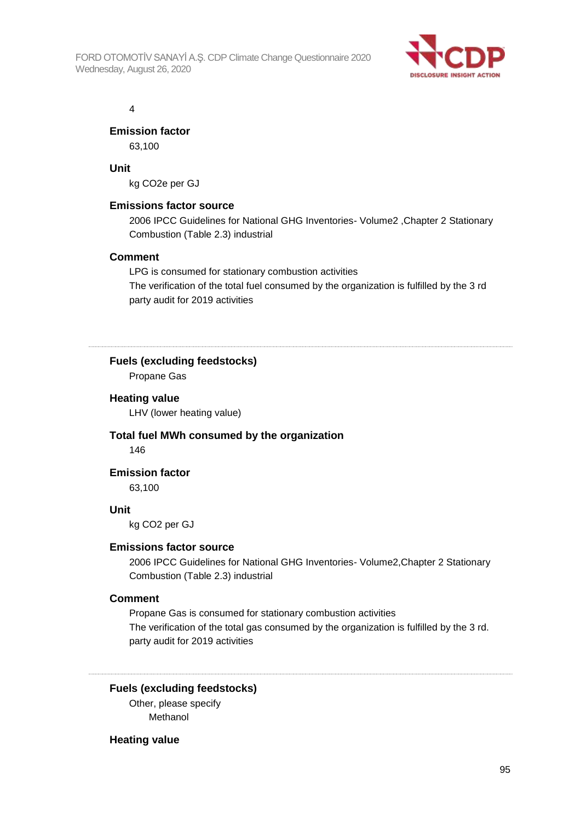

4

### **Emission factor**

63,100

### **Unit**

kg CO2e per GJ

#### **Emissions factor source**

2006 IPCC Guidelines for National GHG Inventories- Volume2 ,Chapter 2 Stationary Combustion (Table 2.3) industrial

#### **Comment**

LPG is consumed for stationary combustion activities The verification of the total fuel consumed by the organization is fulfilled by the 3 rd party audit for 2019 activities

#### **Fuels (excluding feedstocks)**

Propane Gas

#### **Heating value**

LHV (lower heating value)

#### **Total fuel MWh consumed by the organization** 146

**Emission factor**

63,100

#### **Unit**

kg CO2 per GJ

#### **Emissions factor source**

2006 IPCC Guidelines for National GHG Inventories- Volume2,Chapter 2 Stationary Combustion (Table 2.3) industrial

#### **Comment**

Propane Gas is consumed for stationary combustion activities The verification of the total gas consumed by the organization is fulfilled by the 3 rd. party audit for 2019 activities

**Fuels (excluding feedstocks)**

Other, please specify Methanol

#### **Heating value**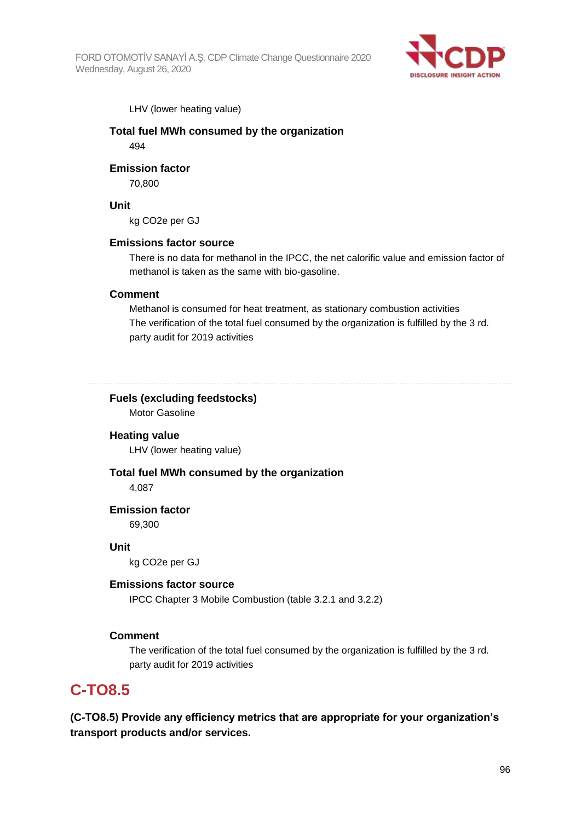

LHV (lower heating value)

### **Total fuel MWh consumed by the organization**

494

#### **Emission factor**

70,800

#### **Unit**

kg CO2e per GJ

#### **Emissions factor source**

There is no data for methanol in the IPCC, the net calorific value and emission factor of methanol is taken as the same with bio-gasoline.

### **Comment**

Methanol is consumed for heat treatment, as stationary combustion activities The verification of the total fuel consumed by the organization is fulfilled by the 3 rd. party audit for 2019 activities

#### **Fuels (excluding feedstocks)**

Motor Gasoline

#### **Heating value**

LHV (lower heating value)

## **Total fuel MWh consumed by the organization**

4,087

#### **Emission factor** 69,300

**Unit**

kg CO2e per GJ

#### **Emissions factor source**

IPCC Chapter 3 Mobile Combustion (table 3.2.1 and 3.2.2)

#### **Comment**

The verification of the total fuel consumed by the organization is fulfilled by the 3 rd. party audit for 2019 activities

## **C-TO8.5**

**(C-TO8.5) Provide any efficiency metrics that are appropriate for your organization's transport products and/or services.**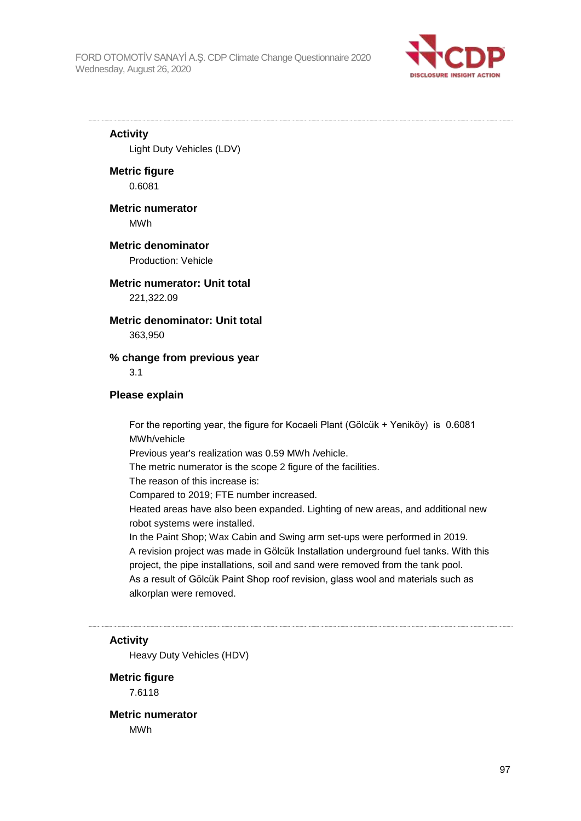

#### **Activity**

Light Duty Vehicles (LDV)

#### **Metric figure** 0.6081

## **Metric numerator**

MWh

#### **Metric denominator** Production: Vehicle

### **Metric numerator: Unit total**

221,322.09

#### **Metric denominator: Unit total**

363,950

### **% change from previous year**

3.1

#### **Please explain**

For the reporting year, the figure for Kocaeli Plant (Gölcük + Yeniköy) is 0.6081 MWh/vehicle Previous year's realization was 0.59 MWh /vehicle.

The metric numerator is the scope 2 figure of the facilities.

The reason of this increase is:

Compared to 2019; FTE number increased.

Heated areas have also been expanded. Lighting of new areas, and additional new robot systems were installed.

In the Paint Shop; Wax Cabin and Swing arm set-ups were performed in 2019. A revision project was made in Gölcük Installation underground fuel tanks. With this project, the pipe installations, soil and sand were removed from the tank pool. As a result of Gölcük Paint Shop roof revision, glass wool and materials such as alkorplan were removed.

#### **Activity**

Heavy Duty Vehicles (HDV)

## **Metric figure**

7.6118

**Metric numerator** MWh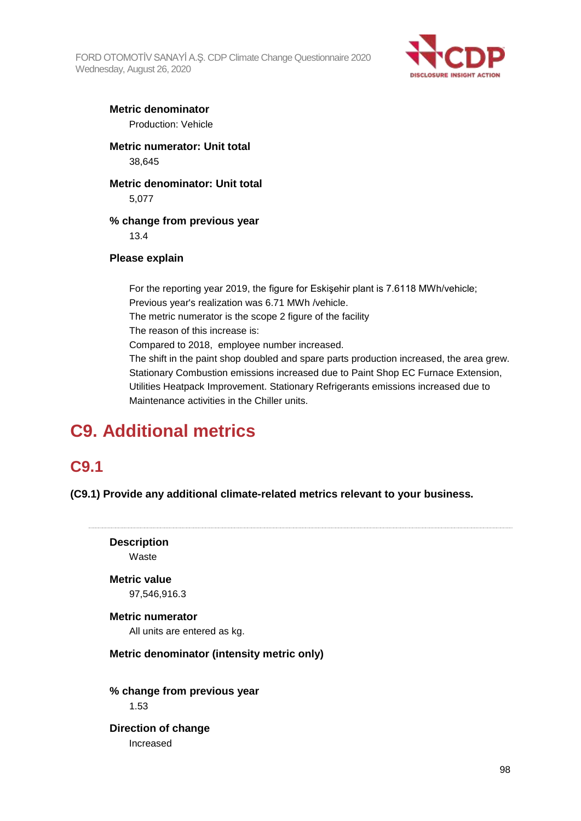

## **Metric denominator**

Production: Vehicle

**Metric numerator: Unit total** 38,645

#### **Metric denominator: Unit total** 5,077

**% change from previous year** 13.4

### **Please explain**

For the reporting year 2019, the figure for Eskişehir plant is 7.6118 MWh/vehicle; Previous year's realization was 6.71 MWh /vehicle. The metric numerator is the scope 2 figure of the facility The reason of this increase is: Compared to 2018, employee number increased. The shift in the paint shop doubled and spare parts production increased, the area grew. Stationary Combustion emissions increased due to Paint Shop EC Furnace Extension, Utilities Heatpack Improvement. Stationary Refrigerants emissions increased due to Maintenance activities in the Chiller units.

# **C9. Additional metrics**

## **C9.1**

**(C9.1) Provide any additional climate-related metrics relevant to your business.**

**Description** Waste **Metric value** 97,546,916.3 **Metric numerator** All units are entered as kg. **Metric denominator (intensity metric only) % change from previous year** 1.53 **Direction of change** Increased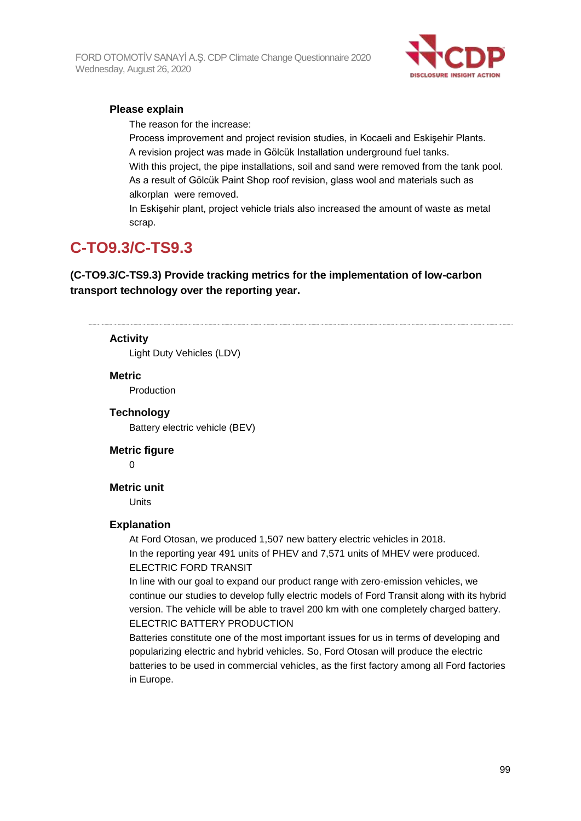

### **Please explain**

The reason for the increase:

Process improvement and project revision studies, in Kocaeli and Eskişehir Plants. A revision project was made in Gölcük Installation underground fuel tanks. With this project, the pipe installations, soil and sand were removed from the tank pool. As a result of Gölcük Paint Shop roof revision, glass wool and materials such as alkorplan were removed.

In Eskişehir plant, project vehicle trials also increased the amount of waste as metal scrap.

## **C-TO9.3/C-TS9.3**

**(C-TO9.3/C-TS9.3) Provide tracking metrics for the implementation of low-carbon transport technology over the reporting year.**

#### **Activity**

Light Duty Vehicles (LDV)

#### **Metric**

Production

#### **Technology**

Battery electric vehicle (BEV)

#### **Metric figure**

0

#### **Metric unit**

Units

#### **Explanation**

At Ford Otosan, we produced 1,507 new battery electric vehicles in 2018. In the reporting year 491 units of PHEV and 7,571 units of MHEV were produced. ELECTRIC FORD TRANSIT

In line with our goal to expand our product range with zero-emission vehicles, we continue our studies to develop fully electric models of Ford Transit along with its hybrid version. The vehicle will be able to travel 200 km with one completely charged battery. ELECTRIC BATTERY PRODUCTION

Batteries constitute one of the most important issues for us in terms of developing and popularizing electric and hybrid vehicles. So, Ford Otosan will produce the electric batteries to be used in commercial vehicles, as the first factory among all Ford factories in Europe.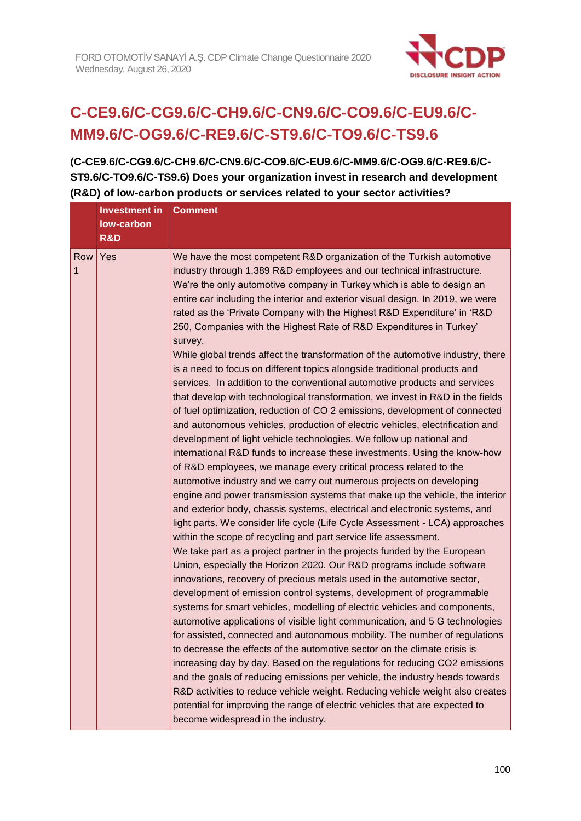

# **C-CE9.6/C-CG9.6/C-CH9.6/C-CN9.6/C-CO9.6/C-EU9.6/C-MM9.6/C-OG9.6/C-RE9.6/C-ST9.6/C-TO9.6/C-TS9.6**

**(C-CE9.6/C-CG9.6/C-CH9.6/C-CN9.6/C-CO9.6/C-EU9.6/C-MM9.6/C-OG9.6/C-RE9.6/C-ST9.6/C-TO9.6/C-TS9.6) Does your organization invest in research and development (R&D) of low-carbon products or services related to your sector activities?**

|          | Investment in<br>low-carbon<br>R&D | <b>Comment</b>                                                                                                                                                                                                                                                                                                                                                                                                                                                                                                                                                                                                                                                                                                                                                                                                                                                                                                                                                                                                                                                                                                                                                                                                                                                                                                                                                                                                                                                                                                                                                                                                                                                                                                                                                                                                                                                                                                                                                                                                                                                                                                                                                                                                                                                                                                                                                                                                                                                                                                                                                                                  |
|----------|------------------------------------|-------------------------------------------------------------------------------------------------------------------------------------------------------------------------------------------------------------------------------------------------------------------------------------------------------------------------------------------------------------------------------------------------------------------------------------------------------------------------------------------------------------------------------------------------------------------------------------------------------------------------------------------------------------------------------------------------------------------------------------------------------------------------------------------------------------------------------------------------------------------------------------------------------------------------------------------------------------------------------------------------------------------------------------------------------------------------------------------------------------------------------------------------------------------------------------------------------------------------------------------------------------------------------------------------------------------------------------------------------------------------------------------------------------------------------------------------------------------------------------------------------------------------------------------------------------------------------------------------------------------------------------------------------------------------------------------------------------------------------------------------------------------------------------------------------------------------------------------------------------------------------------------------------------------------------------------------------------------------------------------------------------------------------------------------------------------------------------------------------------------------------------------------------------------------------------------------------------------------------------------------------------------------------------------------------------------------------------------------------------------------------------------------------------------------------------------------------------------------------------------------------------------------------------------------------------------------------------------------|
| Row<br>1 | Yes                                | We have the most competent R&D organization of the Turkish automotive<br>industry through 1,389 R&D employees and our technical infrastructure.<br>We're the only automotive company in Turkey which is able to design an<br>entire car including the interior and exterior visual design. In 2019, we were<br>rated as the 'Private Company with the Highest R&D Expenditure' in 'R&D<br>250, Companies with the Highest Rate of R&D Expenditures in Turkey'<br>survey.<br>While global trends affect the transformation of the automotive industry, there<br>is a need to focus on different topics alongside traditional products and<br>services. In addition to the conventional automotive products and services<br>that develop with technological transformation, we invest in R&D in the fields<br>of fuel optimization, reduction of CO 2 emissions, development of connected<br>and autonomous vehicles, production of electric vehicles, electrification and<br>development of light vehicle technologies. We follow up national and<br>international R&D funds to increase these investments. Using the know-how<br>of R&D employees, we manage every critical process related to the<br>automotive industry and we carry out numerous projects on developing<br>engine and power transmission systems that make up the vehicle, the interior<br>and exterior body, chassis systems, electrical and electronic systems, and<br>light parts. We consider life cycle (Life Cycle Assessment - LCA) approaches<br>within the scope of recycling and part service life assessment.<br>We take part as a project partner in the projects funded by the European<br>Union, especially the Horizon 2020. Our R&D programs include software<br>innovations, recovery of precious metals used in the automotive sector,<br>development of emission control systems, development of programmable<br>systems for smart vehicles, modelling of electric vehicles and components,<br>automotive applications of visible light communication, and 5 G technologies<br>for assisted, connected and autonomous mobility. The number of regulations<br>to decrease the effects of the automotive sector on the climate crisis is<br>increasing day by day. Based on the regulations for reducing CO2 emissions<br>and the goals of reducing emissions per vehicle, the industry heads towards<br>R&D activities to reduce vehicle weight. Reducing vehicle weight also creates<br>potential for improving the range of electric vehicles that are expected to<br>become widespread in the industry. |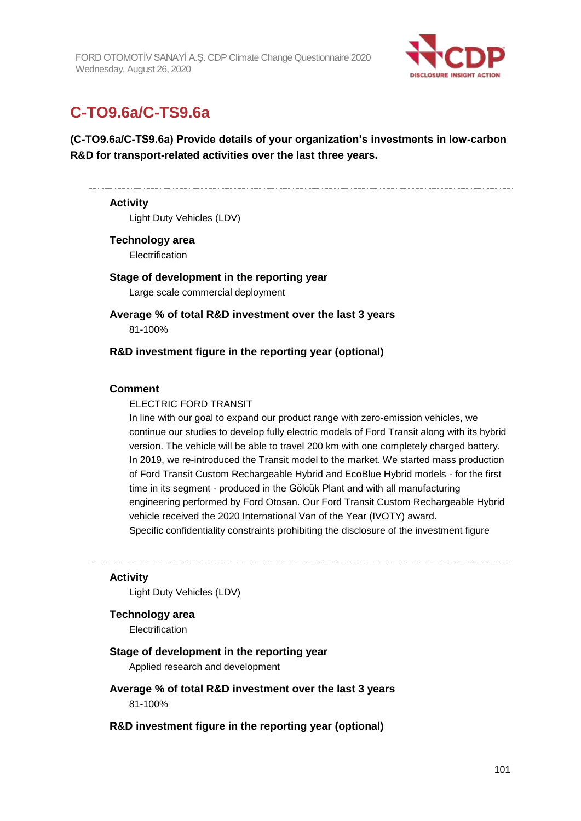

## **C-TO9.6a/C-TS9.6a**

## **(C-TO9.6a/C-TS9.6a) Provide details of your organization's investments in low-carbon R&D for transport-related activities over the last three years.**

#### **Activity**

Light Duty Vehicles (LDV)

#### **Technology area**

**Electrification** 

### **Stage of development in the reporting year** Large scale commercial deployment

**Average % of total R&D investment over the last 3 years** 81-100%

#### **R&D investment figure in the reporting year (optional)**

#### **Comment**

#### ELECTRIC FORD TRANSIT

In line with our goal to expand our product range with zero-emission vehicles, we continue our studies to develop fully electric models of Ford Transit along with its hybrid version. The vehicle will be able to travel 200 km with one completely charged battery. In 2019, we re-introduced the Transit model to the market. We started mass production of Ford Transit Custom Rechargeable Hybrid and EcoBlue Hybrid models - for the first time in its segment - produced in the Gölcük Plant and with all manufacturing engineering performed by Ford Otosan. Our Ford Transit Custom Rechargeable Hybrid vehicle received the 2020 International Van of the Year (IVOTY) award. Specific confidentiality constraints prohibiting the disclosure of the investment figure

#### **Activity**

Light Duty Vehicles (LDV)

#### **Technology area**

**Electrification** 

#### **Stage of development in the reporting year**

Applied research and development

- **Average % of total R&D investment over the last 3 years** 81-100%
- **R&D investment figure in the reporting year (optional)**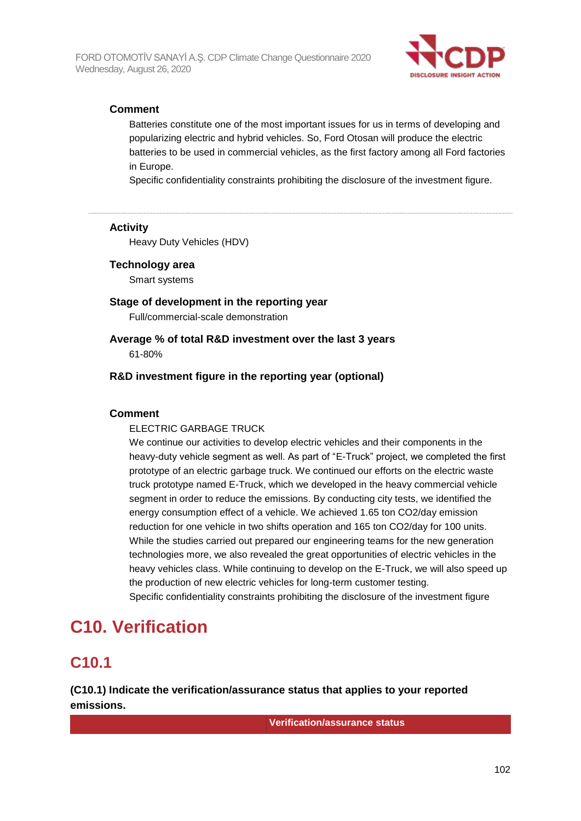

### **Comment**

Batteries constitute one of the most important issues for us in terms of developing and popularizing electric and hybrid vehicles. So, Ford Otosan will produce the electric batteries to be used in commercial vehicles, as the first factory among all Ford factories in Europe.

Specific confidentiality constraints prohibiting the disclosure of the investment figure.

#### **Activity**

Heavy Duty Vehicles (HDV)

#### **Technology area**

Smart systems

### **Stage of development in the reporting year**

Full/commercial-scale demonstration

#### **Average % of total R&D investment over the last 3 years** 61-80%

### **R&D investment figure in the reporting year (optional)**

#### **Comment**

#### ELECTRIC GARBAGE TRUCK

We continue our activities to develop electric vehicles and their components in the heavy-duty vehicle segment as well. As part of "E-Truck" project, we completed the first prototype of an electric garbage truck. We continued our efforts on the electric waste truck prototype named E-Truck, which we developed in the heavy commercial vehicle segment in order to reduce the emissions. By conducting city tests, we identified the energy consumption effect of a vehicle. We achieved 1.65 ton CO2/day emission reduction for one vehicle in two shifts operation and 165 ton CO2/day for 100 units. While the studies carried out prepared our engineering teams for the new generation technologies more, we also revealed the great opportunities of electric vehicles in the heavy vehicles class. While continuing to develop on the E-Truck, we will also speed up the production of new electric vehicles for long-term customer testing.

Specific confidentiality constraints prohibiting the disclosure of the investment figure

## **C10. Verification**

## **C10.1**

**(C10.1) Indicate the verification/assurance status that applies to your reported emissions.**

**Verification/assurance status**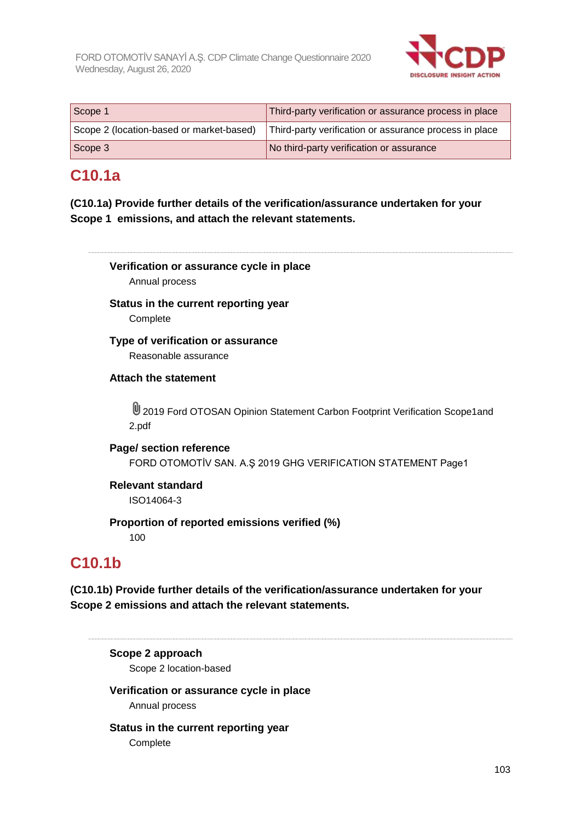

| Scope 1                                  | Third-party verification or assurance process in place |
|------------------------------------------|--------------------------------------------------------|
| Scope 2 (location-based or market-based) | Third-party verification or assurance process in place |
| Scope 3                                  | No third-party verification or assurance               |

## **C10.1a**

**(C10.1a) Provide further details of the verification/assurance undertaken for your Scope 1 emissions, and attach the relevant statements.**



#### **Status in the current reporting year Complete**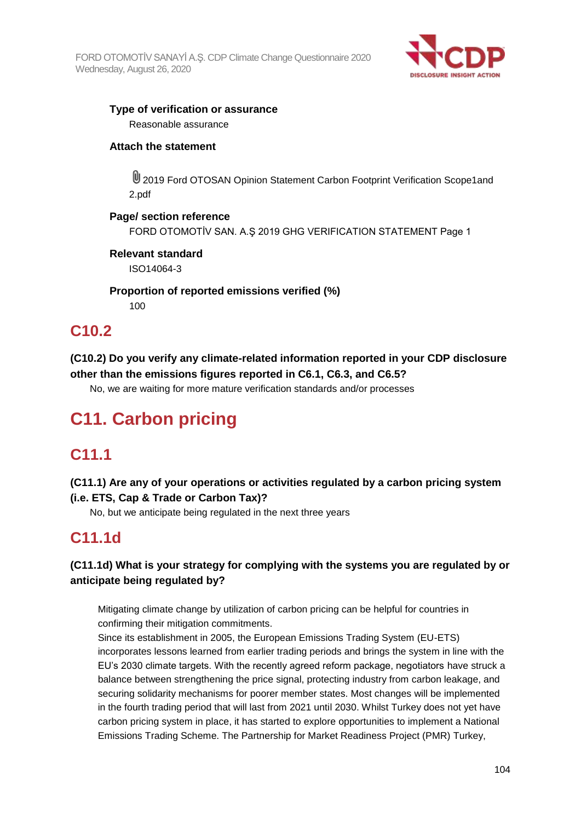

# **Type of verification or assurance**

Reasonable assurance

### **Attach the statement**

U 2019 Ford OTOSAN Opinion Statement Carbon Footprint Verification Scope1and 2.pdf

### **Page/ section reference**

FORD OTOMOTIV SAN. A.S 2019 GHG VERIFICATION STATEMENT Page 1

### **Relevant standard**

ISO14064-3

## **Proportion of reported emissions verified (%)**

100

## **C10.2**

**(C10.2) Do you verify any climate-related information reported in your CDP disclosure other than the emissions figures reported in C6.1, C6.3, and C6.5?**

No, we are waiting for more mature verification standards and/or processes

# **C11. Carbon pricing**

## **C11.1**

**(C11.1) Are any of your operations or activities regulated by a carbon pricing system (i.e. ETS, Cap & Trade or Carbon Tax)?**

No, but we anticipate being regulated in the next three years

## **C11.1d**

## **(C11.1d) What is your strategy for complying with the systems you are regulated by or anticipate being regulated by?**

Mitigating climate change by utilization of carbon pricing can be helpful for countries in confirming their mitigation commitments.

Since its establishment in 2005, the European Emissions Trading System (EU-ETS) incorporates lessons learned from earlier trading periods and brings the system in line with the EU's 2030 climate targets. With the recently agreed reform package, negotiators have struck a balance between strengthening the price signal, protecting industry from carbon leakage, and securing solidarity mechanisms for poorer member states. Most changes will be implemented in the fourth trading period that will last from 2021 until 2030. Whilst Turkey does not yet have carbon pricing system in place, it has started to explore opportunities to implement a National Emissions Trading Scheme. The Partnership for Market Readiness Project (PMR) Turkey,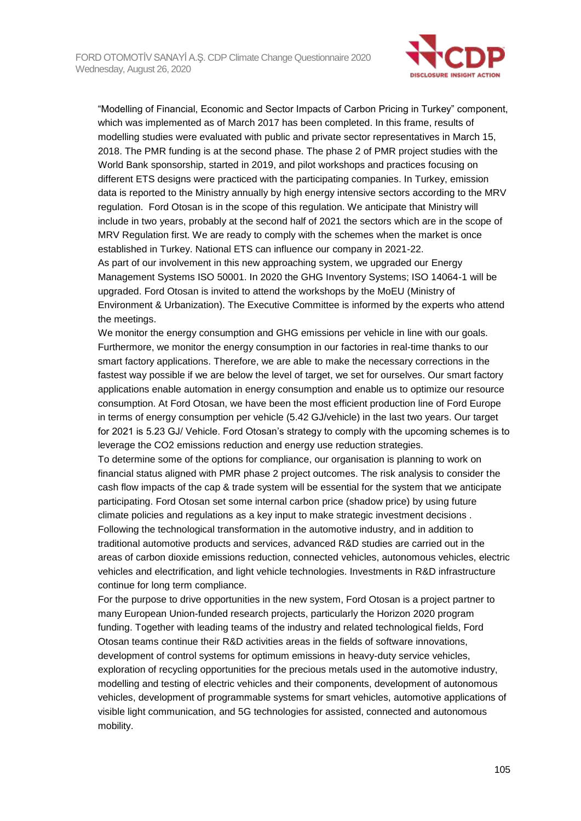

"Modelling of Financial, Economic and Sector Impacts of Carbon Pricing in Turkey" component, which was implemented as of March 2017 has been completed. In this frame, results of modelling studies were evaluated with public and private sector representatives in March 15, 2018. The PMR funding is at the second phase. The phase 2 of PMR project studies with the World Bank sponsorship, started in 2019, and pilot workshops and practices focusing on different ETS designs were practiced with the participating companies. In Turkey, emission data is reported to the Ministry annually by high energy intensive sectors according to the MRV regulation. Ford Otosan is in the scope of this regulation. We anticipate that Ministry will include in two years, probably at the second half of 2021 the sectors which are in the scope of MRV Regulation first. We are ready to comply with the schemes when the market is once established in Turkey. National ETS can influence our company in 2021-22.

As part of our involvement in this new approaching system, we upgraded our Energy Management Systems ISO 50001. In 2020 the GHG Inventory Systems; ISO 14064-1 will be upgraded. Ford Otosan is invited to attend the workshops by the MoEU (Ministry of Environment & Urbanization). The Executive Committee is informed by the experts who attend the meetings.

We monitor the energy consumption and GHG emissions per vehicle in line with our goals. Furthermore, we monitor the energy consumption in our factories in real-time thanks to our smart factory applications. Therefore, we are able to make the necessary corrections in the fastest way possible if we are below the level of target, we set for ourselves. Our smart factory applications enable automation in energy consumption and enable us to optimize our resource consumption. At Ford Otosan, we have been the most efficient production line of Ford Europe in terms of energy consumption per vehicle (5.42 GJ/vehicle) in the last two years. Our target for 2021 is 5.23 GJ/ Vehicle. Ford Otosan's strategy to comply with the upcoming schemes is to leverage the CO2 emissions reduction and energy use reduction strategies.

To determine some of the options for compliance, our organisation is planning to work on financial status aligned with PMR phase 2 project outcomes. The risk analysis to consider the cash flow impacts of the cap & trade system will be essential for the system that we anticipate participating. Ford Otosan set some internal carbon price (shadow price) by using future climate policies and regulations as a key input to make strategic investment decisions . Following the technological transformation in the automotive industry, and in addition to traditional automotive products and services, advanced R&D studies are carried out in the areas of carbon dioxide emissions reduction, connected vehicles, autonomous vehicles, electric vehicles and electrification, and light vehicle technologies. Investments in R&D infrastructure continue for long term compliance.

For the purpose to drive opportunities in the new system, Ford Otosan is a project partner to many European Union-funded research projects, particularly the Horizon 2020 program funding. Together with leading teams of the industry and related technological fields, Ford Otosan teams continue their R&D activities areas in the fields of software innovations, development of control systems for optimum emissions in heavy-duty service vehicles, exploration of recycling opportunities for the precious metals used in the automotive industry, modelling and testing of electric vehicles and their components, development of autonomous vehicles, development of programmable systems for smart vehicles, automotive applications of visible light communication, and 5G technologies for assisted, connected and autonomous mobility.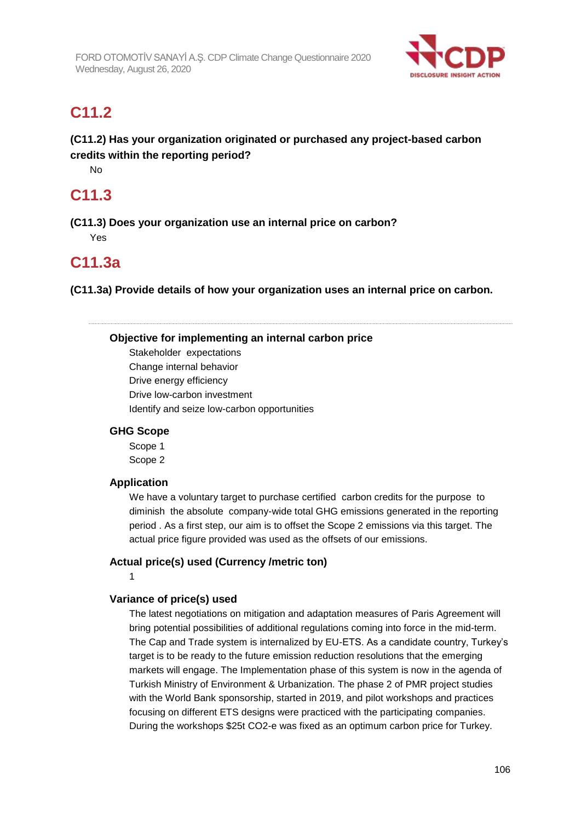

## **C11.2**

## **(C11.2) Has your organization originated or purchased any project-based carbon credits within the reporting period?**

No

## **C11.3**

**(C11.3) Does your organization use an internal price on carbon?** Yes

## **C11.3a**

**(C11.3a) Provide details of how your organization uses an internal price on carbon.**

**Objective for implementing an internal carbon price**

Stakeholder expectations Change internal behavior Drive energy efficiency Drive low-carbon investment Identify and seize low-carbon opportunities

### **GHG Scope**

Scope 1 Scope 2

### **Application**

We have a voluntary target to purchase certified carbon credits for the purpose to diminish the absolute company-wide total GHG emissions generated in the reporting period . As a first step, our aim is to offset the Scope 2 emissions via this target. The actual price figure provided was used as the offsets of our emissions.

### **Actual price(s) used (Currency /metric ton)**

1

#### **Variance of price(s) used**

The latest negotiations on mitigation and adaptation measures of Paris Agreement will bring potential possibilities of additional regulations coming into force in the mid-term. The Cap and Trade system is internalized by EU-ETS. As a candidate country, Turkey's target is to be ready to the future emission reduction resolutions that the emerging markets will engage. The Implementation phase of this system is now in the agenda of Turkish Ministry of Environment & Urbanization. The phase 2 of PMR project studies with the World Bank sponsorship, started in 2019, and pilot workshops and practices focusing on different ETS designs were practiced with the participating companies. During the workshops \$25t CO2-e was fixed as an optimum carbon price for Turkey.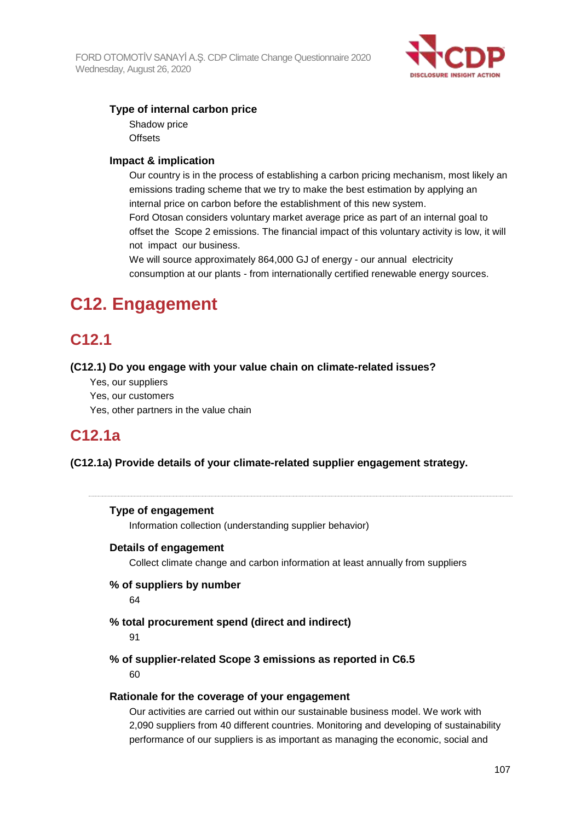

### **Type of internal carbon price**

Shadow price **Offsets** 

#### **Impact & implication**

Our country is in the process of establishing a carbon pricing mechanism, most likely an emissions trading scheme that we try to make the best estimation by applying an internal price on carbon before the establishment of this new system. Ford Otosan considers voluntary market average price as part of an internal goal to offset the Scope 2 emissions. The financial impact of this voluntary activity is low, it will not impact our business.

We will source approximately 864,000 GJ of energy - our annual electricity consumption at our plants - from internationally certified renewable energy sources.

# **C12. Engagement**

## **C12.1**

#### **(C12.1) Do you engage with your value chain on climate-related issues?**

- Yes, our suppliers
- Yes, our customers
- Yes, other partners in the value chain

## **C12.1a**

#### **(C12.1a) Provide details of your climate-related supplier engagement strategy.**

#### **Type of engagement**

Information collection (understanding supplier behavior)

#### **Details of engagement**

Collect climate change and carbon information at least annually from suppliers

## **% of suppliers by number**

64

#### **% total procurement spend (direct and indirect)**

91

#### **% of supplier-related Scope 3 emissions as reported in C6.5** 60

#### **Rationale for the coverage of your engagement**

Our activities are carried out within our sustainable business model. We work with 2,090 suppliers from 40 different countries. Monitoring and developing of sustainability performance of our suppliers is as important as managing the economic, social and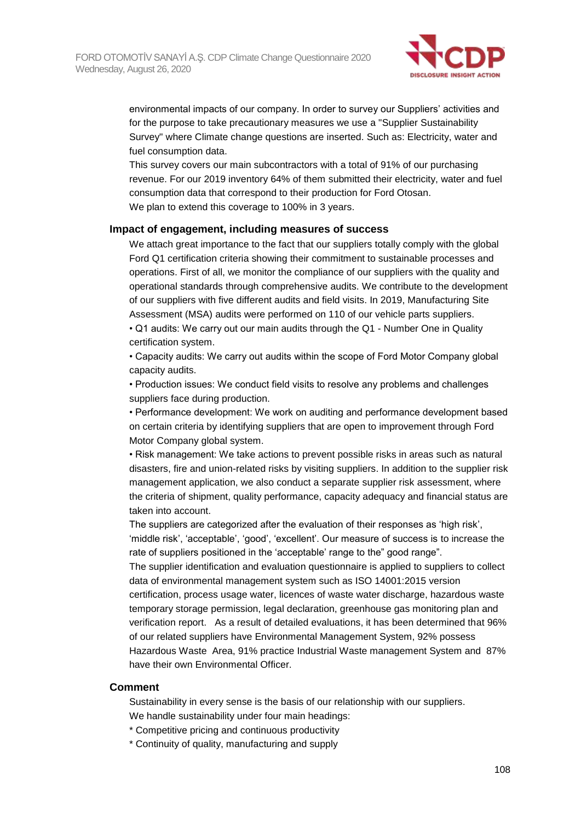

environmental impacts of our company. In order to survey our Suppliers' activities and for the purpose to take precautionary measures we use a "Supplier Sustainability Survey" where Climate change questions are inserted. Such as: Electricity, water and fuel consumption data.

This survey covers our main subcontractors with a total of 91% of our purchasing revenue. For our 2019 inventory 64% of them submitted their electricity, water and fuel consumption data that correspond to their production for Ford Otosan. We plan to extend this coverage to 100% in 3 years.

#### **Impact of engagement, including measures of success**

We attach great importance to the fact that our suppliers totally comply with the global Ford Q1 certification criteria showing their commitment to sustainable processes and operations. First of all, we monitor the compliance of our suppliers with the quality and operational standards through comprehensive audits. We contribute to the development of our suppliers with five different audits and field visits. In 2019, Manufacturing Site Assessment (MSA) audits were performed on 110 of our vehicle parts suppliers. • Q1 audits: We carry out our main audits through the Q1 - Number One in Quality certification system.

• Capacity audits: We carry out audits within the scope of Ford Motor Company global capacity audits.

• Production issues: We conduct field visits to resolve any problems and challenges suppliers face during production.

• Performance development: We work on auditing and performance development based on certain criteria by identifying suppliers that are open to improvement through Ford Motor Company global system.

• Risk management: We take actions to prevent possible risks in areas such as natural disasters, fire and union-related risks by visiting suppliers. In addition to the supplier risk management application, we also conduct a separate supplier risk assessment, where the criteria of shipment, quality performance, capacity adequacy and financial status are taken into account.

The suppliers are categorized after the evaluation of their responses as 'high risk', 'middle risk', 'acceptable', 'good', 'excellent'. Our measure of success is to increase the rate of suppliers positioned in the 'acceptable' range to the" good range".

The supplier identification and evaluation questionnaire is applied to suppliers to collect data of environmental management system such as ISO 14001:2015 version certification, process usage water, licences of waste water discharge, hazardous waste temporary storage permission, legal declaration, greenhouse gas monitoring plan and verification report. As a result of detailed evaluations, it has been determined that 96% of our related suppliers have Environmental Management System, 92% possess Hazardous Waste Area, 91% practice Industrial Waste management System and 87% have their own Environmental Officer.

#### **Comment**

Sustainability in every sense is the basis of our relationship with our suppliers.

We handle sustainability under four main headings:

- \* Competitive pricing and continuous productivity
- \* Continuity of quality, manufacturing and supply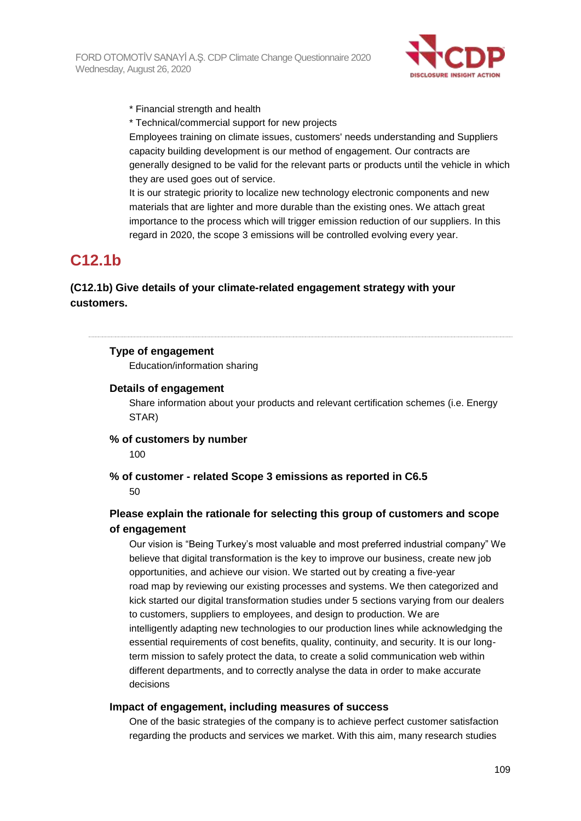

\* Financial strength and health

\* Technical/commercial support for new projects

Employees training on climate issues, customers' needs understanding and Suppliers capacity building development is our method of engagement. Our contracts are generally designed to be valid for the relevant parts or products until the vehicle in which they are used goes out of service.

It is our strategic priority to localize new technology electronic components and new materials that are lighter and more durable than the existing ones. We attach great importance to the process which will trigger emission reduction of our suppliers. In this regard in 2020, the scope 3 emissions will be controlled evolving every year.

# **C12.1b**

## **(C12.1b) Give details of your climate-related engagement strategy with your customers.**

### **Type of engagement**

Education/information sharing

#### **Details of engagement**

Share information about your products and relevant certification schemes (i.e. Energy STAR)

## **% of customers by number**

100

**% of customer - related Scope 3 emissions as reported in C6.5** 50

## **Please explain the rationale for selecting this group of customers and scope of engagement**

Our vision is "Being Turkey's most valuable and most preferred industrial company" We believe that digital transformation is the key to improve our business, create new job opportunities, and achieve our vision. We started out by creating a five-year road map by reviewing our existing processes and systems. We then categorized and kick started our digital transformation studies under 5 sections varying from our dealers to customers, suppliers to employees, and design to production. We are intelligently adapting new technologies to our production lines while acknowledging the essential requirements of cost benefits, quality, continuity, and security. It is our longterm mission to safely protect the data, to create a solid communication web within different departments, and to correctly analyse the data in order to make accurate decisions

#### **Impact of engagement, including measures of success**

One of the basic strategies of the company is to achieve perfect customer satisfaction regarding the products and services we market. With this aim, many research studies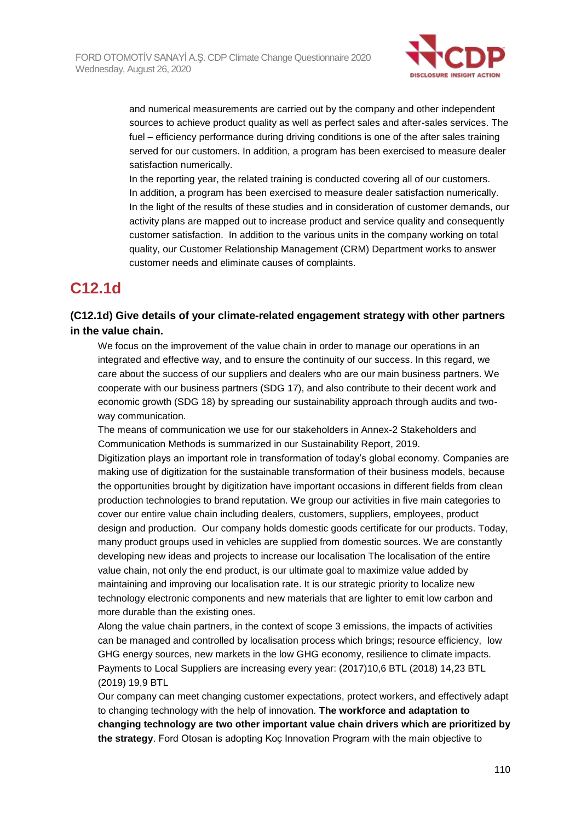

and numerical measurements are carried out by the company and other independent sources to achieve product quality as well as perfect sales and after-sales services. The fuel – efficiency performance during driving conditions is one of the after sales training served for our customers. In addition, a program has been exercised to measure dealer satisfaction numerically.

In the reporting year, the related training is conducted covering all of our customers. In addition, a program has been exercised to measure dealer satisfaction numerically. In the light of the results of these studies and in consideration of customer demands, our activity plans are mapped out to increase product and service quality and consequently customer satisfaction. In addition to the various units in the company working on total quality, our Customer Relationship Management (CRM) Department works to answer customer needs and eliminate causes of complaints.

## **C12.1d**

## **(C12.1d) Give details of your climate-related engagement strategy with other partners in the value chain.**

We focus on the improvement of the value chain in order to manage our operations in an integrated and effective way, and to ensure the continuity of our success. In this regard, we care about the success of our suppliers and dealers who are our main business partners. We cooperate with our business partners (SDG 17), and also contribute to their decent work and economic growth (SDG 18) by spreading our sustainability approach through audits and twoway communication.

The means of communication we use for our stakeholders in Annex-2 Stakeholders and Communication Methods is summarized in our Sustainability Report, 2019.

Digitization plays an important role in transformation of today's global economy. Companies are making use of digitization for the sustainable transformation of their business models, because the opportunities brought by digitization have important occasions in different fields from clean production technologies to brand reputation. We group our activities in five main categories to cover our entire value chain including dealers, customers, suppliers, employees, product design and production. Our company holds domestic goods certificate for our products. Today, many product groups used in vehicles are supplied from domestic sources. We are constantly developing new ideas and projects to increase our localisation The localisation of the entire value chain, not only the end product, is our ultimate goal to maximize value added by maintaining and improving our localisation rate. It is our strategic priority to localize new technology electronic components and new materials that are lighter to emit low carbon and more durable than the existing ones.

Along the value chain partners, in the context of scope 3 emissions, the impacts of activities can be managed and controlled by localisation process which brings; resource efficiency, low GHG energy sources, new markets in the low GHG economy, resilience to climate impacts. Payments to Local Suppliers are increasing every year: (2017)10,6 BTL (2018) 14,23 BTL (2019) 19,9 BTL

Our company can meet changing customer expectations, protect workers, and effectively adapt to changing technology with the help of innovation. **The workforce and adaptation to changing technology are two other important value chain drivers which are prioritized by the strategy**. Ford Otosan is adopting Koç Innovation Program with the main objective to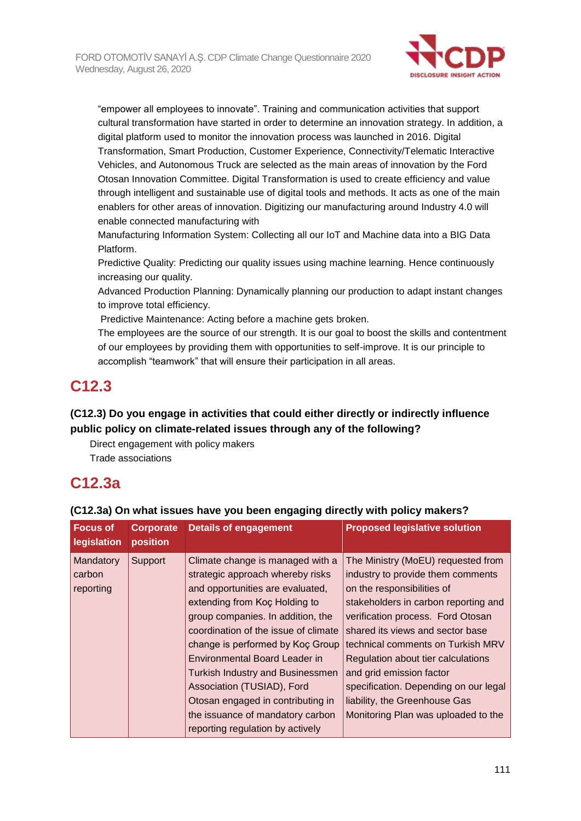

"empower all employees to innovate". Training and communication activities that support cultural transformation have started in order to determine an innovation strategy. In addition, a digital platform used to monitor the innovation process was launched in 2016. Digital Transformation, Smart Production, Customer Experience, Connectivity/Telematic Interactive Vehicles, and Autonomous Truck are selected as the main areas of innovation by the Ford Otosan Innovation Committee. Digital Transformation is used to create efficiency and value through intelligent and sustainable use of digital tools and methods. It acts as one of the main enablers for other areas of innovation. Digitizing our manufacturing around Industry 4.0 will enable connected manufacturing with

Manufacturing Information System: Collecting all our IoT and Machine data into a BIG Data Platform.

Predictive Quality: Predicting our quality issues using machine learning. Hence continuously increasing our quality.

Advanced Production Planning: Dynamically planning our production to adapt instant changes to improve total efficiency.

Predictive Maintenance: Acting before a machine gets broken.

The employees are the source of our strength. It is our goal to boost the skills and contentment of our employees by providing them with opportunities to self-improve. It is our principle to accomplish "teamwork" that will ensure their participation in all areas.

## **C12.3**

## **(C12.3) Do you engage in activities that could either directly or indirectly influence public policy on climate-related issues through any of the following?**

Direct engagement with policy makers Trade associations

# **C12.3a**

| <b>Focus of</b><br>legislation | <b>Corporate</b><br>position | <b>Details of engagement</b>            | <b>Proposed legislative solution</b>  |
|--------------------------------|------------------------------|-----------------------------------------|---------------------------------------|
| Mandatory                      | Support                      | Climate change is managed with a        | The Ministry (MoEU) requested from    |
| carbon                         |                              | strategic approach whereby risks        | industry to provide them comments     |
| reporting                      |                              | and opportunities are evaluated,        | on the responsibilities of            |
|                                |                              | extending from Koc Holding to           | stakeholders in carbon reporting and  |
|                                |                              | group companies. In addition, the       | verification process. Ford Otosan     |
|                                |                              | coordination of the issue of climate    | shared its views and sector base      |
|                                |                              | change is performed by Koç Group        | technical comments on Turkish MRV     |
|                                |                              | Environmental Board Leader in           | Regulation about tier calculations    |
|                                |                              | <b>Turkish Industry and Businessmen</b> | and grid emission factor              |
|                                |                              | Association (TUSIAD), Ford              | specification. Depending on our legal |
|                                |                              | Otosan engaged in contributing in       | liability, the Greenhouse Gas         |
|                                |                              | the issuance of mandatory carbon        | Monitoring Plan was uploaded to the   |
|                                |                              | reporting regulation by actively        |                                       |

#### **(C12.3a) On what issues have you been engaging directly with policy makers?**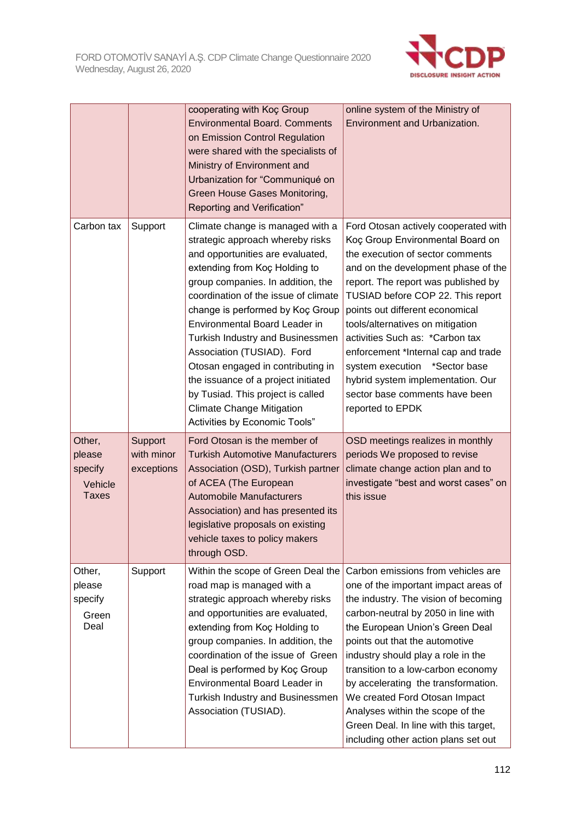

|                                                        |                                     | cooperating with Koç Group<br><b>Environmental Board. Comments</b><br>on Emission Control Regulation<br>were shared with the specialists of<br>Ministry of Environment and<br>Urbanization for "Communiqué on<br>Green House Gases Monitoring,<br>Reporting and Verification"                                                                                                                                                                                                                                                                       | online system of the Ministry of<br>Environment and Urbanization.                                                                                                                                                                                                                                                                                                                                                                                                                                            |
|--------------------------------------------------------|-------------------------------------|-----------------------------------------------------------------------------------------------------------------------------------------------------------------------------------------------------------------------------------------------------------------------------------------------------------------------------------------------------------------------------------------------------------------------------------------------------------------------------------------------------------------------------------------------------|--------------------------------------------------------------------------------------------------------------------------------------------------------------------------------------------------------------------------------------------------------------------------------------------------------------------------------------------------------------------------------------------------------------------------------------------------------------------------------------------------------------|
| Carbon tax                                             | Support                             | Climate change is managed with a<br>strategic approach whereby risks<br>and opportunities are evaluated,<br>extending from Koç Holding to<br>group companies. In addition, the<br>coordination of the issue of climate<br>change is performed by Koç Group<br>Environmental Board Leader in<br>Turkish Industry and Businessmen<br>Association (TUSIAD). Ford<br>Otosan engaged in contributing in<br>the issuance of a project initiated<br>by Tusiad. This project is called<br><b>Climate Change Mitigation</b><br>Activities by Economic Tools" | Ford Otosan actively cooperated with<br>Koç Group Environmental Board on<br>the execution of sector comments<br>and on the development phase of the<br>report. The report was published by<br>TUSIAD before COP 22. This report<br>points out different economical<br>tools/alternatives on mitigation<br>activities Such as: *Carbon tax<br>enforcement *Internal cap and trade<br>system execution *Sector base<br>hybrid system implementation. Our<br>sector base comments have been<br>reported to EPDK |
| Other,<br>please<br>specify<br>Vehicle<br><b>Taxes</b> | Support<br>with minor<br>exceptions | Ford Otosan is the member of<br><b>Turkish Automotive Manufacturers</b><br>Association (OSD), Turkish partner<br>of ACEA (The European<br><b>Automobile Manufacturers</b><br>Association) and has presented its<br>legislative proposals on existing<br>vehicle taxes to policy makers<br>through OSD.                                                                                                                                                                                                                                              | OSD meetings realizes in monthly<br>periods We proposed to revise<br>climate change action plan and to<br>investigate "best and worst cases" on<br>this issue                                                                                                                                                                                                                                                                                                                                                |
| Other,<br>please<br>specify<br>Green<br>Deal           | Support                             | Within the scope of Green Deal the<br>road map is managed with a<br>strategic approach whereby risks<br>and opportunities are evaluated,<br>extending from Koç Holding to<br>group companies. In addition, the<br>coordination of the issue of Green<br>Deal is performed by Koç Group<br>Environmental Board Leader in<br>Turkish Industry and Businessmen<br>Association (TUSIAD).                                                                                                                                                                | Carbon emissions from vehicles are<br>one of the important impact areas of<br>the industry. The vision of becoming<br>carbon-neutral by 2050 in line with<br>the European Union's Green Deal<br>points out that the automotive<br>industry should play a role in the<br>transition to a low-carbon economy<br>by accelerating the transformation.<br>We created Ford Otosan Impact<br>Analyses within the scope of the<br>Green Deal. In line with this target,<br>including other action plans set out      |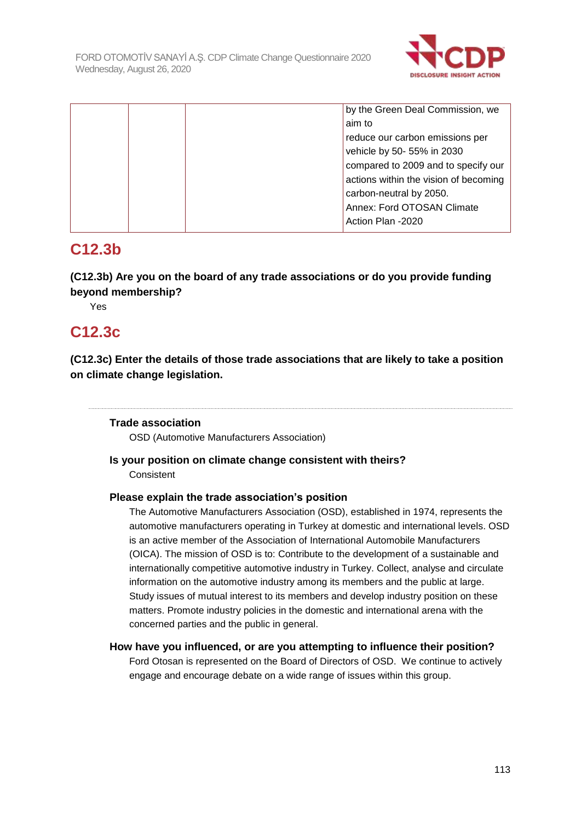

| by the Green Deal Commission, we      |
|---------------------------------------|
| aim to                                |
| reduce our carbon emissions per       |
| vehicle by 50- 55% in 2030            |
| compared to 2009 and to specify our   |
| actions within the vision of becoming |
| carbon-neutral by 2050.               |
| Annex: Ford OTOSAN Climate            |
| Action Plan -2020                     |

## **C12.3b**

**(C12.3b) Are you on the board of any trade associations or do you provide funding beyond membership?**

Yes

## **C12.3c**

**(C12.3c) Enter the details of those trade associations that are likely to take a position on climate change legislation.**

### **Trade association**

OSD (Automotive Manufacturers Association)

### **Is your position on climate change consistent with theirs?**

Consistent

### **Please explain the trade association's position**

The Automotive Manufacturers Association (OSD), established in 1974, represents the automotive manufacturers operating in Turkey at domestic and international levels. OSD is an active member of the Association of International Automobile Manufacturers (OICA). The mission of OSD is to: Contribute to the development of a sustainable and internationally competitive automotive industry in Turkey. Collect, analyse and circulate information on the automotive industry among its members and the public at large. Study issues of mutual interest to its members and develop industry position on these matters. Promote industry policies in the domestic and international arena with the concerned parties and the public in general.

### **How have you influenced, or are you attempting to influence their position?**

Ford Otosan is represented on the Board of Directors of OSD. We continue to actively engage and encourage debate on a wide range of issues within this group.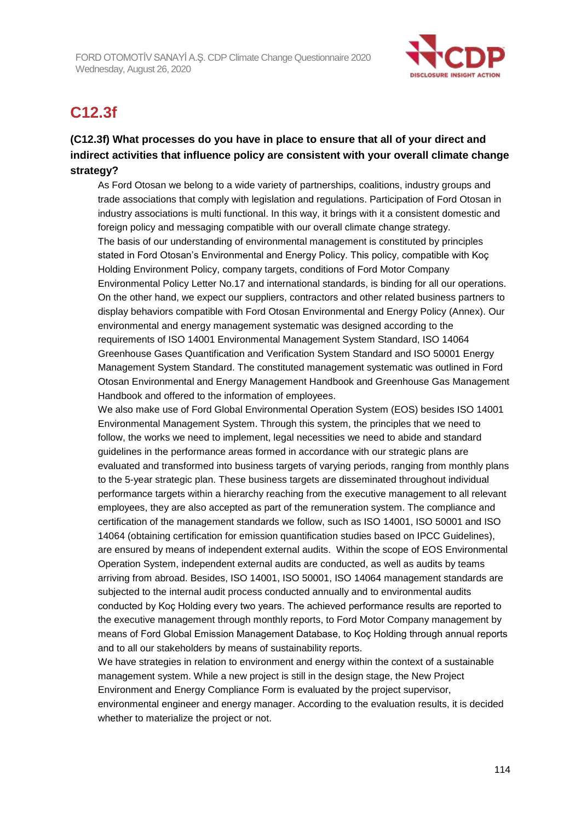

## **C12.3f**

## **(C12.3f) What processes do you have in place to ensure that all of your direct and indirect activities that influence policy are consistent with your overall climate change strategy?**

As Ford Otosan we belong to a wide variety of partnerships, coalitions, industry groups and trade associations that comply with legislation and regulations. Participation of Ford Otosan in industry associations is multi functional. In this way, it brings with it a consistent domestic and foreign policy and messaging compatible with our overall climate change strategy. The basis of our understanding of environmental management is constituted by principles stated in Ford Otosan's Environmental and Energy Policy. This policy, compatible with Koç Holding Environment Policy, company targets, conditions of Ford Motor Company Environmental Policy Letter No.17 and international standards, is binding for all our operations. On the other hand, we expect our suppliers, contractors and other related business partners to display behaviors compatible with Ford Otosan Environmental and Energy Policy (Annex). Our environmental and energy management systematic was designed according to the requirements of ISO 14001 Environmental Management System Standard, ISO 14064 Greenhouse Gases Quantification and Verification System Standard and ISO 50001 Energy Management System Standard. The constituted management systematic was outlined in Ford Otosan Environmental and Energy Management Handbook and Greenhouse Gas Management Handbook and offered to the information of employees.

We also make use of Ford Global Environmental Operation System (EOS) besides ISO 14001 Environmental Management System. Through this system, the principles that we need to follow, the works we need to implement, legal necessities we need to abide and standard guidelines in the performance areas formed in accordance with our strategic plans are evaluated and transformed into business targets of varying periods, ranging from monthly plans to the 5-year strategic plan. These business targets are disseminated throughout individual performance targets within a hierarchy reaching from the executive management to all relevant employees, they are also accepted as part of the remuneration system. The compliance and certification of the management standards we follow, such as ISO 14001, ISO 50001 and ISO 14064 (obtaining certification for emission quantification studies based on IPCC Guidelines), are ensured by means of independent external audits. Within the scope of EOS Environmental Operation System, independent external audits are conducted, as well as audits by teams arriving from abroad. Besides, ISO 14001, ISO 50001, ISO 14064 management standards are subjected to the internal audit process conducted annually and to environmental audits conducted by Koç Holding every two years. The achieved performance results are reported to the executive management through monthly reports, to Ford Motor Company management by means of Ford Global Emission Management Database, to Koç Holding through annual reports and to all our stakeholders by means of sustainability reports.

We have strategies in relation to environment and energy within the context of a sustainable management system. While a new project is still in the design stage, the New Project Environment and Energy Compliance Form is evaluated by the project supervisor, environmental engineer and energy manager. According to the evaluation results, it is decided whether to materialize the project or not.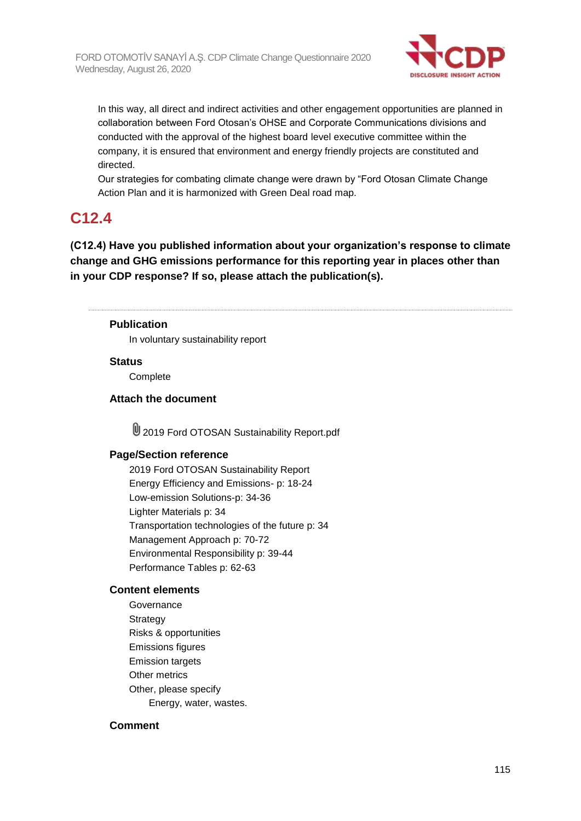

In this way, all direct and indirect activities and other engagement opportunities are planned in collaboration between Ford Otosan's OHSE and Corporate Communications divisions and conducted with the approval of the highest board level executive committee within the company, it is ensured that environment and energy friendly projects are constituted and directed.

Our strategies for combating climate change were drawn by "Ford Otosan Climate Change Action Plan and it is harmonized with Green Deal road map.

## **C12.4**

**(C12.4) Have you published information about your organization's response to climate change and GHG emissions performance for this reporting year in places other than in your CDP response? If so, please attach the publication(s).**

#### **Publication**

In voluntary sustainability report

#### **Status**

**Complete** 

#### **Attach the document**

**U** 2019 Ford OTOSAN Sustainability Report.pdf

#### **Page/Section reference**

2019 Ford OTOSAN Sustainability Report Energy Efficiency and Emissions- p: 18-24 Low-emission Solutions-p: 34-36 Lighter Materials p: 34 Transportation technologies of the future p: 34 Management Approach p: 70-72 Environmental Responsibility p: 39-44 Performance Tables p: 62-63

#### **Content elements**

Governance **Strategy** Risks & opportunities Emissions figures Emission targets Other metrics Other, please specify Energy, water, wastes.

#### **Comment**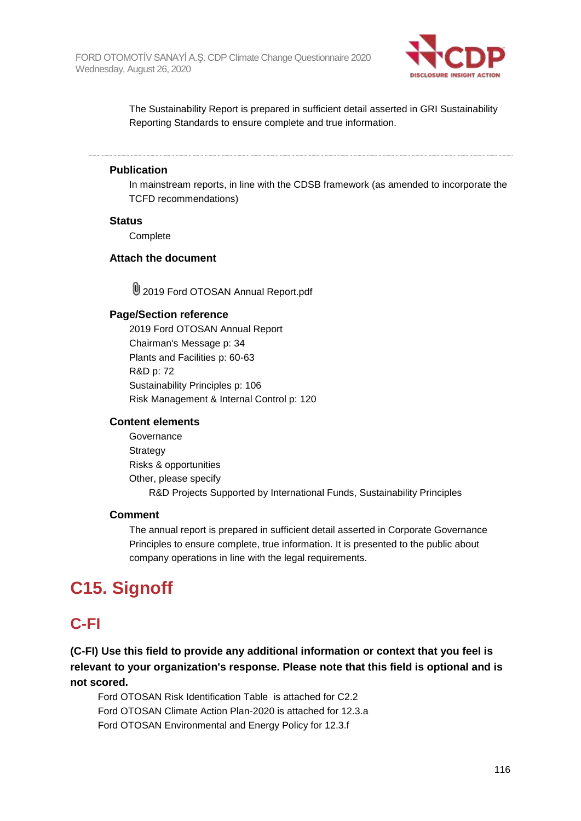

The Sustainability Report is prepared in sufficient detail asserted in GRI Sustainability Reporting Standards to ensure complete and true information.

#### **Publication**

In mainstream reports, in line with the CDSB framework (as amended to incorporate the TCFD recommendations)

#### **Status**

**Complete** 

#### **Attach the document**

**U** 2019 Ford OTOSAN Annual Report.pdf

#### **Page/Section reference**

2019 Ford OTOSAN Annual Report Chairman's Message p: 34 Plants and Facilities p: 60-63 R&D p: 72 Sustainability Principles p: 106 Risk Management & Internal Control p: 120

#### **Content elements**

**Governance Strategy** Risks & opportunities Other, please specify R&D Projects Supported by International Funds, Sustainability Principles

#### **Comment**

The annual report is prepared in sufficient detail asserted in Corporate Governance Principles to ensure complete, true information. It is presented to the public about company operations in line with the legal requirements.

# **C15. Signoff**

## **C-FI**

**(C-FI) Use this field to provide any additional information or context that you feel is relevant to your organization's response. Please note that this field is optional and is not scored.**

Ford OTOSAN Risk Identification Table is attached for C2.2 Ford OTOSAN Climate Action Plan-2020 is attached for 12.3.a Ford OTOSAN Environmental and Energy Policy for 12.3.f